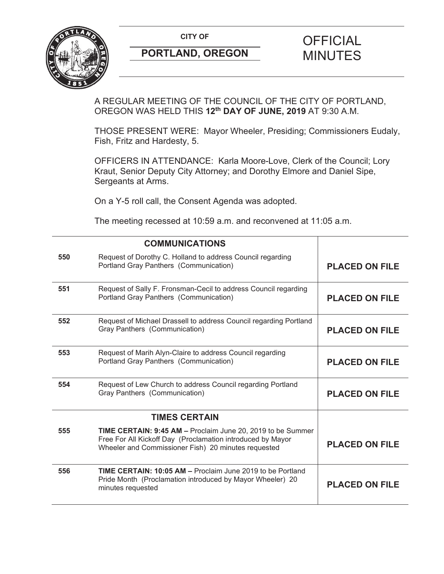

# **PORTLAND, OREGON MINUTES**

# **CITY OF CITY OF PICIAL**

A REGULAR MEETING OF THE COUNCIL OF THE CITY OF PORTLAND, OREGON WAS HELD THIS **12th DAY OF JUNE, 2019** AT 9:30 A.M.

THOSE PRESENT WERE: Mayor Wheeler, Presiding; Commissioners Eudaly, Fish, Fritz and Hardesty, 5.

OFFICERS IN ATTENDANCE: Karla Moore-Love, Clerk of the Council; Lory Kraut, Senior Deputy City Attorney; and Dorothy Elmore and Daniel Sipe, Sergeants at Arms.

On a Y-5 roll call, the Consent Agenda was adopted.

The meeting recessed at 10:59 a.m. and reconvened at 11:05 a.m.

|     | <b>COMMUNICATIONS</b>                                                                                                                                                            |                       |
|-----|----------------------------------------------------------------------------------------------------------------------------------------------------------------------------------|-----------------------|
| 550 | Request of Dorothy C. Holland to address Council regarding<br>Portland Gray Panthers (Communication)                                                                             | <b>PLACED ON FILE</b> |
| 551 | Request of Sally F. Fronsman-Cecil to address Council regarding<br>Portland Gray Panthers (Communication)                                                                        | <b>PLACED ON FILE</b> |
| 552 | Request of Michael Drassell to address Council regarding Portland<br>Gray Panthers (Communication)                                                                               | <b>PLACED ON FILE</b> |
| 553 | Request of Marih Alyn-Claire to address Council regarding<br>Portland Gray Panthers (Communication)                                                                              | <b>PLACED ON FILE</b> |
| 554 | Request of Lew Church to address Council regarding Portland<br>Gray Panthers (Communication)                                                                                     | <b>PLACED ON FILE</b> |
|     | <b>TIMES CERTAIN</b>                                                                                                                                                             |                       |
| 555 | TIME CERTAIN: 9:45 AM - Proclaim June 20, 2019 to be Summer<br>Free For All Kickoff Day (Proclamation introduced by Mayor<br>Wheeler and Commissioner Fish) 20 minutes requested | <b>PLACED ON FILE</b> |
| 556 | TIME CERTAIN: 10:05 AM - Proclaim June 2019 to be Portland<br>Pride Month (Proclamation introduced by Mayor Wheeler) 20<br>minutes requested                                     | <b>PLACED ON FILE</b> |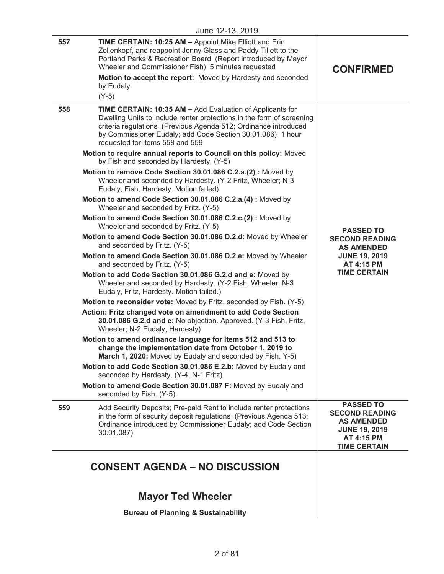|     | June 12-13, 2019                                                                                                                                                                                                                                                                                                                                                                                                                                                                                                                                                                                                                                                                                                                                                                                                                                                                                                                                                                                                                                                                                                                                                                                                                                                                                                                                                                                                                                                                                                                                                                                                                                                                                                                                                                                                               |                                                                                                                             |
|-----|--------------------------------------------------------------------------------------------------------------------------------------------------------------------------------------------------------------------------------------------------------------------------------------------------------------------------------------------------------------------------------------------------------------------------------------------------------------------------------------------------------------------------------------------------------------------------------------------------------------------------------------------------------------------------------------------------------------------------------------------------------------------------------------------------------------------------------------------------------------------------------------------------------------------------------------------------------------------------------------------------------------------------------------------------------------------------------------------------------------------------------------------------------------------------------------------------------------------------------------------------------------------------------------------------------------------------------------------------------------------------------------------------------------------------------------------------------------------------------------------------------------------------------------------------------------------------------------------------------------------------------------------------------------------------------------------------------------------------------------------------------------------------------------------------------------------------------|-----------------------------------------------------------------------------------------------------------------------------|
| 557 | TIME CERTAIN: 10:25 AM - Appoint Mike Elliott and Erin<br>Zollenkopf, and reappoint Jenny Glass and Paddy Tillett to the<br>Portland Parks & Recreation Board (Report introduced by Mayor<br>Wheeler and Commissioner Fish) 5 minutes requested<br>Motion to accept the report: Moved by Hardesty and seconded<br>by Eudaly.<br>$(Y-5)$                                                                                                                                                                                                                                                                                                                                                                                                                                                                                                                                                                                                                                                                                                                                                                                                                                                                                                                                                                                                                                                                                                                                                                                                                                                                                                                                                                                                                                                                                        | <b>CONFIRMED</b>                                                                                                            |
| 558 | TIME CERTAIN: 10:35 AM - Add Evaluation of Applicants for<br>Dwelling Units to include renter protections in the form of screening<br>criteria regulations (Previous Agenda 512; Ordinance introduced<br>by Commissioner Eudaly; add Code Section 30.01.086) 1 hour<br>requested for items 558 and 559<br>Motion to require annual reports to Council on this policy: Moved<br>by Fish and seconded by Hardesty. (Y-5)<br>Motion to remove Code Section 30.01.086 C.2.a.(2): Moved by<br>Wheeler and seconded by Hardesty. (Y-2 Fritz, Wheeler; N-3<br>Eudaly, Fish, Hardesty. Motion failed)<br>Motion to amend Code Section 30.01.086 C.2.a.(4): Moved by<br>Wheeler and seconded by Fritz. (Y-5)<br>Motion to amend Code Section 30.01.086 C.2.c.(2): Moved by<br>Wheeler and seconded by Fritz. (Y-5)<br>Motion to amend Code Section 30.01.086 D.2.d: Moved by Wheeler<br>and seconded by Fritz. (Y-5)<br>Motion to amend Code Section 30.01.086 D.2.e: Moved by Wheeler<br>and seconded by Fritz. (Y-5)<br>Motion to add Code Section 30.01.086 G.2.d and e: Moved by<br>Wheeler and seconded by Hardesty. (Y-2 Fish, Wheeler; N-3<br>Eudaly, Fritz, Hardesty. Motion failed.)<br>Motion to reconsider vote: Moved by Fritz, seconded by Fish. (Y-5)<br>Action: Fritz changed vote on amendment to add Code Section<br>30.01.086 G.2.d and e: No objection. Approved. (Y-3 Fish, Fritz,<br>Wheeler; N-2 Eudaly, Hardesty)<br>Motion to amend ordinance language for items 512 and 513 to<br>change the implementation date from October 1, 2019 to<br>March 1, 2020: Moved by Eudaly and seconded by Fish. Y-5)<br>Motion to add Code Section 30.01.086 E.2.b: Moved by Eudaly and<br>seconded by Hardesty. (Y-4; N-1 Fritz)<br>Motion to amend Code Section 30.01.087 F: Moved by Eudaly and<br>seconded by Fish. (Y-5) | <b>PASSED TO</b><br><b>SECOND READING</b><br><b>AS AMENDED</b><br><b>JUNE 19, 2019</b><br>AT 4:15 PM<br><b>TIME CERTAIN</b> |
| 559 | Add Security Deposits; Pre-paid Rent to include renter protections<br>in the form of security deposit regulations (Previous Agenda 513;<br>Ordinance introduced by Commissioner Eudaly; add Code Section<br>30.01.087)                                                                                                                                                                                                                                                                                                                                                                                                                                                                                                                                                                                                                                                                                                                                                                                                                                                                                                                                                                                                                                                                                                                                                                                                                                                                                                                                                                                                                                                                                                                                                                                                         | <b>PASSED TO</b><br><b>SECOND READING</b><br><b>AS AMENDED</b><br><b>JUNE 19, 2019</b><br>AT 4:15 PM<br><b>TIME CERTAIN</b> |
|     | <b>CONSENT AGENDA - NO DISCUSSION</b>                                                                                                                                                                                                                                                                                                                                                                                                                                                                                                                                                                                                                                                                                                                                                                                                                                                                                                                                                                                                                                                                                                                                                                                                                                                                                                                                                                                                                                                                                                                                                                                                                                                                                                                                                                                          |                                                                                                                             |

## **Mayor Ted Wheeler**

**Bureau of Planning & Sustainability**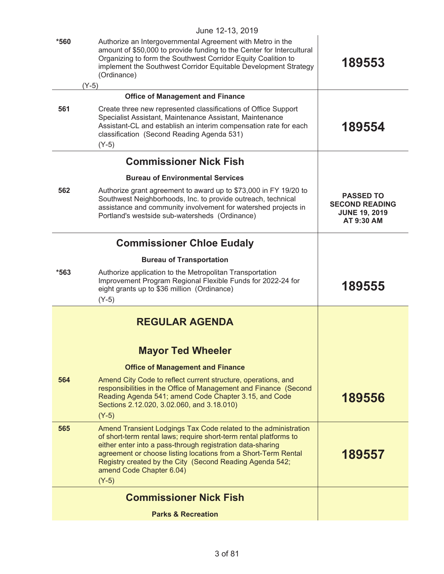|        | June 12-13, 2019                                                                                                                                                                                                                                                                                                                                                        |                                                                                 |
|--------|-------------------------------------------------------------------------------------------------------------------------------------------------------------------------------------------------------------------------------------------------------------------------------------------------------------------------------------------------------------------------|---------------------------------------------------------------------------------|
| $*560$ | Authorize an Intergovernmental Agreement with Metro in the<br>amount of \$50,000 to provide funding to the Center for Intercultural<br>Organizing to form the Southwest Corridor Equity Coalition to<br>implement the Southwest Corridor Equitable Development Strategy<br>(Ordinance)                                                                                  | 189553                                                                          |
|        | $(Y-5)$                                                                                                                                                                                                                                                                                                                                                                 |                                                                                 |
|        | <b>Office of Management and Finance</b>                                                                                                                                                                                                                                                                                                                                 |                                                                                 |
| 561    | Create three new represented classifications of Office Support<br>Specialist Assistant, Maintenance Assistant, Maintenance<br>Assistant-CL and establish an interim compensation rate for each<br>classification (Second Reading Agenda 531)<br>$(Y-5)$                                                                                                                 | 189554                                                                          |
|        | <b>Commissioner Nick Fish</b>                                                                                                                                                                                                                                                                                                                                           |                                                                                 |
|        | <b>Bureau of Environmental Services</b>                                                                                                                                                                                                                                                                                                                                 |                                                                                 |
| 562    | Authorize grant agreement to award up to \$73,000 in FY 19/20 to<br>Southwest Neighborhoods, Inc. to provide outreach, technical<br>assistance and community involvement for watershed projects in<br>Portland's westside sub-watersheds (Ordinance)                                                                                                                    | <b>PASSED TO</b><br><b>SECOND READING</b><br><b>JUNE 19, 2019</b><br>AT 9:30 AM |
|        | <b>Commissioner Chloe Eudaly</b>                                                                                                                                                                                                                                                                                                                                        |                                                                                 |
|        | <b>Bureau of Transportation</b>                                                                                                                                                                                                                                                                                                                                         |                                                                                 |
| $*563$ | Authorize application to the Metropolitan Transportation<br>Improvement Program Regional Flexible Funds for 2022-24 for<br>eight grants up to \$36 million (Ordinance)<br>$(Y-5)$                                                                                                                                                                                       | 189555                                                                          |
|        | <b>REGULAR AGENDA</b>                                                                                                                                                                                                                                                                                                                                                   |                                                                                 |
|        | <b>Mayor Ted Wheeler</b>                                                                                                                                                                                                                                                                                                                                                |                                                                                 |
|        | <b>Office of Management and Finance</b>                                                                                                                                                                                                                                                                                                                                 |                                                                                 |
| 564    | Amend City Code to reflect current structure, operations, and<br>responsibilities in the Office of Management and Finance (Second<br>Reading Agenda 541; amend Code Chapter 3.15, and Code<br>Sections 2.12.020, 3.02.060, and 3.18.010)<br>$(Y-5)$                                                                                                                     | 189556                                                                          |
| 565    | Amend Transient Lodgings Tax Code related to the administration<br>of short-term rental laws; require short-term rental platforms to<br>either enter into a pass-through registration data-sharing<br>agreement or choose listing locations from a Short-Term Rental<br>Registry created by the City (Second Reading Agenda 542;<br>amend Code Chapter 6.04)<br>$(Y-5)$ | 189557                                                                          |
|        | <b>Commissioner Nick Fish</b>                                                                                                                                                                                                                                                                                                                                           |                                                                                 |
|        | <b>Parks &amp; Recreation</b>                                                                                                                                                                                                                                                                                                                                           |                                                                                 |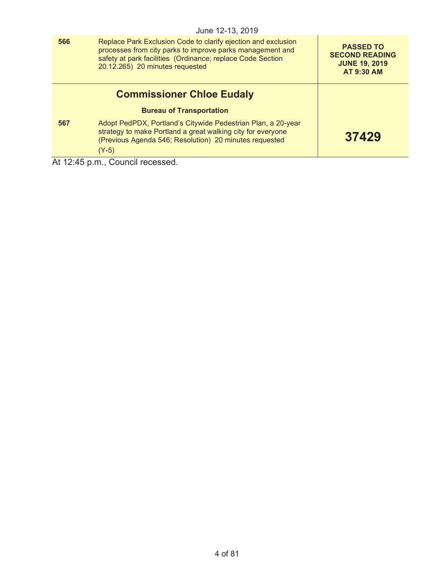|     | June 12-13, 2019                                                                                                                                                                                                            |                                                                                        |
|-----|-----------------------------------------------------------------------------------------------------------------------------------------------------------------------------------------------------------------------------|----------------------------------------------------------------------------------------|
| 566 | Replace Park Exclusion Code to clarify ejection and exclusion<br>processes from city parks to improve parks management and<br>safety at park facilities (Ordinance; replace Code Section<br>20.12.265) 20 minutes requested | <b>PASSED TO</b><br><b>SECOND READING</b><br><b>JUNE 19, 2019</b><br><b>AT 9:30 AM</b> |
|     | <b>Commissioner Chloe Eudaly</b>                                                                                                                                                                                            |                                                                                        |
|     | <b>Bureau of Transportation</b>                                                                                                                                                                                             |                                                                                        |
| 567 | Adopt PedPDX, Portland's Citywide Pedestrian Plan, a 20-year<br>strategy to make Portland a great walking city for everyone<br>(Previous Agenda 546; Resolution) 20 minutes requested<br>$(Y-5)$                            | 37429                                                                                  |
| .   |                                                                                                                                                                                                                             |                                                                                        |

At 12:45 p.m., Council recessed.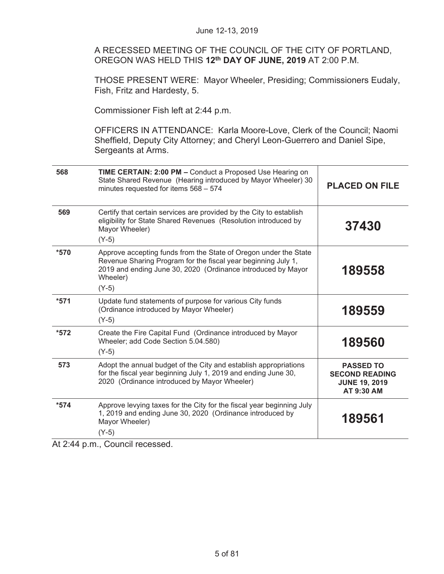A RECESSED MEETING OF THE COUNCIL OF THE CITY OF PORTLAND, OREGON WAS HELD THIS **12th DAY OF JUNE, 2019** AT 2:00 P.M.

THOSE PRESENT WERE: Mayor Wheeler, Presiding; Commissioners Eudaly, Fish, Fritz and Hardesty, 5.

Commissioner Fish left at 2:44 p.m.

OFFICERS IN ATTENDANCE: Karla Moore-Love, Clerk of the Council; Naomi Sheffield, Deputy City Attorney; and Cheryl Leon-Guerrero and Daniel Sipe, Sergeants at Arms.

| 568    | <b>TIME CERTAIN: 2:00 PM - Conduct a Proposed Use Hearing on</b><br>State Shared Revenue (Hearing introduced by Mayor Wheeler) 30<br>minutes requested for items 568 - 574                                               | <b>PLACED ON FILE</b>                                                                  |
|--------|--------------------------------------------------------------------------------------------------------------------------------------------------------------------------------------------------------------------------|----------------------------------------------------------------------------------------|
| 569    | Certify that certain services are provided by the City to establish<br>eligibility for State Shared Revenues (Resolution introduced by<br>Mayor Wheeler)<br>$(Y-5)$                                                      | 37430                                                                                  |
| *570   | Approve accepting funds from the State of Oregon under the State<br>Revenue Sharing Program for the fiscal year beginning July 1,<br>2019 and ending June 30, 2020 (Ordinance introduced by Mayor<br>Wheeler)<br>$(Y-5)$ | 189558                                                                                 |
| $*571$ | Update fund statements of purpose for various City funds<br>(Ordinance introduced by Mayor Wheeler)<br>$(Y-5)$                                                                                                           | 189559                                                                                 |
| $*572$ | Create the Fire Capital Fund (Ordinance introduced by Mayor<br>Wheeler; add Code Section 5.04.580)<br>$(Y-5)$                                                                                                            | 189560                                                                                 |
| 573    | Adopt the annual budget of the City and establish appropriations<br>for the fiscal year beginning July 1, 2019 and ending June 30,<br>2020 (Ordinance introduced by Mayor Wheeler)                                       | <b>PASSED TO</b><br><b>SECOND READING</b><br><b>JUNE 19, 2019</b><br><b>AT 9:30 AM</b> |
| $*574$ | Approve levying taxes for the City for the fiscal year beginning July<br>1, 2019 and ending June 30, 2020 (Ordinance introduced by<br>Mayor Wheeler)<br>$(Y-5)$                                                          | 189561                                                                                 |

At 2:44 p.m., Council recessed.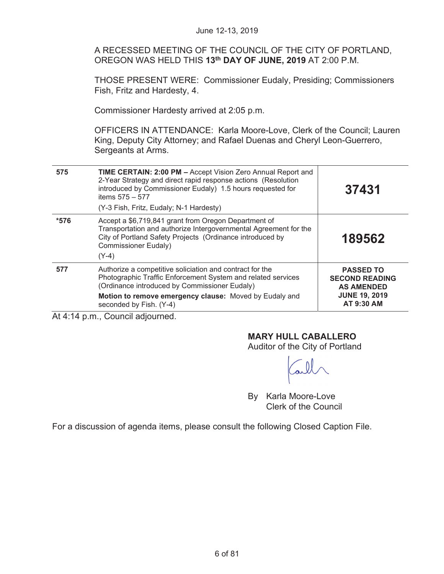|                                       | June 12-13, 2019                                                                                                                                                                                                                                            |                                                                |
|---------------------------------------|-------------------------------------------------------------------------------------------------------------------------------------------------------------------------------------------------------------------------------------------------------------|----------------------------------------------------------------|
|                                       | A RECESSED MEETING OF THE COUNCIL OF THE CITY OF PORTLAND,<br>OREGON WAS HELD THIS 13th DAY OF JUNE, 2019 AT 2:00 P.M.                                                                                                                                      |                                                                |
|                                       | <b>THOSE PRESENT WERE: Commissioner Eudaly, Presiding; Commissioners</b><br>Fish, Fritz and Hardesty, 4.                                                                                                                                                    |                                                                |
|                                       | Commissioner Hardesty arrived at 2:05 p.m.                                                                                                                                                                                                                  |                                                                |
|                                       | OFFICERS IN ATTENDANCE: Karla Moore-Love, Clerk of the Council; Lauren<br>King, Deputy City Attorney; and Rafael Duenas and Cheryl Leon-Guerrero,<br>Sergeants at Arms.                                                                                     |                                                                |
| 575                                   | TIME CERTAIN: 2:00 PM - Accept Vision Zero Annual Report and<br>2-Year Strategy and direct rapid response actions (Resolution<br>introduced by Commissioner Eudaly) 1.5 hours requested for<br>items $575 - 577$<br>(Y-3 Fish, Fritz, Eudaly; N-1 Hardesty) | 37431                                                          |
| $*576$                                | Accept a \$6,719,841 grant from Oregon Department of<br>Transportation and authorize Intergovernmental Agreement for the<br>City of Portland Safety Projects (Ordinance introduced by<br><b>Commissioner Eudaly)</b><br>$(Y-4)$                             | 189562                                                         |
| 577                                   | Authorize a competitive soliciation and contract for the<br>Photographic Traffic Enforcement System and related services<br>(Ordinance introduced by Commissioner Eudaly)                                                                                   | <b>PASSED TO</b><br><b>SECOND READING</b><br><b>AS AMENDED</b> |
|                                       | Motion to remove emergency clause: Moved by Eudaly and<br>seconded by Fish. (Y-4)                                                                                                                                                                           | <b>JUNE 19, 2019</b><br>AT 9:30 AM                             |
| $\Delta t$ A.14 n m Council adjourned |                                                                                                                                                                                                                                                             |                                                                |

At 4:14 p.m., Council adjourned.

## **MARY HULL CABALLERO**

Auditor of the City of Portland

Tall

By Karla Moore-Love Clerk of the Council

For a discussion of agenda items, please consult the following Closed Caption File.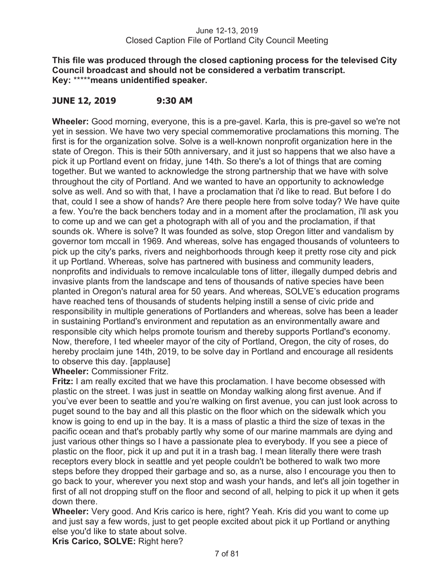**This file was produced through the closed captioning process for the televised City Council broadcast and should not be considered a verbatim transcript. Key:** \*\*\*\*\***means unidentified speaker.** 

## **JUNE 12, 2019 9:30 AM**

**Wheeler:** Good morning, everyone, this is a pre-gavel. Karla, this is pre-gavel so we're not yet in session. We have two very special commemorative proclamations this morning. The first is for the organization solve. Solve is a well-known nonprofit organization here in the state of Oregon. This is their 50th anniversary, and it just so happens that we also have a pick it up Portland event on friday, june 14th. So there's a lot of things that are coming together. But we wanted to acknowledge the strong partnership that we have with solve throughout the city of Portland. And we wanted to have an opportunity to acknowledge solve as well. And so with that, I have a proclamation that i'd like to read. But before I do that, could I see a show of hands? Are there people here from solve today? We have quite a few. You're the back benchers today and in a moment after the proclamation, i'll ask you to come up and we can get a photograph with all of you and the proclamation, if that sounds ok. Where is solve? It was founded as solve, stop Oregon litter and vandalism by governor tom mccall in 1969. And whereas, solve has engaged thousands of volunteers to pick up the city's parks, rivers and neighborhoods through keep it pretty rose city and pick it up Portland. Whereas, solve has partnered with business and community leaders, nonprofits and individuals to remove incalculable tons of litter, illegally dumped debris and invasive plants from the landscape and tens of thousands of native species have been planted in Oregon's natural area for 50 years. And whereas, SOLVE's education programs have reached tens of thousands of students helping instill a sense of civic pride and responsibility in multiple generations of Portlanders and whereas, solve has been a leader in sustaining Portland's environment and reputation as an environmentally aware and responsible city which helps promote tourism and thereby supports Portland's economy. Now, therefore, I ted wheeler mayor of the city of Portland, Oregon, the city of roses, do hereby proclaim june 14th, 2019, to be solve day in Portland and encourage all residents to observe this day. [applause]

**Wheeler:** Commissioner Fritz.

**Fritz:** I am really excited that we have this proclamation. I have become obsessed with plastic on the street. I was just in seattle on Monday walking along first avenue. And if you've ever been to seattle and you're walking on first avenue, you can just look across to puget sound to the bay and all this plastic on the floor which on the sidewalk which you know is going to end up in the bay. It is a mass of plastic a third the size of texas in the pacific ocean and that's probably partly why some of our marine mammals are dying and just various other things so I have a passionate plea to everybody. If you see a piece of plastic on the floor, pick it up and put it in a trash bag. I mean literally there were trash receptors every block in seattle and yet people couldn't be bothered to walk two more steps before they dropped their garbage and so, as a nurse, also I encourage you then to go back to your, wherever you next stop and wash your hands, and let's all join together in first of all not dropping stuff on the floor and second of all, helping to pick it up when it gets down there.

**Wheeler:** Very good. And Kris carico is here, right? Yeah. Kris did you want to come up and just say a few words, just to get people excited about pick it up Portland or anything else you'd like to state about solve.

**Kris Carico, SOLVE:** Right here?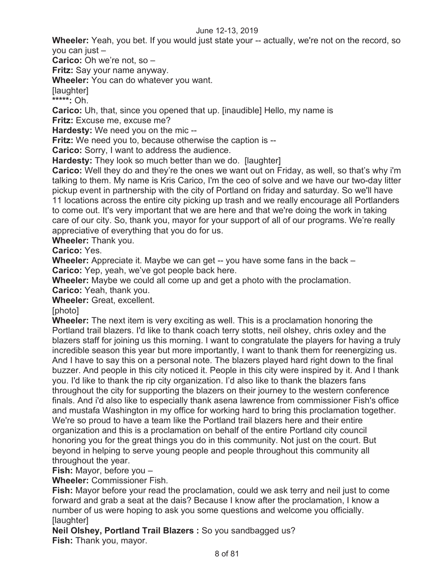**Wheeler:** Yeah, you bet. If you would just state your -- actually, we're not on the record, so you can just –

**Carico:** Oh we're not, so –

**Fritz:** Say your name anyway.

**Wheeler:** You can do whatever you want.

[laughter]

**\*\*\*\*\*:** Oh.

**Carico:** Uh, that, since you opened that up. [inaudible] Hello, my name is

**Fritz:** Excuse me, excuse me?

**Hardesty:** We need you on the mic --

**Fritz:** We need you to, because otherwise the caption is --

**Carico:** Sorry, I want to address the audience.

**Hardesty:** They look so much better than we do. [laughter]

**Carico:** Well they do and they're the ones we want out on Friday, as well, so that's why i'm talking to them. My name is Kris Carico, I'm the ceo of solve and we have our two-day litter pickup event in partnership with the city of Portland on friday and saturday. So we'll have 11 locations across the entire city picking up trash and we really encourage all Portlanders to come out. It's very important that we are here and that we're doing the work in taking care of our city. So, thank you, mayor for your support of all of our programs. We're really appreciative of everything that you do for us.

**Wheeler:** Thank you.

**Carico:** Yes.

**Wheeler:** Appreciate it. Maybe we can get -- you have some fans in the back – **Carico:** Yep, yeah, we've got people back here.

**Wheeler:** Maybe we could all come up and get a photo with the proclamation.

**Carico:** Yeah, thank you.

**Wheeler:** Great, excellent.

[photo]

**Wheeler:** The next item is very exciting as well. This is a proclamation honoring the Portland trail blazers. I'd like to thank coach terry stotts, neil olshey, chris oxley and the blazers staff for joining us this morning. I want to congratulate the players for having a truly incredible season this year but more importantly, I want to thank them for reenergizing us. And I have to say this on a personal note. The blazers played hard right down to the final buzzer. And people in this city noticed it. People in this city were inspired by it. And I thank you. I'd like to thank the rip city organization. I'd also like to thank the blazers fans throughout the city for supporting the blazers on their journey to the western conference finals. And i'd also like to especially thank asena lawrence from commissioner Fish's office and mustafa Washington in my office for working hard to bring this proclamation together. We're so proud to have a team like the Portland trail blazers here and their entire organization and this is a proclamation on behalf of the entire Portland city council honoring you for the great things you do in this community. Not just on the court. But beyond in helping to serve young people and people throughout this community all throughout the year.

**Fish:** Mayor, before you –

**Wheeler:** Commissioner Fish.

**Fish:** Mayor before your read the proclamation, could we ask terry and neil just to come forward and grab a seat at the dais? Because I know after the proclamation, I know a number of us were hoping to ask you some questions and welcome you officially. [laughter]

**Neil Olshey, Portland Trail Blazers :** So you sandbagged us? **Fish:** Thank you, mayor.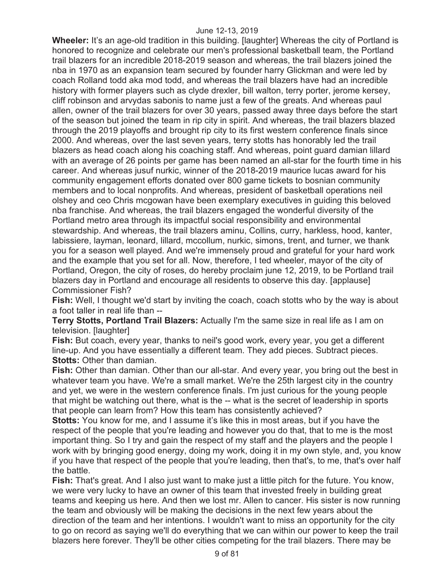**Wheeler:** It's an age-old tradition in this building. [laughter] Whereas the city of Portland is honored to recognize and celebrate our men's professional basketball team, the Portland trail blazers for an incredible 2018-2019 season and whereas, the trail blazers joined the nba in 1970 as an expansion team secured by founder harry Glickman and were led by coach Rolland todd aka mod todd, and whereas the trail blazers have had an incredible history with former players such as clyde drexler, bill walton, terry porter, jerome kersey, cliff robinson and arvydas sabonis to name just a few of the greats. And whereas paul allen, owner of the trail blazers for over 30 years, passed away three days before the start of the season but joined the team in rip city in spirit. And whereas, the trail blazers blazed through the 2019 playoffs and brought rip city to its first western conference finals since 2000. And whereas, over the last seven years, terry stotts has honorably led the trail blazers as head coach along his coaching staff. And whereas, point guard damian lillard with an average of 26 points per game has been named an all-star for the fourth time in his career. And whereas jusuf nurkic, winner of the 2018-2019 maurice lucas award for his community engagement efforts donated over 800 game tickets to bosnian community members and to local nonprofits. And whereas, president of basketball operations neil olshey and ceo Chris mcgowan have been exemplary executives in guiding this beloved nba franchise. And whereas, the trail blazers engaged the wonderful diversity of the Portland metro area through its impactful social responsibility and environmental stewardship. And whereas, the trail blazers aminu, Collins, curry, harkless, hood, kanter, labissiere, layman, leonard, lillard, mccollum, nurkic, simons, trent, and turner, we thank you for a season well played. And we're immensely proud and grateful for your hard work and the example that you set for all. Now, therefore, I ted wheeler, mayor of the city of Portland, Oregon, the city of roses, do hereby proclaim june 12, 2019, to be Portland trail blazers day in Portland and encourage all residents to observe this day. [applause] Commissioner Fish?

**Fish:** Well, I thought we'd start by inviting the coach, coach stotts who by the way is about a foot taller in real life than --

**Terry Stotts, Portland Trail Blazers:** Actually I'm the same size in real life as I am on television. [laughter]

**Fish:** But coach, every year, thanks to neil's good work, every year, you get a different line-up. And you have essentially a different team. They add pieces. Subtract pieces. **Stotts:** Other than damian.

**Fish:** Other than damian. Other than our all-star. And every year, you bring out the best in whatever team you have. We're a small market. We're the 25th largest city in the country and yet, we were in the western conference finals. I'm just curious for the young people that might be watching out there, what is the -- what is the secret of leadership in sports that people can learn from? How this team has consistently achieved?

**Stotts:** You know for me, and I assume it's like this in most areas, but if you have the respect of the people that you're leading and however you do that, that to me is the most important thing. So I try and gain the respect of my staff and the players and the people I work with by bringing good energy, doing my work, doing it in my own style, and, you know if you have that respect of the people that you're leading, then that's, to me, that's over half the battle.

**Fish:** That's great. And I also just want to make just a little pitch for the future. You know, we were very lucky to have an owner of this team that invested freely in building great teams and keeping us here. And then we lost mr. Allen to cancer. His sister is now running the team and obviously will be making the decisions in the next few years about the direction of the team and her intentions. I wouldn't want to miss an opportunity for the city to go on record as saying we'll do everything that we can within our power to keep the trail blazers here forever. They'll be other cities competing for the trail blazers. There may be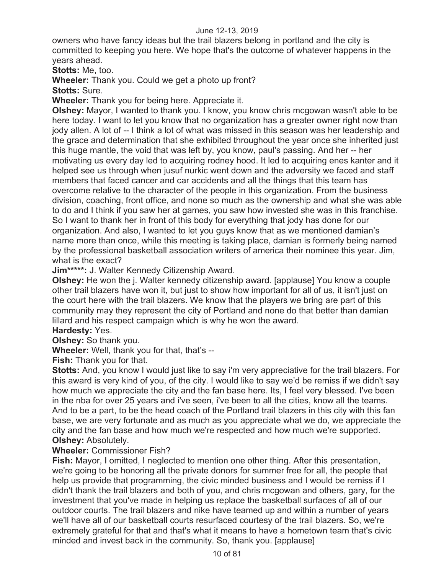owners who have fancy ideas but the trail blazers belong in portland and the city is committed to keeping you here. We hope that's the outcome of whatever happens in the years ahead.

**Stotts:** Me, too.

**Wheeler:** Thank you. Could we get a photo up front?

**Stotts:** Sure.

**Wheeler:** Thank you for being here. Appreciate it.

**Olshey:** Mayor, I wanted to thank you. I know, you know chris mcgowan wasn't able to be here today. I want to let you know that no organization has a greater owner right now than jody allen. A lot of -- I think a lot of what was missed in this season was her leadership and the grace and determination that she exhibited throughout the year once she inherited just this huge mantle, the void that was left by, you know, paul's passing. And her -- her motivating us every day led to acquiring rodney hood. It led to acquiring enes kanter and it helped see us through when jusuf nurkic went down and the adversity we faced and staff members that faced cancer and car accidents and all the things that this team has overcome relative to the character of the people in this organization. From the business division, coaching, front office, and none so much as the ownership and what she was able to do and I think if you saw her at games, you saw how invested she was in this franchise. So I want to thank her in front of this body for everything that jody has done for our organization. And also, I wanted to let you guys know that as we mentioned damian's name more than once, while this meeting is taking place, damian is formerly being named by the professional basketball association writers of america their nominee this year. Jim, what is the exact?

**Jim\*\*\*\*\*:** J. Walter Kennedy Citizenship Award.

**Olshey:** He won the j. Walter kennedy citizenship award. [applause] You know a couple other trail blazers have won it, but just to show how important for all of us, it isn't just on the court here with the trail blazers. We know that the players we bring are part of this community may they represent the city of Portland and none do that better than damian lillard and his respect campaign which is why he won the award.

**Hardesty:** Yes.

**Olshey:** So thank you.

**Wheeler:** Well, thank you for that, that's --

**Fish:** Thank you for that.

**Stotts:** And, you know I would just like to say i'm very appreciative for the trail blazers. For this award is very kind of you, of the city. I would like to say we'd be remiss if we didn't say how much we appreciate the city and the fan base here. Its, I feel very blessed. I've been in the nba for over 25 years and i've seen, i've been to all the cities, know all the teams. And to be a part, to be the head coach of the Portland trail blazers in this city with this fan base, we are very fortunate and as much as you appreciate what we do, we appreciate the city and the fan base and how much we're respected and how much we're supported. **Olshey:** Absolutely.

#### **Wheeler:** Commissioner Fish?

**Fish:** Mayor, I omitted, I neglected to mention one other thing. After this presentation, we're going to be honoring all the private donors for summer free for all, the people that help us provide that programming, the civic minded business and I would be remiss if I didn't thank the trail blazers and both of you, and chris mcgowan and others, gary, for the investment that you've made in helping us replace the basketball surfaces of all of our outdoor courts. The trail blazers and nike have teamed up and within a number of years we'll have all of our basketball courts resurfaced courtesy of the trail blazers. So, we're extremely grateful for that and that's what it means to have a hometown team that's civic minded and invest back in the community. So, thank you. [applause]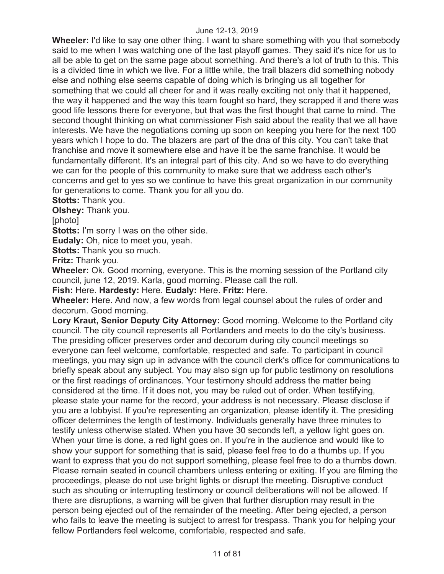**Wheeler:** I'd like to say one other thing. I want to share something with you that somebody said to me when I was watching one of the last playoff games. They said it's nice for us to all be able to get on the same page about something. And there's a lot of truth to this. This is a divided time in which we live. For a little while, the trail blazers did something nobody else and nothing else seems capable of doing which is bringing us all together for something that we could all cheer for and it was really exciting not only that it happened, the way it happened and the way this team fought so hard, they scrapped it and there was good life lessons there for everyone, but that was the first thought that came to mind. The second thought thinking on what commissioner Fish said about the reality that we all have interests. We have the negotiations coming up soon on keeping you here for the next 100 years which I hope to do. The blazers are part of the dna of this city. You can't take that franchise and move it somewhere else and have it be the same franchise. It would be fundamentally different. It's an integral part of this city. And so we have to do everything we can for the people of this community to make sure that we address each other's concerns and get to yes so we continue to have this great organization in our community for generations to come. Thank you for all you do.

**Stotts:** Thank you.

**Olshey:** Thank you.

[photo]

**Stotts:** I'm sorry I was on the other side.

**Eudaly:** Oh, nice to meet you, yeah.

**Stotts:** Thank you so much.

**Fritz:** Thank you.

**Wheeler:** Ok. Good morning, everyone. This is the morning session of the Portland city council, june 12, 2019. Karla, good morning. Please call the roll.

**Fish:** Here. **Hardesty:** Here. **Eudaly:** Here. **Fritz:** Here.

**Wheeler:** Here. And now, a few words from legal counsel about the rules of order and decorum. Good morning.

**Lory Kraut, Senior Deputy City Attorney:** Good morning. Welcome to the Portland city council. The city council represents all Portlanders and meets to do the city's business. The presiding officer preserves order and decorum during city council meetings so everyone can feel welcome, comfortable, respected and safe. To participant in council meetings, you may sign up in advance with the council clerk's office for communications to briefly speak about any subject. You may also sign up for public testimony on resolutions or the first readings of ordinances. Your testimony should address the matter being considered at the time. If it does not, you may be ruled out of order. When testifying, please state your name for the record, your address is not necessary. Please disclose if you are a lobbyist. If you're representing an organization, please identify it. The presiding officer determines the length of testimony. Individuals generally have three minutes to testify unless otherwise stated. When you have 30 seconds left, a yellow light goes on. When your time is done, a red light goes on. If you're in the audience and would like to show your support for something that is said, please feel free to do a thumbs up. If you want to express that you do not support something, please feel free to do a thumbs down. Please remain seated in council chambers unless entering or exiting. If you are filming the proceedings, please do not use bright lights or disrupt the meeting. Disruptive conduct such as shouting or interrupting testimony or council deliberations will not be allowed. If there are disruptions, a warning will be given that further disruption may result in the person being ejected out of the remainder of the meeting. After being ejected, a person who fails to leave the meeting is subject to arrest for trespass. Thank you for helping your fellow Portlanders feel welcome, comfortable, respected and safe.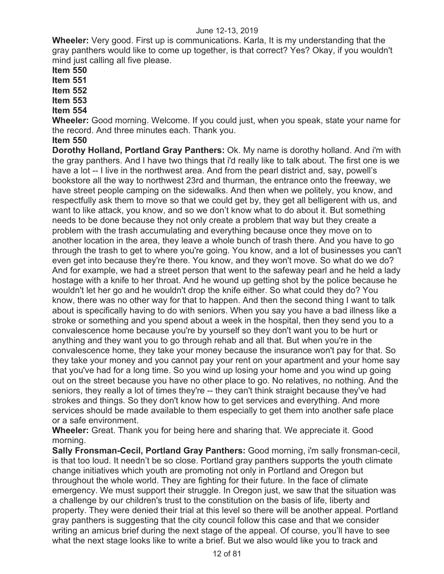**Wheeler:** Very good. First up is communications. Karla, It is my understanding that the gray panthers would like to come up together, is that correct? Yes? Okay, if you wouldn't mind just calling all five please.

**Item 550** 

**Item 551** 

**Item 552** 

**Item 553** 

**Item 554**

**Wheeler:** Good morning. Welcome. If you could just, when you speak, state your name for the record. And three minutes each. Thank you.

#### **Item 550**

**Dorothy Holland, Portland Gray Panthers:** Ok. My name is dorothy holland. And i'm with the gray panthers. And I have two things that i'd really like to talk about. The first one is we have a lot -- I live in the northwest area. And from the pearl district and, say, powell's bookstore all the way to northwest 23rd and thurman, the entrance onto the freeway, we have street people camping on the sidewalks. And then when we politely, you know, and respectfully ask them to move so that we could get by, they get all belligerent with us, and want to like attack, you know, and so we don't know what to do about it. But something needs to be done because they not only create a problem that way but they create a problem with the trash accumulating and everything because once they move on to another location in the area, they leave a whole bunch of trash there. And you have to go through the trash to get to where you're going. You know, and a lot of businesses you can't even get into because they're there. You know, and they won't move. So what do we do? And for example, we had a street person that went to the safeway pearl and he held a lady hostage with a knife to her throat. And he wound up getting shot by the police because he wouldn't let her go and he wouldn't drop the knife either. So what could they do? You know, there was no other way for that to happen. And then the second thing I want to talk about is specifically having to do with seniors. When you say you have a bad illness like a stroke or something and you spend about a week in the hospital, then they send you to a convalescence home because you're by yourself so they don't want you to be hurt or anything and they want you to go through rehab and all that. But when you're in the convalescence home, they take your money because the insurance won't pay for that. So they take your money and you cannot pay your rent on your apartment and your home say that you've had for a long time. So you wind up losing your home and you wind up going out on the street because you have no other place to go. No relatives, no nothing. And the seniors, they really a lot of times they're -- they can't think straight because they've had strokes and things. So they don't know how to get services and everything. And more services should be made available to them especially to get them into another safe place or a safe environment.

**Wheeler:** Great. Thank you for being here and sharing that. We appreciate it. Good morning.

**Sally Fronsman-Cecil, Portland Gray Panthers:** Good morning, i'm sally fronsman-cecil, is that too loud. It needn't be so close. Portland gray panthers supports the youth climate change initiatives which youth are promoting not only in Portland and Oregon but throughout the whole world. They are fighting for their future. In the face of climate emergency. We must support their struggle. In Oregon just, we saw that the situation was a challenge by our children's trust to the constitution on the basis of life, liberty and property. They were denied their trial at this level so there will be another appeal. Portland gray panthers is suggesting that the city council follow this case and that we consider writing an amicus brief during the next stage of the appeal. Of course, you'll have to see what the next stage looks like to write a brief. But we also would like you to track and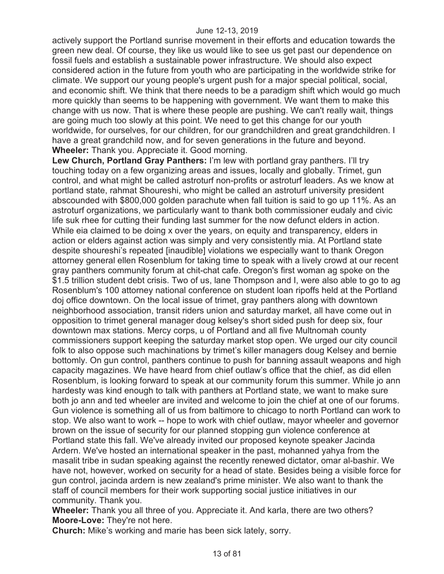actively support the Portland sunrise movement in their efforts and education towards the green new deal. Of course, they like us would like to see us get past our dependence on fossil fuels and establish a sustainable power infrastructure. We should also expect considered action in the future from youth who are participating in the worldwide strike for climate. We support our young people's urgent push for a major special political, social, and economic shift. We think that there needs to be a paradigm shift which would go much more quickly than seems to be happening with government. We want them to make this change with us now. That is where these people are pushing. We can't really wait, things are going much too slowly at this point. We need to get this change for our youth worldwide, for ourselves, for our children, for our grandchildren and great grandchildren. I have a great grandchild now, and for seven generations in the future and beyond. **Wheeler:** Thank you. Appreciate it. Good morning.

**Lew Church, Portland Gray Panthers:** I'm lew with portland gray panthers. I'll try touching today on a few organizing areas and issues, locally and globally. Trimet, gun control, and what might be called astroturf non-profits or astroturf leaders. As we know at portland state, rahmat Shoureshi, who might be called an astroturf university president abscounded with \$800,000 golden parachute when fall tuition is said to go up 11%. As an astroturf organizations, we particularly want to thank both commissioner eudaly and civic life suk rhee for cutting their funding last summer for the now defunct elders in action. While eia claimed to be doing x over the years, on equity and transparency, elders in action or elders against action was simply and very consistently mia. At Portland state despite shoureshi's repeated [inaudible] violations we especially want to thank Oregon attorney general ellen Rosenblum for taking time to speak with a lively crowd at our recent gray panthers community forum at chit-chat cafe. Oregon's first woman ag spoke on the \$1.5 trillion student debt crisis. Two of us, lane Thompson and I, were also able to go to ag Rosenblum's 100 attorney national conference on student loan ripoffs held at the Portland doj office downtown. On the local issue of trimet, gray panthers along with downtown neighborhood association, transit riders union and saturday market, all have come out in opposition to trimet general manager doug kelsey's short sided push for deep six, four downtown max stations. Mercy corps, u of Portland and all five Multnomah county commissioners support keeping the saturday market stop open. We urged our city council folk to also oppose such machinations by trimet's killer managers doug Kelsey and bernie bottomly. On gun control, panthers continue to push for banning assault weapons and high capacity magazines. We have heard from chief outlaw's office that the chief, as did ellen Rosenblum, is looking forward to speak at our community forum this summer. While jo ann hardesty was kind enough to talk with panthers at Portland state, we want to make sure both jo ann and ted wheeler are invited and welcome to join the chief at one of our forums. Gun violence is something all of us from baltimore to chicago to north Portland can work to stop. We also want to work -- hope to work with chief outlaw, mayor wheeler and governor brown on the issue of security for our planned stopping gun violence conference at Portland state this fall. We've already invited our proposed keynote speaker Jacinda Ardern. We've hosted an international speaker in the past, mohanned yahya from the masalit tribe in sudan speaking against the recently renewed dictator, omar al-bashir. We have not, however, worked on security for a head of state. Besides being a visible force for gun control, jacinda ardern is new zealand's prime minister. We also want to thank the staff of council members for their work supporting social justice initiatives in our community. Thank you.

**Wheeler:** Thank you all three of you. Appreciate it. And karla, there are two others? **Moore-Love:** They're not here.

**Church:** Mike's working and marie has been sick lately, sorry.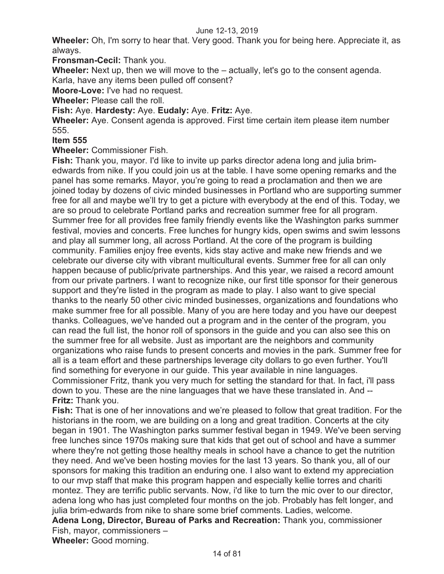**Wheeler:** Oh, I'm sorry to hear that. Very good. Thank you for being here. Appreciate it, as always.

**Fronsman-Cecil:** Thank you.

**Wheeler:** Next up, then we will move to the – actually, let's go to the consent agenda. Karla, have any items been pulled off consent?

**Moore-Love:** I've had no request.

**Wheeler:** Please call the roll.

**Fish:** Aye. **Hardesty:** Aye. **Eudaly:** Aye. **Fritz:** Aye.

**Wheeler:** Aye. Consent agenda is approved. First time certain item please item number 555.

#### **Item 555**

**Wheeler:** Commissioner Fish.

**Fish:** Thank you, mayor. I'd like to invite up parks director adena long and julia brimedwards from nike. If you could join us at the table. I have some opening remarks and the panel has some remarks. Mayor, you're going to read a proclamation and then we are joined today by dozens of civic minded businesses in Portland who are supporting summer free for all and maybe we'll try to get a picture with everybody at the end of this. Today, we are so proud to celebrate Portland parks and recreation summer free for all program. Summer free for all provides free family friendly events like the Washington parks summer festival, movies and concerts. Free lunches for hungry kids, open swims and swim lessons and play all summer long, all across Portland. At the core of the program is building community. Families enjoy free events, kids stay active and make new friends and we celebrate our diverse city with vibrant multicultural events. Summer free for all can only happen because of public/private partnerships. And this year, we raised a record amount from our private partners. I want to recognize nike, our first title sponsor for their generous support and they're listed in the program as made to play. I also want to give special thanks to the nearly 50 other civic minded businesses, organizations and foundations who make summer free for all possible. Many of you are here today and you have our deepest thanks. Colleagues, we've handed out a program and in the center of the program, you can read the full list, the honor roll of sponsors in the guide and you can also see this on the summer free for all website. Just as important are the neighbors and community organizations who raise funds to present concerts and movies in the park. Summer free for all is a team effort and these partnerships leverage city dollars to go even further. You'll find something for everyone in our guide. This year available in nine languages. Commissioner Fritz, thank you very much for setting the standard for that. In fact, i'll pass down to you. These are the nine languages that we have these translated in. And -- **Fritz:** Thank you.

**Fish:** That is one of her innovations and we're pleased to follow that great tradition. For the historians in the room, we are building on a long and great tradition. Concerts at the city began in 1901. The Washington parks summer festival began in 1949. We've been serving free lunches since 1970s making sure that kids that get out of school and have a summer where they're not getting those healthy meals in school have a chance to get the nutrition they need. And we've been hosting movies for the last 13 years. So thank you, all of our sponsors for making this tradition an enduring one. I also want to extend my appreciation to our mvp staff that make this program happen and especially kellie torres and chariti montez. They are terrific public servants. Now, i'd like to turn the mic over to our director, adena long who has just completed four months on the job. Probably has felt longer, and julia brim-edwards from nike to share some brief comments. Ladies, welcome. **Adena Long, Director, Bureau of Parks and Recreation:** Thank you, commissioner

Fish, mayor, commissioners –

**Wheeler:** Good morning.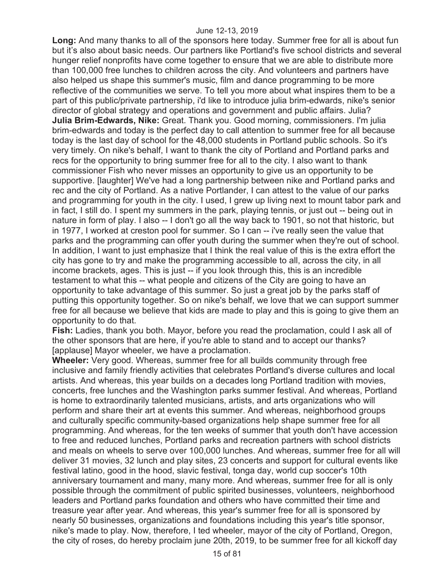**Long:** And many thanks to all of the sponsors here today. Summer free for all is about fun but it's also about basic needs. Our partners like Portland's five school districts and several hunger relief nonprofits have come together to ensure that we are able to distribute more than 100,000 free lunches to children across the city. And volunteers and partners have also helped us shape this summer's music, film and dance programming to be more reflective of the communities we serve. To tell you more about what inspires them to be a part of this public/private partnership, i'd like to introduce julia brim-edwards, nike's senior director of global strategy and operations and government and public affairs. Julia? **Julia Brim-Edwards, Nike:** Great. Thank you. Good morning, commissioners. I'm julia brim-edwards and today is the perfect day to call attention to summer free for all because today is the last day of school for the 48,000 students in Portland public schools. So it's very timely. On nike's behalf, I want to thank the city of Portland and Portland parks and recs for the opportunity to bring summer free for all to the city. I also want to thank commissioner Fish who never misses an opportunity to give us an opportunity to be supportive. [laughter] We've had a long partnership between nike and Portland parks and rec and the city of Portland. As a native Portlander, I can attest to the value of our parks and programming for youth in the city. I used, I grew up living next to mount tabor park and in fact, I still do. I spent my summers in the park, playing tennis, or just out -- being out in nature in form of play. I also -- I don't go all the way back to 1901, so not that historic, but in 1977, I worked at creston pool for summer. So I can -- i've really seen the value that parks and the programming can offer youth during the summer when they're out of school. In addition, I want to just emphasize that I think the real value of this is the extra effort the city has gone to try and make the programming accessible to all, across the city, in all income brackets, ages. This is just -- if you look through this, this is an incredible testament to what this -- what people and citizens of the City are going to have an opportunity to take advantage of this summer. So just a great job by the parks staff of putting this opportunity together. So on nike's behalf, we love that we can support summer free for all because we believe that kids are made to play and this is going to give them an opportunity to do that.

**Fish:** Ladies, thank you both. Mayor, before you read the proclamation, could I ask all of the other sponsors that are here, if you're able to stand and to accept our thanks? [applause] Mayor wheeler, we have a proclamation.

**Wheeler:** Very good. Whereas, summer free for all builds community through free inclusive and family friendly activities that celebrates Portland's diverse cultures and local artists. And whereas, this year builds on a decades long Portland tradition with movies, concerts, free lunches and the Washington parks summer festival. And whereas, Portland is home to extraordinarily talented musicians, artists, and arts organizations who will perform and share their art at events this summer. And whereas, neighborhood groups and culturally specific community-based organizations help shape summer free for all programming. And whereas, for the ten weeks of summer that youth don't have accession to free and reduced lunches, Portland parks and recreation partners with school districts and meals on wheels to serve over 100,000 lunches. And whereas, summer free for all will deliver 31 movies, 32 lunch and play sites, 23 concerts and support for cultural events like festival latino, good in the hood, slavic festival, tonga day, world cup soccer's 10th anniversary tournament and many, many more. And whereas, summer free for all is only possible through the commitment of public spirited businesses, volunteers, neighborhood leaders and Portland parks foundation and others who have committed their time and treasure year after year. And whereas, this year's summer free for all is sponsored by nearly 50 businesses, organizations and foundations including this year's title sponsor, nike's made to play. Now, therefore, I ted wheeler, mayor of the city of Portland, Oregon, the city of roses, do hereby proclaim june 20th, 2019, to be summer free for all kickoff day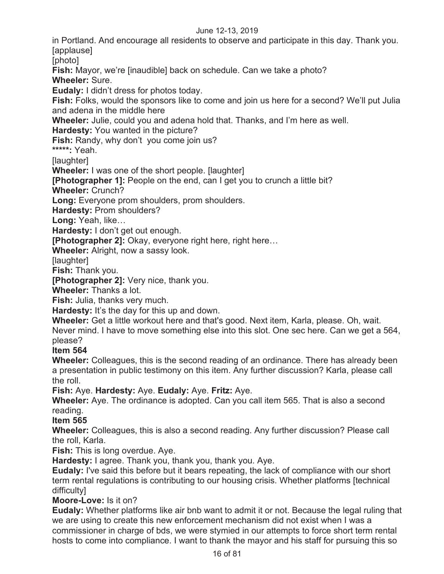in Portland. And encourage all residents to observe and participate in this day. Thank you. [applause]

[photo]

**Fish:** Mayor, we're [inaudible] back on schedule. Can we take a photo? **Wheeler:** Sure.

**Eudaly:** I didn't dress for photos today.

**Fish:** Folks, would the sponsors like to come and join us here for a second? We'll put Julia and adena in the middle here

**Wheeler:** Julie, could you and adena hold that. Thanks, and I'm here as well.

**Hardesty:** You wanted in the picture?

**Fish:** Randy, why don't you come join us?

**\*\*\*\*\*:** Yeah.

[laughter]

**Wheeler:** I was one of the short people. [laughter]

**[Photographer 1]:** People on the end, can I get you to crunch a little bit?

**Wheeler:** Crunch?

**Long:** Everyone prom shoulders, prom shoulders.

**Hardesty:** Prom shoulders?

**Long:** Yeah, like…

**Hardesty:** I don't get out enough.

**[Photographer 2]:** Okay, everyone right here, right here…

**Wheeler:** Alright, now a sassy look.

[laughter]

**Fish:** Thank you.

**[Photographer 2]:** Very nice, thank you.

**Wheeler:** Thanks a lot.

**Fish:** Julia, thanks very much.

**Hardesty:** It's the day for this up and down.

**Wheeler:** Get a little workout here and that's good. Next item, Karla, please. Oh, wait.

Never mind. I have to move something else into this slot. One sec here. Can we get a 564, please?

## **Item 564**

**Wheeler:** Colleagues, this is the second reading of an ordinance. There has already been a presentation in public testimony on this item. Any further discussion? Karla, please call the roll.

**Fish:** Aye. **Hardesty:** Aye. **Eudaly:** Aye. **Fritz:** Aye.

**Wheeler:** Aye. The ordinance is adopted. Can you call item 565. That is also a second reading.

**Item 565** 

**Wheeler:** Colleagues, this is also a second reading. Any further discussion? Please call the roll, Karla.

**Fish:** This is long overdue. Aye.

**Hardesty:** I agree. Thank you, thank you, thank you. Aye.

**Eudaly:** I've said this before but it bears repeating, the lack of compliance with our short term rental regulations is contributing to our housing crisis. Whether platforms [technical difficulty]

## **Moore-Love:** Is it on?

**Eudaly:** Whether platforms like air bnb want to admit it or not. Because the legal ruling that we are using to create this new enforcement mechanism did not exist when I was a commissioner in charge of bds, we were stymied in our attempts to force short term rental hosts to come into compliance. I want to thank the mayor and his staff for pursuing this so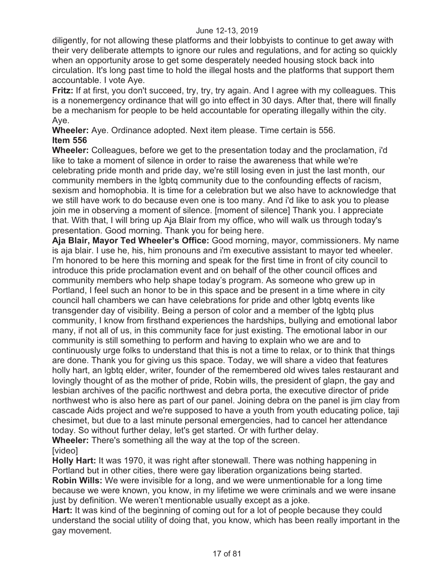diligently, for not allowing these platforms and their lobbyists to continue to get away with their very deliberate attempts to ignore our rules and regulations, and for acting so quickly when an opportunity arose to get some desperately needed housing stock back into circulation. It's long past time to hold the illegal hosts and the platforms that support them accountable. I vote Aye.

**Fritz:** If at first, you don't succeed, try, try, try again. And I agree with my colleagues. This is a nonemergency ordinance that will go into effect in 30 days. After that, there will finally be a mechanism for people to be held accountable for operating illegally within the city. Aye.

**Wheeler:** Aye. Ordinance adopted. Next item please. Time certain is 556. **Item 556** 

**Wheeler:** Colleagues, before we get to the presentation today and the proclamation, i'd like to take a moment of silence in order to raise the awareness that while we're celebrating pride month and pride day, we're still losing even in just the last month, our community members in the lgbtq community due to the confounding effects of racism, sexism and homophobia. It is time for a celebration but we also have to acknowledge that we still have work to do because even one is too many. And i'd like to ask you to please join me in observing a moment of silence. [moment of silence] Thank you. I appreciate that. With that, I will bring up Aja Blair from my office, who will walk us through today's presentation. Good morning. Thank you for being here.

**Aja Blair, Mayor Ted Wheeler's Office:** Good morning, mayor, commissioners. My name is aja blair. I use he, his, him pronouns and i'm executive assistant to mayor ted wheeler. I'm honored to be here this morning and speak for the first time in front of city council to introduce this pride proclamation event and on behalf of the other council offices and community members who help shape today's program. As someone who grew up in Portland, I feel such an honor to be in this space and be present in a time where in city council hall chambers we can have celebrations for pride and other lgbtq events like transgender day of visibility. Being a person of color and a member of the lgbtq plus community, I know from firsthand experiences the hardships, bullying and emotional labor many, if not all of us, in this community face for just existing. The emotional labor in our community is still something to perform and having to explain who we are and to continuously urge folks to understand that this is not a time to relax, or to think that things are done. Thank you for giving us this space. Today, we will share a video that features holly hart, an lgbtq elder, writer, founder of the remembered old wives tales restaurant and lovingly thought of as the mother of pride, Robin wills, the president of glapn, the gay and lesbian archives of the pacific northwest and debra porta, the executive director of pride northwest who is also here as part of our panel. Joining debra on the panel is jim clay from cascade Aids project and we're supposed to have a youth from youth educating police, taji chesimet, but due to a last minute personal emergencies, had to cancel her attendance today. So without further delay, let's get started. Or with further delay. **Wheeler:** There's something all the way at the top of the screen.

## [video]

**Holly Hart:** It was 1970, it was right after stonewall. There was nothing happening in Portland but in other cities, there were gay liberation organizations being started. **Robin Wills:** We were invisible for a long, and we were unmentionable for a long time because we were known, you know, in my lifetime we were criminals and we were insane just by definition. We weren't mentionable usually except as a joke.

**Hart:** It was kind of the beginning of coming out for a lot of people because they could understand the social utility of doing that, you know, which has been really important in the gay movement.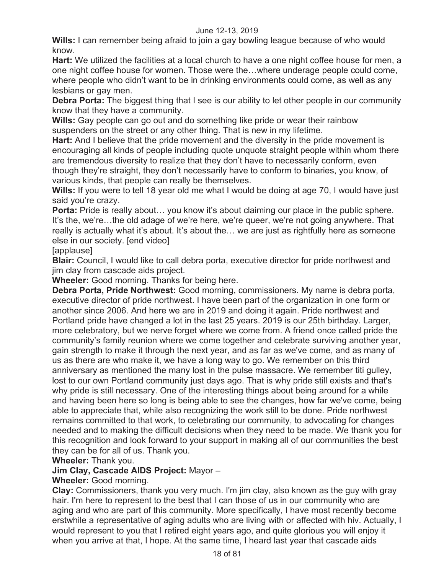**Wills:** I can remember being afraid to join a gay bowling league because of who would know.

**Hart:** We utilized the facilities at a local church to have a one night coffee house for men, a one night coffee house for women. Those were the…where underage people could come, where people who didn't want to be in drinking environments could come, as well as any lesbians or gay men.

**Debra Porta:** The biggest thing that I see is our ability to let other people in our community know that they have a community.

**Wills:** Gay people can go out and do something like pride or wear their rainbow suspenders on the street or any other thing. That is new in my lifetime.

**Hart:** And I believe that the pride movement and the diversity in the pride movement is encouraging all kinds of people including quote unquote straight people within whom there are tremendous diversity to realize that they don't have to necessarily conform, even though they're straight, they don't necessarily have to conform to binaries, you know, of various kinds, that people can really be themselves.

**Wills:** If you were to tell 18 year old me what I would be doing at age 70, I would have just said you're crazy.

**Porta:** Pride is really about... you know it's about claiming our place in the public sphere. It's the, we're…the old adage of we're here, we're queer, we're not going anywhere. That really is actually what it's about. It's about the… we are just as rightfully here as someone else in our society. [end video]

[applause]

**Blair:** Council, I would like to call debra porta, executive director for pride northwest and jim clay from cascade aids project.

**Wheeler:** Good morning. Thanks for being here.

**Debra Porta, Pride Northwest:** Good morning, commissioners. My name is debra porta, executive director of pride northwest. I have been part of the organization in one form or another since 2006. And here we are in 2019 and doing it again. Pride northwest and Portland pride have changed a lot in the last 25 years. 2019 is our 25th birthday. Larger, more celebratory, but we nerve forget where we come from. A friend once called pride the community's family reunion where we come together and celebrate surviving another year, gain strength to make it through the next year, and as far as we've come, and as many of us as there are who make it, we have a long way to go. We remember on this third anniversary as mentioned the many lost in the pulse massacre. We remember titi gulley, lost to our own Portland community just days ago. That is why pride still exists and that's why pride is still necessary. One of the interesting things about being around for a while and having been here so long is being able to see the changes, how far we've come, being able to appreciate that, while also recognizing the work still to be done. Pride northwest remains committed to that work, to celebrating our community, to advocating for changes needed and to making the difficult decisions when they need to be made. We thank you for this recognition and look forward to your support in making all of our communities the best they can be for all of us. Thank you.

**Wheeler:** Thank you.

## **Jim Clay, Cascade AIDS Project:** Mayor –

## **Wheeler:** Good morning.

**Clay:** Commissioners, thank you very much. I'm jim clay, also known as the guy with gray hair. I'm here to represent to the best that I can those of us in our community who are aging and who are part of this community. More specifically, I have most recently become erstwhile a representative of aging adults who are living with or affected with hiv. Actually, I would represent to you that I retired eight years ago, and quite glorious you will enjoy it when you arrive at that, I hope. At the same time, I heard last year that cascade aids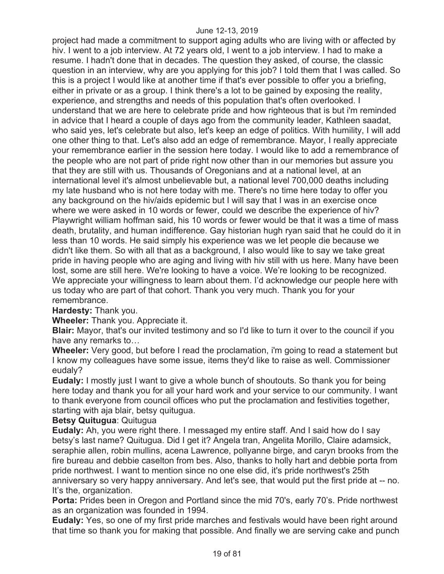project had made a commitment to support aging adults who are living with or affected by hiv. I went to a job interview. At 72 years old, I went to a job interview. I had to make a resume. I hadn't done that in decades. The question they asked, of course, the classic question in an interview, why are you applying for this job? I told them that I was called. So this is a project I would like at another time if that's ever possible to offer you a briefing, either in private or as a group. I think there's a lot to be gained by exposing the reality, experience, and strengths and needs of this population that's often overlooked. I understand that we are here to celebrate pride and how righteous that is but i'm reminded in advice that I heard a couple of days ago from the community leader, Kathleen saadat, who said yes, let's celebrate but also, let's keep an edge of politics. With humility, I will add one other thing to that. Let's also add an edge of remembrance. Mayor, I really appreciate your remembrance earlier in the session here today. I would like to add a remembrance of the people who are not part of pride right now other than in our memories but assure you that they are still with us. Thousands of Oregonians and at a national level, at an international level it's almost unbelievable but, a national level 700,000 deaths including my late husband who is not here today with me. There's no time here today to offer you any background on the hiv/aids epidemic but I will say that I was in an exercise once where we were asked in 10 words or fewer, could we describe the experience of hiv? Playwright william hoffman said, his 10 words or fewer would be that it was a time of mass death, brutality, and human indifference. Gay historian hugh ryan said that he could do it in less than 10 words. He said simply his experience was we let people die because we didn't like them. So with all that as a background, I also would like to say we take great pride in having people who are aging and living with hiv still with us here. Many have been lost, some are still here. We're looking to have a voice. We're looking to be recognized. We appreciate your willingness to learn about them. I'd acknowledge our people here with us today who are part of that cohort. Thank you very much. Thank you for your remembrance.

## **Hardesty:** Thank you.

**Wheeler:** Thank you. Appreciate it.

**Blair:** Mayor, that's our invited testimony and so I'd like to turn it over to the council if you have any remarks to…

**Wheeler:** Very good, but before I read the proclamation, i'm going to read a statement but I know my colleagues have some issue, items they'd like to raise as well. Commissioner eudaly?

**Eudaly:** I mostly just I want to give a whole bunch of shoutouts. So thank you for being here today and thank you for all your hard work and your service to our community. I want to thank everyone from council offices who put the proclamation and festivities together, starting with aja blair, betsy quitugua.

#### **Betsy Quitugua**: Quitugua

**Eudaly:** Ah, you were right there. I messaged my entire staff. And I said how do I say betsy's last name? Quitugua. Did I get it? Angela tran, Angelita Morillo, Claire adamsick, seraphie allen, robin mullins, acena Lawrence, pollyanne birge, and caryn brooks from the fire bureau and debbie caselton from bes. Also, thanks to holly hart and debbie porta from pride northwest. I want to mention since no one else did, it's pride northwest's 25th anniversary so very happy anniversary. And let's see, that would put the first pride at -- no. It's the, organization.

**Porta:** Prides been in Oregon and Portland since the mid 70's, early 70's. Pride northwest as an organization was founded in 1994.

**Eudaly:** Yes, so one of my first pride marches and festivals would have been right around that time so thank you for making that possible. And finally we are serving cake and punch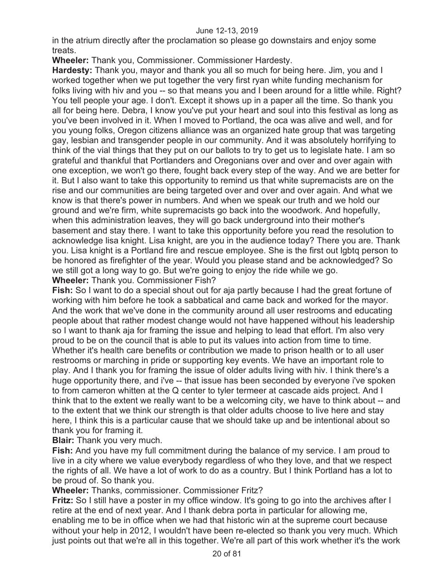in the atrium directly after the proclamation so please go downstairs and enjoy some treats.

**Wheeler:** Thank you, Commissioner. Commissioner Hardesty.

**Hardesty:** Thank you, mayor and thank you all so much for being here. Jim, you and I worked together when we put together the very first ryan white funding mechanism for folks living with hiv and you -- so that means you and I been around for a little while. Right? You tell people your age. I don't. Except it shows up in a paper all the time. So thank you all for being here. Debra, I know you've put your heart and soul into this festival as long as you've been involved in it. When I moved to Portland, the oca was alive and well, and for you young folks, Oregon citizens alliance was an organized hate group that was targeting gay, lesbian and transgender people in our community. And it was absolutely horrifying to think of the vial things that they put on our ballots to try to get us to legislate hate. I am so grateful and thankful that Portlanders and Oregonians over and over and over again with one exception, we won't go there, fought back every step of the way. And we are better for it. But I also want to take this opportunity to remind us that white supremacists are on the rise and our communities are being targeted over and over and over again. And what we know is that there's power in numbers. And when we speak our truth and we hold our ground and we're firm, white supremacists go back into the woodwork. And hopefully, when this administration leaves, they will go back underground into their mother's basement and stay there. I want to take this opportunity before you read the resolution to acknowledge lisa knight. Lisa knight, are you in the audience today? There you are. Thank you. Lisa knight is a Portland fire and rescue employee. She is the first out lgbtq person to be honored as firefighter of the year. Would you please stand and be acknowledged? So we still got a long way to go. But we're going to enjoy the ride while we go. **Wheeler:** Thank you. Commissioner Fish?

**Fish:** So I want to do a special shout out for aja partly because I had the great fortune of working with him before he took a sabbatical and came back and worked for the mayor. And the work that we've done in the community around all user restrooms and educating people about that rather modest change would not have happened without his leadership so I want to thank aja for framing the issue and helping to lead that effort. I'm also very proud to be on the council that is able to put its values into action from time to time. Whether it's health care benefits or contribution we made to prison health or to all user restrooms or marching in pride or supporting key events. We have an important role to play. And I thank you for framing the issue of older adults living with hiv. I think there's a huge opportunity there, and i've -- that issue has been seconded by everyone i've spoken to from cameron whitten at the Q center to tyler termeer at cascade aids project. And I think that to the extent we really want to be a welcoming city, we have to think about -- and to the extent that we think our strength is that older adults choose to live here and stay here, I think this is a particular cause that we should take up and be intentional about so thank you for framing it.

**Blair:** Thank you very much.

**Fish:** And you have my full commitment during the balance of my service. I am proud to live in a city where we value everybody regardless of who they love, and that we respect the rights of all. We have a lot of work to do as a country. But I think Portland has a lot to be proud of. So thank you.

**Wheeler:** Thanks, commissioner. Commissioner Fritz?

**Fritz:** So I still have a poster in my office window. It's going to go into the archives after I retire at the end of next year. And I thank debra porta in particular for allowing me, enabling me to be in office when we had that historic win at the supreme court because without your help in 2012, I wouldn't have been re-elected so thank you very much. Which just points out that we're all in this together. We're all part of this work whether it's the work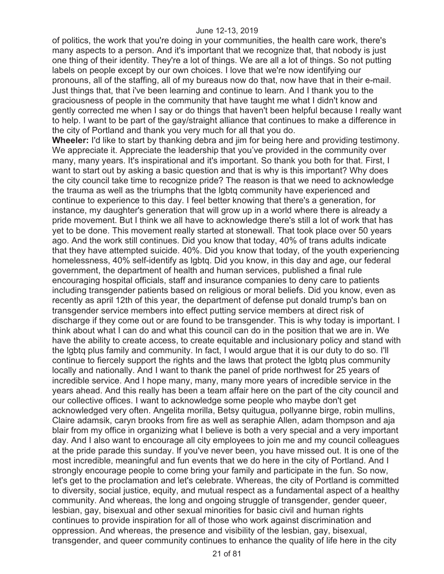of politics, the work that you're doing in your communities, the health care work, there's many aspects to a person. And it's important that we recognize that, that nobody is just one thing of their identity. They're a lot of things. We are all a lot of things. So not putting labels on people except by our own choices. I love that we're now identifying our pronouns, all of the staffing, all of my bureaus now do that, now have that in their e-mail. Just things that, that i've been learning and continue to learn. And I thank you to the graciousness of people in the community that have taught me what I didn't know and gently corrected me when I say or do things that haven't been helpful because I really want to help. I want to be part of the gay/straight alliance that continues to make a difference in the city of Portland and thank you very much for all that you do.

**Wheeler:** I'd like to start by thanking debra and jim for being here and providing testimony. We appreciate it. Appreciate the leadership that you've provided in the community over many, many years. It's inspirational and it's important. So thank you both for that. First, I want to start out by asking a basic question and that is why is this important? Why does the city council take time to recognize pride? The reason is that we need to acknowledge the trauma as well as the triumphs that the lgbtq community have experienced and continue to experience to this day. I feel better knowing that there's a generation, for instance, my daughter's generation that will grow up in a world where there is already a pride movement. But I think we all have to acknowledge there's still a lot of work that has yet to be done. This movement really started at stonewall. That took place over 50 years ago. And the work still continues. Did you know that today, 40% of trans adults indicate that they have attempted suicide. 40%. Did you know that today, of the youth experiencing homelessness, 40% self-identify as lgbtq. Did you know, in this day and age, our federal government, the department of health and human services, published a final rule encouraging hospital officials, staff and insurance companies to deny care to patients including transgender patients based on religious or moral beliefs. Did you know, even as recently as april 12th of this year, the department of defense put donald trump's ban on transgender service members into effect putting service members at direct risk of discharge if they come out or are found to be transgender. This is why today is important. I think about what I can do and what this council can do in the position that we are in. We have the ability to create access, to create equitable and inclusionary policy and stand with the lgbtq plus family and community. In fact, I would argue that it is our duty to do so. I'll continue to fiercely support the rights and the laws that protect the lgbtq plus community locally and nationally. And I want to thank the panel of pride northwest for 25 years of incredible service. And I hope many, many, many more years of incredible service in the years ahead. And this really has been a team affair here on the part of the city council and our collective offices. I want to acknowledge some people who maybe don't get acknowledged very often. Angelita morilla, Betsy quitugua, pollyanne birge, robin mullins, Claire adamsik, caryn brooks from fire as well as seraphie Allen, adam thompson and aja blair from my office in organizing what I believe is both a very special and a very important day. And I also want to encourage all city employees to join me and my council colleagues at the pride parade this sunday. If you've never been, you have missed out. It is one of the most incredible, meaningful and fun events that we do here in the city of Portland. And I strongly encourage people to come bring your family and participate in the fun. So now, let's get to the proclamation and let's celebrate. Whereas, the city of Portland is committed to diversity, social justice, equity, and mutual respect as a fundamental aspect of a healthy community. And whereas, the long and ongoing struggle of transgender, gender queer, lesbian, gay, bisexual and other sexual minorities for basic civil and human rights continues to provide inspiration for all of those who work against discrimination and oppression. And whereas, the presence and visibility of the lesbian, gay, bisexual, transgender, and queer community continues to enhance the quality of life here in the city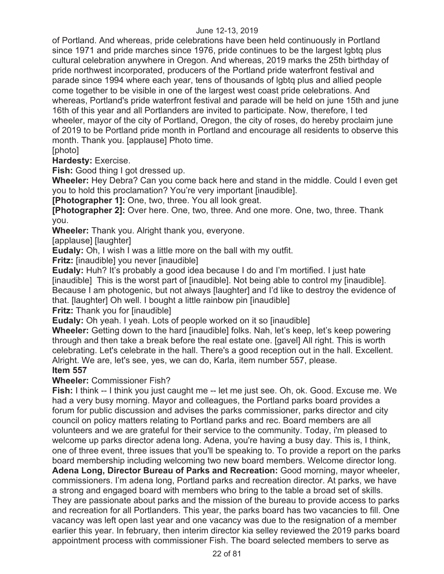of Portland. And whereas, pride celebrations have been held continuously in Portland since 1971 and pride marches since 1976, pride continues to be the largest lgbtq plus cultural celebration anywhere in Oregon. And whereas, 2019 marks the 25th birthday of pride northwest incorporated, producers of the Portland pride waterfront festival and parade since 1994 where each year, tens of thousands of lgbtq plus and allied people come together to be visible in one of the largest west coast pride celebrations. And whereas, Portland's pride waterfront festival and parade will be held on june 15th and june 16th of this year and all Portlanders are invited to participate. Now, therefore, I ted wheeler, mayor of the city of Portland, Oregon, the city of roses, do hereby proclaim june of 2019 to be Portland pride month in Portland and encourage all residents to observe this month. Thank you. [applause] Photo time.

[photo]

**Hardesty:** Exercise.

**Fish:** Good thing I got dressed up.

**Wheeler:** Hey Debra? Can you come back here and stand in the middle. Could I even get you to hold this proclamation? You're very important [inaudible].

**[Photographer 1]:** One, two, three. You all look great.

**[Photographer 2]:** Over here. One, two, three. And one more. One, two, three. Thank you.

**Wheeler:** Thank you. Alright thank you, everyone.

[applause] [laughter]

**Eudaly:** Oh, I wish I was a little more on the ball with my outfit.

**Fritz:** [inaudible] you never [inaudible]

**Eudaly:** Huh? It's probably a good idea because I do and I'm mortified. I just hate [inaudible] This is the worst part of [inaudible]. Not being able to control my [inaudible]. Because I am photogenic, but not always [laughter] and I'd like to destroy the evidence of that. [laughter] Oh well. I bought a little rainbow pin [inaudible]

**Fritz:** Thank you for [inaudible]

**Eudaly:** Oh yeah. I yeah. Lots of people worked on it so [inaudible]

**Wheeler:** Getting down to the hard [inaudible] folks. Nah, let's keep, let's keep powering through and then take a break before the real estate one. [gavel] All right. This is worth celebrating. Let's celebrate in the hall. There's a good reception out in the hall. Excellent. Alright. We are, let's see, yes, we can do, Karla, item number 557, please.

## **Item 557**

**Wheeler:** Commissioner Fish?

**Fish:** I think -- I think you just caught me -- let me just see. Oh, ok. Good. Excuse me. We had a very busy morning. Mayor and colleagues, the Portland parks board provides a forum for public discussion and advises the parks commissioner, parks director and city council on policy matters relating to Portland parks and rec. Board members are all volunteers and we are grateful for their service to the community. Today, i'm pleased to welcome up parks director adena long. Adena, you're having a busy day. This is, I think, one of three event, three issues that you'll be speaking to. To provide a report on the parks board membership including welcoming two new board members. Welcome director long. **Adena Long, Director Bureau of Parks and Recreation:** Good morning, mayor wheeler,

commissioners. I'm adena long, Portland parks and recreation director. At parks, we have a strong and engaged board with members who bring to the table a broad set of skills. They are passionate about parks and the mission of the bureau to provide access to parks and recreation for all Portlanders. This year, the parks board has two vacancies to fill. One vacancy was left open last year and one vacancy was due to the resignation of a member earlier this year. In february, then interim director kia selley reviewed the 2019 parks board appointment process with commissioner Fish. The board selected members to serve as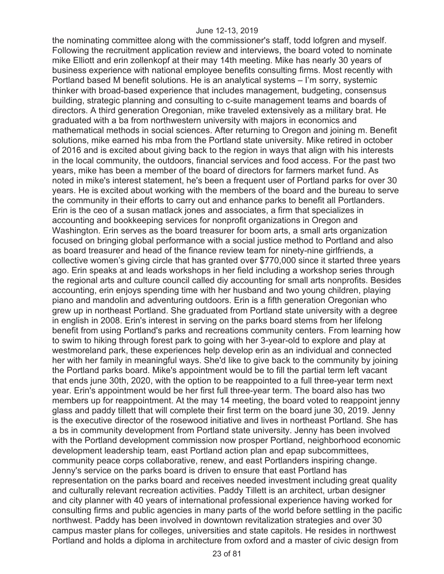the nominating committee along with the commissioner's staff, todd lofgren and myself. Following the recruitment application review and interviews, the board voted to nominate mike Elliott and erin zollenkopf at their may 14th meeting. Mike has nearly 30 years of business experience with national employee benefits consulting firms. Most recently with Portland based M benefit solutions. He is an analytical systems – I'm sorry, systemic thinker with broad-based experience that includes management, budgeting, consensus building, strategic planning and consulting to c-suite management teams and boards of directors. A third generation Oregonian, mike traveled extensively as a military brat. He graduated with a ba from northwestern university with majors in economics and mathematical methods in social sciences. After returning to Oregon and joining m. Benefit solutions, mike earned his mba from the Portland state university. Mike retired in october of 2016 and is excited about giving back to the region in ways that align with his interests in the local community, the outdoors, financial services and food access. For the past two years, mike has been a member of the board of directors for farmers market fund. As noted in mike's interest statement, he's been a frequent user of Portland parks for over 30 years. He is excited about working with the members of the board and the bureau to serve the community in their efforts to carry out and enhance parks to benefit all Portlanders. Erin is the ceo of a susan matlack jones and associates, a firm that specializes in accounting and bookkeeping services for nonprofit organizations in Oregon and Washington. Erin serves as the board treasurer for boom arts, a small arts organization focused on bringing global performance with a social justice method to Portland and also as board treasurer and head of the finance review team for ninety-nine girlfriends, a collective women's giving circle that has granted over \$770,000 since it started three years ago. Erin speaks at and leads workshops in her field including a workshop series through the regional arts and culture council called diy accounting for small arts nonprofits. Besides accounting, erin enjoys spending time with her husband and two young children, playing piano and mandolin and adventuring outdoors. Erin is a fifth generation Oregonian who grew up in northeast Portland. She graduated from Portland state university with a degree in english in 2008. Erin's interest in serving on the parks board stems from her lifelong benefit from using Portland's parks and recreations community centers. From learning how to swim to hiking through forest park to going with her 3-year-old to explore and play at westmoreland park, these experiences help develop erin as an individual and connected her with her family in meaningful ways. She'd like to give back to the community by joining the Portland parks board. Mike's appointment would be to fill the partial term left vacant that ends june 30th, 2020, with the option to be reappointed to a full three-year term next year. Erin's appointment would be her first full three-year term. The board also has two members up for reappointment. At the may 14 meeting, the board voted to reappoint jenny glass and paddy tillett that will complete their first term on the board june 30, 2019. Jenny is the executive director of the rosewood initiative and lives in northeast Portland. She has a bs in community development from Portland state university. Jenny has been involved with the Portland development commission now prosper Portland, neighborhood economic development leadership team, east Portland action plan and epap subcommittees, community peace corps collaborative, renew, and east Portlanders inspiring change. Jenny's service on the parks board is driven to ensure that east Portland has representation on the parks board and receives needed investment including great quality and culturally relevant recreation activities. Paddy Tillett is an architect, urban designer and city planner with 40 years of international professional experience having worked for consulting firms and public agencies in many parts of the world before settling in the pacific northwest. Paddy has been involved in downtown revitalization strategies and over 30 campus master plans for colleges, universities and state capitols. He resides in northwest Portland and holds a diploma in architecture from oxford and a master of civic design from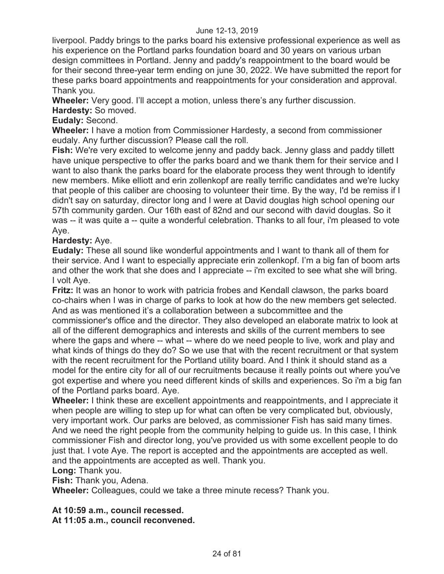liverpool. Paddy brings to the parks board his extensive professional experience as well as his experience on the Portland parks foundation board and 30 years on various urban design committees in Portland. Jenny and paddy's reappointment to the board would be for their second three-year term ending on june 30, 2022. We have submitted the report for these parks board appointments and reappointments for your consideration and approval. Thank you.

**Wheeler:** Very good. I'll accept a motion, unless there's any further discussion.

**Hardesty:** So moved.

## **Eudaly:** Second.

**Wheeler:** I have a motion from Commissioner Hardesty, a second from commissioner eudaly. Any further discussion? Please call the roll.

**Fish:** We're very excited to welcome jenny and paddy back. Jenny glass and paddy tillett have unique perspective to offer the parks board and we thank them for their service and I want to also thank the parks board for the elaborate process they went through to identify new members. Mike elliott and erin zollenkopf are really terrific candidates and we're lucky that people of this caliber are choosing to volunteer their time. By the way, I'd be remiss if I didn't say on saturday, director long and I were at David douglas high school opening our 57th community garden. Our 16th east of 82nd and our second with david douglas. So it was -- it was quite a -- quite a wonderful celebration. Thanks to all four, i'm pleased to vote Aye.

#### **Hardesty:** Aye.

**Eudaly:** These all sound like wonderful appointments and I want to thank all of them for their service. And I want to especially appreciate erin zollenkopf. I'm a big fan of boom arts and other the work that she does and I appreciate -- i'm excited to see what she will bring. I volt Aye.

**Fritz:** It was an honor to work with patricia frobes and Kendall clawson, the parks board co-chairs when I was in charge of parks to look at how do the new members get selected. And as was mentioned it's a collaboration between a subcommittee and the commissioner's office and the director. They also developed an elaborate matrix to look at all of the different demographics and interests and skills of the current members to see where the gaps and where -- what -- where do we need people to live, work and play and what kinds of things do they do? So we use that with the recent recruitment or that system with the recent recruitment for the Portland utility board. And I think it should stand as a model for the entire city for all of our recruitments because it really points out where you've got expertise and where you need different kinds of skills and experiences. So i'm a big fan of the Portland parks board. Aye.

**Wheeler:** I think these are excellent appointments and reappointments, and I appreciate it when people are willing to step up for what can often be very complicated but, obviously, very important work. Our parks are beloved, as commissioner Fish has said many times. And we need the right people from the community helping to guide us. In this case, I think commissioner Fish and director long, you've provided us with some excellent people to do just that. I vote Aye. The report is accepted and the appointments are accepted as well. and the appointments are accepted as well. Thank you.

#### **Long:** Thank you.

**Fish:** Thank you, Adena.

**Wheeler:** Colleagues, could we take a three minute recess? Thank you.

**At 10:59 a.m., council recessed.** 

**At 11:05 a.m., council reconvened.**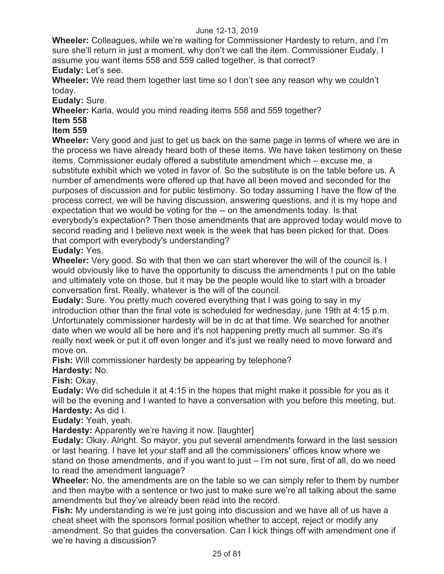**Wheeler:** Colleagues, while we're waiting for Commissioner Hardesty to return, and I'm sure she'll return in just a moment, why don't we call the item. Commissioner Eudaly, I assume you want items 558 and 559 called together, is that correct? **Eudaly:** Let's see.

**Wheeler:** We read them together last time so I don't see any reason why we couldn't today.

**Eudaly:** Sure.

**Wheeler:** Karla, would you mind reading items 558 and 559 together?

## **Item 558**

## **Item 559**

**Wheeler:** Very good and just to get us back on the same page in terms of where we are in the process we have already heard both of these items. We have taken testimony on these items. Commissioner eudaly offered a substitute amendment which – excuse me, a substitute exhibit which we voted in favor of. So the substitute is on the table before us. A number of amendments were offered up that have all been moved and seconded for the purposes of discussion and for public testimony. So today assuming I have the flow of the process correct, we will be having discussion, answering questions, and it is my hope and expectation that we would be voting for the -- on the amendments today. Is that everybody's expectation? Then those amendments that are approved today would move to second reading and I believe next week is the week that has been picked for that. Does that comport with everybody's understanding?

#### **Eudaly:** Yes.

**Wheeler:** Very good. So with that then we can start wherever the will of the council is. I would obviously like to have the opportunity to discuss the amendments I put on the table and ultimately vote on those, but it may be the people would like to start with a broader conversation first. Really, whatever is the will of the council.

**Eudaly:** Sure. You pretty much covered everything that I was going to say in my introduction other than the final vote is scheduled for wednesday, june 19th at 4:15 p.m. Unfortunately commissioner hardesty will be in dc at that time. We searched for another date when we would all be here and it's not happening pretty much all summer. So it's really next week or put it off even longer and it's just we really need to move forward and move on.

**Fish:** Will commissioner hardesty be appearing by telephone?

## **Hardesty:** No.

**Fish:** Okay.

**Eudaly:** We did schedule it at 4:15 in the hopes that might make it possible for you as it will be the evening and I wanted to have a conversation with you before this meeting, but. **Hardesty:** As did I.

**Eudaly:** Yeah, yeah.

**Hardesty:** Apparently we're having it now. [laughter]

**Eudaly:** Okay. Alright. So mayor, you put several amendments forward in the last session or last hearing. I have let your staff and all the commissioners' offices know where we stand on those amendments, and if you want to just – I'm not sure, first of all, do we need to read the amendment language?

**Wheeler:** No, the amendments are on the table so we can simply refer to them by number and then maybe with a sentence or two just to make sure we're all talking about the same amendments but they've already been read into the record.

**Fish:** My understanding is we're just going into discussion and we have all of us have a cheat sheet with the sponsors formal position whether to accept, reject or modify any amendment. So that guides the conversation. Can I kick things off with amendment one if we're having a discussion?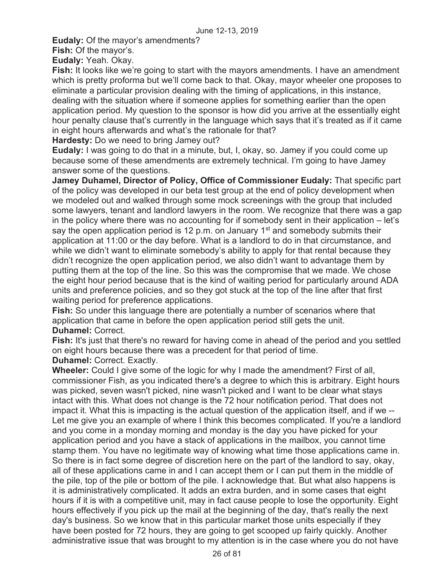**Eudaly:** Of the mayor's amendments?

**Fish:** Of the mayor's.

**Eudaly:** Yeah. Okay.

**Fish:** It looks like we're going to start with the mayors amendments. I have an amendment which is pretty proforma but we'll come back to that. Okay, mayor wheeler one proposes to eliminate a particular provision dealing with the timing of applications, in this instance, dealing with the situation where if someone applies for something earlier than the open application period. My question to the sponsor is how did you arrive at the essentially eight hour penalty clause that's currently in the language which says that it's treated as if it came in eight hours afterwards and what's the rationale for that?

**Hardesty:** Do we need to bring Jamey out?

**Eudaly:** I was going to do that in a minute, but, I, okay, so. Jamey if you could come up because some of these amendments are extremely technical. I'm going to have Jamey answer some of the questions.

**Jamey Duhamel, Director of Policy, Office of Commissioner Eudaly:** That specific part of the policy was developed in our beta test group at the end of policy development when we modeled out and walked through some mock screenings with the group that included some lawyers, tenant and landlord lawyers in the room. We recognize that there was a gap in the policy where there was no accounting for if somebody sent in their application – let's say the open application period is 12 p.m. on January  $1<sup>st</sup>$  and somebody submits their application at 11:00 or the day before. What is a landlord to do in that circumstance, and while we didn't want to eliminate somebody's ability to apply for that rental because they didn't recognize the open application period, we also didn't want to advantage them by putting them at the top of the line. So this was the compromise that we made. We chose the eight hour period because that is the kind of waiting period for particularly around ADA units and preference policies, and so they got stuck at the top of the line after that first waiting period for preference applications.

**Fish:** So under this language there are potentially a number of scenarios where that application that came in before the open application period still gets the unit. **Duhamel:** Correct.

**Fish:** It's just that there's no reward for having come in ahead of the period and you settled on eight hours because there was a precedent for that period of time.

**Duhamel:** Correct. Exactly.

**Wheeler:** Could I give some of the logic for why I made the amendment? First of all, commissioner Fish, as you indicated there's a degree to which this is arbitrary. Eight hours was picked, seven wasn't picked, nine wasn't picked and I want to be clear what stays intact with this. What does not change is the 72 hour notification period. That does not impact it. What this is impacting is the actual question of the application itself, and if we -- Let me give you an example of where I think this becomes complicated. If you're a landlord and you come in a monday morning and monday is the day you have picked for your application period and you have a stack of applications in the mailbox, you cannot time stamp them. You have no legitimate way of knowing what time those applications came in. So there is in fact some degree of discretion here on the part of the landlord to say, okay, all of these applications came in and I can accept them or I can put them in the middle of the pile, top of the pile or bottom of the pile. I acknowledge that. But what also happens is it is administratively complicated. It adds an extra burden, and in some cases that eight hours if it is with a competitive unit, may in fact cause people to lose the opportunity. Eight hours effectively if you pick up the mail at the beginning of the day, that's really the next day's business. So we know that in this particular market those units especially if they have been posted for 72 hours, they are going to get scooped up fairly quickly. Another administrative issue that was brought to my attention is in the case where you do not have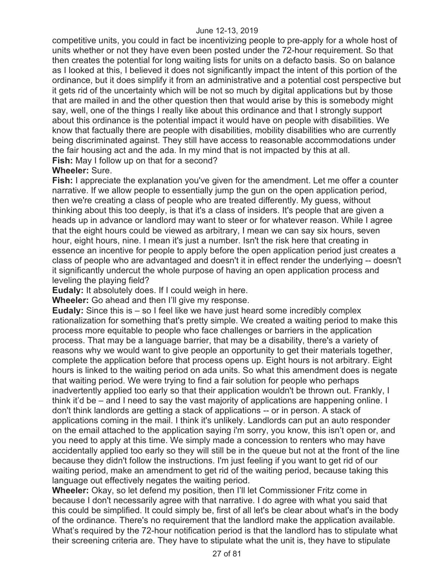competitive units, you could in fact be incentivizing people to pre-apply for a whole host of units whether or not they have even been posted under the 72-hour requirement. So that then creates the potential for long waiting lists for units on a defacto basis. So on balance as I looked at this, I believed it does not significantly impact the intent of this portion of the ordinance, but it does simplify it from an administrative and a potential cost perspective but it gets rid of the uncertainty which will be not so much by digital applications but by those that are mailed in and the other question then that would arise by this is somebody might say, well, one of the things I really like about this ordinance and that I strongly support about this ordinance is the potential impact it would have on people with disabilities. We know that factually there are people with disabilities, mobility disabilities who are currently being discriminated against. They still have access to reasonable accommodations under the fair housing act and the ada. In my mind that is not impacted by this at all. **Fish:** May I follow up on that for a second?

#### **Wheeler:** Sure.

**Fish:** I appreciate the explanation you've given for the amendment. Let me offer a counter narrative. If we allow people to essentially jump the gun on the open application period, then we're creating a class of people who are treated differently. My guess, without thinking about this too deeply, is that it's a class of insiders. It's people that are given a heads up in advance or landlord may want to steer or for whatever reason. While I agree that the eight hours could be viewed as arbitrary, I mean we can say six hours, seven hour, eight hours, nine. I mean it's just a number. Isn't the risk here that creating in essence an incentive for people to apply before the open application period just creates a class of people who are advantaged and doesn't it in effect render the underlying -- doesn't it significantly undercut the whole purpose of having an open application process and leveling the playing field?

**Eudaly:** It absolutely does. If I could weigh in here.

**Wheeler:** Go ahead and then I'll give my response.

**Eudaly:** Since this is – so I feel like we have just heard some incredibly complex rationalization for something that's pretty simple. We created a waiting period to make this process more equitable to people who face challenges or barriers in the application process. That may be a language barrier, that may be a disability, there's a variety of reasons why we would want to give people an opportunity to get their materials together, complete the application before that process opens up. Eight hours is not arbitrary. Eight hours is linked to the waiting period on ada units. So what this amendment does is negate that waiting period. We were trying to find a fair solution for people who perhaps inadvertently applied too early so that their application wouldn't be thrown out. Frankly, I think it'd be – and I need to say the vast majority of applications are happening online. I don't think landlords are getting a stack of applications -- or in person. A stack of applications coming in the mail. I think it's unlikely. Landlords can put an auto responder on the email attached to the application saying i'm sorry, you know, this isn't open or, and you need to apply at this time. We simply made a concession to renters who may have accidentally applied too early so they will still be in the queue but not at the front of the line because they didn't follow the instructions. I'm just feeling if you want to get rid of our waiting period, make an amendment to get rid of the waiting period, because taking this language out effectively negates the waiting period.

**Wheeler:** Okay, so let defend my position, then I'll let Commissioner Fritz come in because I don't necessarily agree with that narrative. I do agree with what you said that this could be simplified. It could simply be, first of all let's be clear about what's in the body of the ordinance. There's no requirement that the landlord make the application available. What's required by the 72-hour notification period is that the landlord has to stipulate what their screening criteria are. They have to stipulate what the unit is, they have to stipulate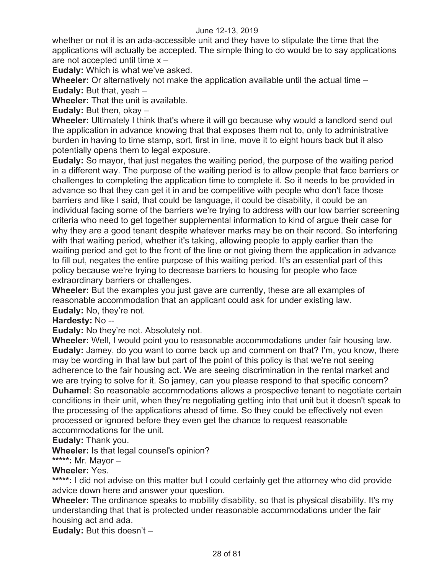whether or not it is an ada-accessible unit and they have to stipulate the time that the applications will actually be accepted. The simple thing to do would be to say applications are not accepted until time x –

**Eudaly:** Which is what we've asked.

**Wheeler:** Or alternatively not make the application available until the actual time –

**Eudaly:** But that, yeah –

**Wheeler:** That the unit is available.

**Eudaly:** But then, okay –

**Wheeler:** Ultimately I think that's where it will go because why would a landlord send out the application in advance knowing that that exposes them not to, only to administrative burden in having to time stamp, sort, first in line, move it to eight hours back but it also potentially opens them to legal exposure.

**Eudaly:** So mayor, that just negates the waiting period, the purpose of the waiting period in a different way. The purpose of the waiting period is to allow people that face barriers or challenges to completing the application time to complete it. So it needs to be provided in advance so that they can get it in and be competitive with people who don't face those barriers and like I said, that could be language, it could be disability, it could be an individual facing some of the barriers we're trying to address with our low barrier screening criteria who need to get together supplemental information to kind of argue their case for why they are a good tenant despite whatever marks may be on their record. So interfering with that waiting period, whether it's taking, allowing people to apply earlier than the waiting period and get to the front of the line or not giving them the application in advance to fill out, negates the entire purpose of this waiting period. It's an essential part of this policy because we're trying to decrease barriers to housing for people who face extraordinary barriers or challenges.

**Wheeler:** But the examples you just gave are currently, these are all examples of reasonable accommodation that an applicant could ask for under existing law. **Eudaly:** No, they're not.

**Hardesty:** No --

**Eudaly:** No they're not. Absolutely not.

**Wheeler:** Well, I would point you to reasonable accommodations under fair housing law. **Eudaly:** Jamey, do you want to come back up and comment on that? I'm, you know, there may be wording in that law but part of the point of this policy is that we're not seeing adherence to the fair housing act. We are seeing discrimination in the rental market and we are trying to solve for it. So jamey, can you please respond to that specific concern? **Duhamel**: So reasonable accommodations allows a prospective tenant to negotiate certain conditions in their unit, when they're negotiating getting into that unit but it doesn't speak to the processing of the applications ahead of time. So they could be effectively not even processed or ignored before they even get the chance to request reasonable accommodations for the unit.

**Eudaly:** Thank you.

**Wheeler:** Is that legal counsel's opinion?

**\*\*\*\*\*:** Mr. Mayor –

**Wheeler:** Yes.

\*\*\*\*\*: I did not advise on this matter but I could certainly get the attorney who did provide advice down here and answer your question.

**Wheeler:** The ordinance speaks to mobility disability, so that is physical disability. It's my understanding that that is protected under reasonable accommodations under the fair housing act and ada.

**Eudaly:** But this doesn't –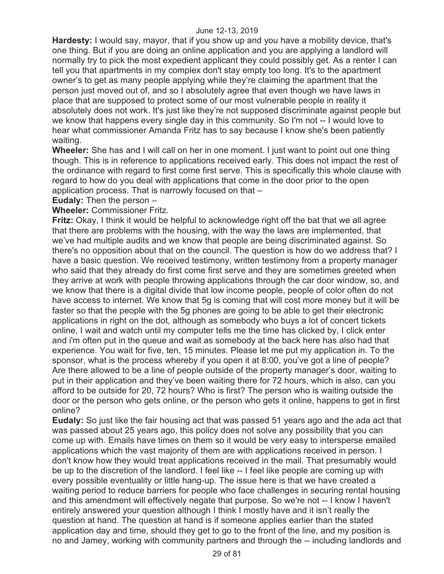**Hardesty:** I would say, mayor, that if you show up and you have a mobility device, that's one thing. But if you are doing an online application and you are applying a landlord will normally try to pick the most expedient applicant they could possibly get. As a renter I can tell you that apartments in my complex don't stay empty too long. It's to the apartment owner's to get as many people applying while they're claiming the apartment that the person just moved out of, and so I absolutely agree that even though we have laws in place that are supposed to protect some of our most vulnerable people in reality it absolutely does not work. It's just like they're not supposed discriminate against people but we know that happens every single day in this community. So I'm not -- I would love to hear what commissioner Amanda Fritz has to say because I know she's been patiently waiting.

**Wheeler:** She has and I will call on her in one moment. I just want to point out one thing though. This is in reference to applications received early. This does not impact the rest of the ordinance with regard to first come first serve. This is specifically this whole clause with regard to how do you deal with applications that come in the door prior to the open application process. That is narrowly focused on that –

#### **Eudaly:** Then the person –

## **Wheeler:** Commissioner Fritz.

**Fritz:** Okay, I think it would be helpful to acknowledge right off the bat that we all agree that there are problems with the housing, with the way the laws are implemented, that we've had multiple audits and we know that people are being discriminated against. So there's no opposition about that on the council. The question is how do we address that? I have a basic question. We received testimony, written testimony from a property manager who said that they already do first come first serve and they are sometimes greeted when they arrive at work with people throwing applications through the car door window, so, and we know that there is a digital divide that low income people, people of color often do not have access to internet. We know that 5g is coming that will cost more money but it will be faster so that the people with the 5g phones are going to be able to get their electronic applications in right on the dot, although as somebody who buys a lot of concert tickets online, I wait and watch until my computer tells me the time has clicked by, I click enter and i'm often put in the queue and wait as somebody at the back here has also had that experience. You wait for five, ten, 15 minutes. Please let me put my application in. To the sponsor, what is the process whereby if you open it at 8:00, you've got a line of people? Are there allowed to be a line of people outside of the property manager's door, waiting to put in their application and they've been waiting there for 72 hours, which is also, can you afford to be outside for 20, 72 hours? Who is first? The person who is waiting outside the door or the person who gets online, or the person who gets it online, happens to get in first online?

**Eudaly:** So just like the fair housing act that was passed 51 years ago and the ada act that was passed about 25 years ago, this policy does not solve any possibility that you can come up with. Emails have times on them so it would be very easy to intersperse emailed applications which the vast majority of them are with applications received in person. I don't know how they would treat applications received in the mail. That presumably would be up to the discretion of the landlord. I feel like -- I feel like people are coming up with every possible eventuality or little hang-up. The issue here is that we have created a waiting period to reduce barriers for people who face challenges in securing rental housing and this amendment will effectively negate that purpose. So we're not -- I know I haven't entirely answered your question although I think I mostly have and it isn't really the question at hand. The question at hand is if someone applies earlier than the stated application day and time, should they get to go to the front of the line, and my position is no and Jamey, working with community partners and through the -- including landlords and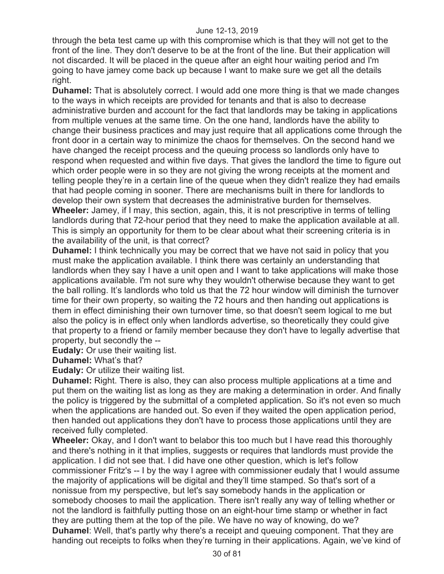through the beta test came up with this compromise which is that they will not get to the front of the line. They don't deserve to be at the front of the line. But their application will not discarded. It will be placed in the queue after an eight hour waiting period and I'm going to have jamey come back up because I want to make sure we get all the details right.

**Duhamel:** That is absolutely correct. I would add one more thing is that we made changes to the ways in which receipts are provided for tenants and that is also to decrease administrative burden and account for the fact that landlords may be taking in applications from multiple venues at the same time. On the one hand, landlords have the ability to change their business practices and may just require that all applications come through the front door in a certain way to minimize the chaos for themselves. On the second hand we have changed the receipt process and the queuing process so landlords only have to respond when requested and within five days. That gives the landlord the time to figure out which order people were in so they are not giving the wrong receipts at the moment and telling people they're in a certain line of the queue when they didn't realize they had emails that had people coming in sooner. There are mechanisms built in there for landlords to develop their own system that decreases the administrative burden for themselves. **Wheeler:** Jamey, if I may, this section, again, this, it is not prescriptive in terms of telling landlords during that 72-hour period that they need to make the application available at all. This is simply an opportunity for them to be clear about what their screening criteria is in the availability of the unit, is that correct?

**Duhamel:** I think technically you may be correct that we have not said in policy that you must make the application available. I think there was certainly an understanding that landlords when they say I have a unit open and I want to take applications will make those applications available. I'm not sure why they wouldn't otherwise because they want to get the ball rolling. It's landlords who told us that the 72 hour window will diminish the turnover time for their own property, so waiting the 72 hours and then handing out applications is them in effect diminishing their own turnover time, so that doesn't seem logical to me but also the policy is in effect only when landlords advertise, so theoretically they could give that property to a friend or family member because they don't have to legally advertise that property, but secondly the --

**Eudaly:** Or use their waiting list.

**Duhamel:** What's that?

**Eudaly:** Or utilize their waiting list.

**Duhamel:** Right. There is also, they can also process multiple applications at a time and put them on the waiting list as long as they are making a determination in order. And finally the policy is triggered by the submittal of a completed application. So it's not even so much when the applications are handed out. So even if they waited the open application period, then handed out applications they don't have to process those applications until they are received fully completed.

**Wheeler:** Okay, and I don't want to belabor this too much but I have read this thoroughly and there's nothing in it that implies, suggests or requires that landlords must provide the application. I did not see that. I did have one other question, which is let's follow commissioner Fritz's -- I by the way I agree with commissioner eudaly that I would assume the majority of applications will be digital and they'll time stamped. So that's sort of a nonissue from my perspective, but let's say somebody hands in the application or somebody chooses to mail the application. There isn't really any way of telling whether or not the landlord is faithfully putting those on an eight-hour time stamp or whether in fact they are putting them at the top of the pile. We have no way of knowing, do we? **Duhamel**: Well, that's partly why there's a receipt and queuing component. That they are handing out receipts to folks when they're turning in their applications. Again, we've kind of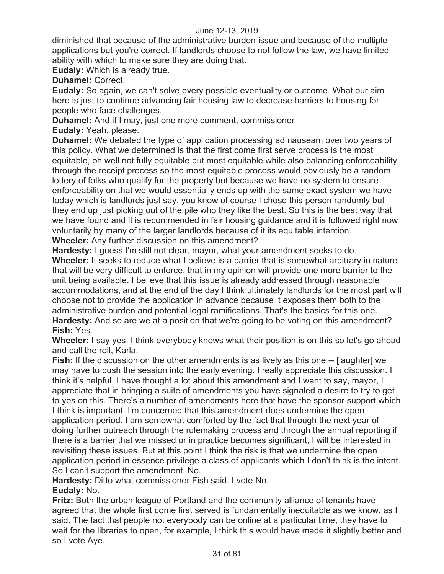diminished that because of the administrative burden issue and because of the multiple applications but you're correct. If landlords choose to not follow the law, we have limited ability with which to make sure they are doing that.

**Eudaly:** Which is already true.

**Duhamel:** Correct.

**Eudaly:** So again, we can't solve every possible eventuality or outcome. What our aim here is just to continue advancing fair housing law to decrease barriers to housing for people who face challenges.

**Duhamel:** And if I may, just one more comment, commissioner –

**Eudaly:** Yeah, please.

**Duhamel:** We debated the type of application processing ad nauseam over two years of this policy. What we determined is that the first come first serve process is the most equitable, oh well not fully equitable but most equitable while also balancing enforceability through the receipt process so the most equitable process would obviously be a random lottery of folks who qualify for the property but because we have no system to ensure enforceability on that we would essentially ends up with the same exact system we have today which is landlords just say, you know of course I chose this person randomly but they end up just picking out of the pile who they like the best. So this is the best way that we have found and it is recommended in fair housing guidance and it is followed right now voluntarily by many of the larger landlords because of it its equitable intention. **Wheeler:** Any further discussion on this amendment?

**Hardesty:** I guess I'm still not clear, mayor, what your amendment seeks to do. **Wheeler:** It seeks to reduce what I believe is a barrier that is somewhat arbitrary in nature that will be very difficult to enforce, that in my opinion will provide one more barrier to the unit being available. I believe that this issue is already addressed through reasonable accommodations, and at the end of the day I think ultimately landlords for the most part will choose not to provide the application in advance because it exposes them both to the administrative burden and potential legal ramifications. That's the basics for this one. **Hardesty:** And so are we at a position that we're going to be voting on this amendment? **Fish:** Yes.

**Wheeler:** I say yes. I think everybody knows what their position is on this so let's go ahead and call the roll, Karla.

**Fish:** If the discussion on the other amendments is as lively as this one -- [laughter] we may have to push the session into the early evening. I really appreciate this discussion. I think it's helpful. I have thought a lot about this amendment and I want to say, mayor, I appreciate that in bringing a suite of amendments you have signaled a desire to try to get to yes on this. There's a number of amendments here that have the sponsor support which I think is important. I'm concerned that this amendment does undermine the open application period. I am somewhat comforted by the fact that through the next year of doing further outreach through the rulemaking process and through the annual reporting if there is a barrier that we missed or in practice becomes significant, I will be interested in revisiting these issues. But at this point I think the risk is that we undermine the open application period in essence privilege a class of applicants which I don't think is the intent. So I can't support the amendment. No.

**Hardesty:** Ditto what commissioner Fish said. I vote No.

## **Eudaly:** No.

**Fritz:** Both the urban league of Portland and the community alliance of tenants have agreed that the whole first come first served is fundamentally inequitable as we know, as I said. The fact that people not everybody can be online at a particular time, they have to wait for the libraries to open, for example, I think this would have made it slightly better and so I vote Aye.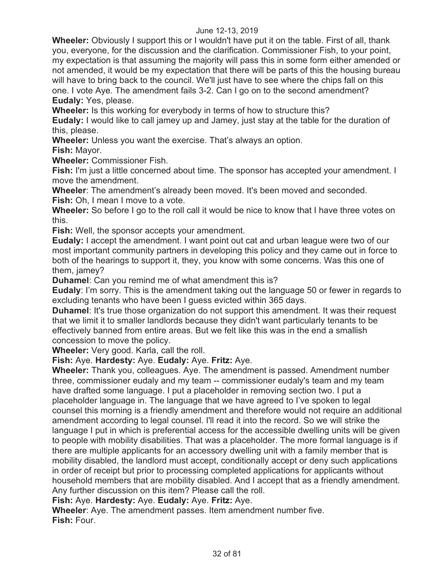**Wheeler:** Obviously I support this or I wouldn't have put it on the table. First of all, thank you, everyone, for the discussion and the clarification. Commissioner Fish, to your point, my expectation is that assuming the majority will pass this in some form either amended or not amended, it would be my expectation that there will be parts of this the housing bureau will have to bring back to the council. We'll just have to see where the chips fall on this one. I vote Aye. The amendment fails 3-2. Can I go on to the second amendment? **Eudaly:** Yes, please.

**Wheeler:** Is this working for everybody in terms of how to structure this?

**Eudaly:** I would like to call jamey up and Jamey, just stay at the table for the duration of this, please.

**Wheeler:** Unless you want the exercise. That's always an option.

**Fish:** Mayor.

**Wheeler:** Commissioner Fish.

**Fish:** I'm just a little concerned about time. The sponsor has accepted your amendment. I move the amendment.

**Wheeler**: The amendment's already been moved. It's been moved and seconded. **Fish:** Oh, I mean I move to a vote.

**Wheeler:** So before I go to the roll call it would be nice to know that I have three votes on this.

**Fish:** Well, the sponsor accepts your amendment.

**Eudaly:** I accept the amendment. I want point out cat and urban league were two of our most important community partners in developing this policy and they came out in force to both of the hearings to support it, they, you know with some concerns. Was this one of them, jamey?

**Duhamel**: Can you remind me of what amendment this is?

**Eudaly**: I'm sorry. This is the amendment taking out the language 50 or fewer in regards to excluding tenants who have been I guess evicted within 365 days.

**Duhamel:** It's true those organization do not support this amendment. It was their request that we limit it to smaller landlords because they didn't want particularly tenants to be effectively banned from entire areas. But we felt like this was in the end a smallish concession to move the policy.

**Wheeler:** Very good. Karla, call the roll.

**Fish:** Aye. **Hardesty:** Aye. **Eudaly:** Aye. **Fritz:** Aye.

**Wheeler:** Thank you, colleagues. Aye. The amendment is passed. Amendment number three, commissioner eudaly and my team -- commissioner eudaly's team and my team have drafted some language. I put a placeholder in removing section two. I put a placeholder language in. The language that we have agreed to I've spoken to legal counsel this morning is a friendly amendment and therefore would not require an additional amendment according to legal counsel. I'll read it into the record. So we will strike the language I put in which is preferential access for the accessible dwelling units will be given to people with mobility disabilities. That was a placeholder. The more formal language is if there are multiple applicants for an accessory dwelling unit with a family member that is mobility disabled, the landlord must accept, conditionally accept or deny such applications in order of receipt but prior to processing completed applications for applicants without household members that are mobility disabled. And I accept that as a friendly amendment. Any further discussion on this item? Please call the roll.

**Fish:** Aye. **Hardesty:** Aye. **Eudaly:** Aye. **Fritz:** Aye.

**Wheeler**: Aye. The amendment passes. Item amendment number five. **Fish:** Four.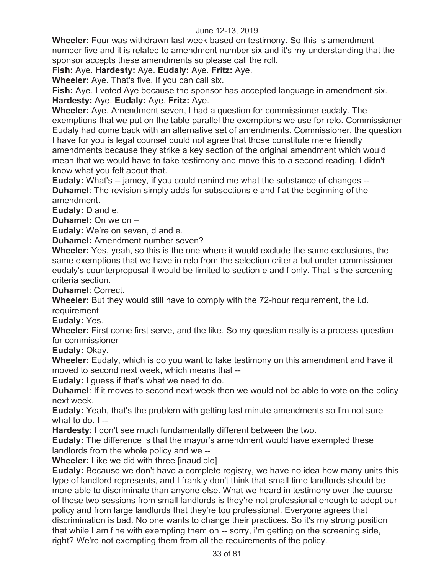**Wheeler:** Four was withdrawn last week based on testimony. So this is amendment number five and it is related to amendment number six and it's my understanding that the sponsor accepts these amendments so please call the roll.

**Fish:** Aye. **Hardesty:** Aye. **Eudaly:** Aye. **Fritz:** Aye.

**Wheeler:** Aye. That's five. If you can call six.

**Fish:** Aye. I voted Aye because the sponsor has accepted language in amendment six. **Hardesty:** Aye. **Eudaly:** Aye. **Fritz:** Aye.

**Wheeler:** Aye. Amendment seven, I had a question for commissioner eudaly. The exemptions that we put on the table parallel the exemptions we use for relo. Commissioner Eudaly had come back with an alternative set of amendments. Commissioner, the question I have for you is legal counsel could not agree that those constitute mere friendly amendments because they strike a key section of the original amendment which would mean that we would have to take testimony and move this to a second reading. I didn't know what you felt about that.

**Eudaly:** What's -- jamey, if you could remind me what the substance of changes -- **Duhamel**: The revision simply adds for subsections e and f at the beginning of the amendment.

**Eudaly:** D and e.

**Duhamel:** On we on –

**Eudaly:** We're on seven, d and e.

**Duhamel:** Amendment number seven?

**Wheeler:** Yes, yeah, so this is the one where it would exclude the same exclusions, the same exemptions that we have in relo from the selection criteria but under commissioner eudaly's counterproposal it would be limited to section e and f only. That is the screening criteria section.

**Duhamel**: Correct.

**Wheeler:** But they would still have to comply with the 72-hour requirement, the i.d.

requirement –

**Eudaly:** Yes.

**Wheeler:** First come first serve, and the like. So my question really is a process question for commissioner –

**Eudaly:** Okay.

**Wheeler:** Eudaly, which is do you want to take testimony on this amendment and have it moved to second next week, which means that --

**Eudaly:** I guess if that's what we need to do.

**Duhamel**: If it moves to second next week then we would not be able to vote on the policy next week.

**Eudaly:** Yeah, that's the problem with getting last minute amendments so I'm not sure what to do.  $I -$ 

**Hardesty**: I don't see much fundamentally different between the two.

**Eudaly:** The difference is that the mayor's amendment would have exempted these landlords from the whole policy and we --

**Wheeler:** Like we did with three [inaudible]

**Eudaly:** Because we don't have a complete registry, we have no idea how many units this type of landlord represents, and I frankly don't think that small time landlords should be more able to discriminate than anyone else. What we heard in testimony over the course of these two sessions from small landlords is they're not professional enough to adopt our policy and from large landlords that they're too professional. Everyone agrees that discrimination is bad. No one wants to change their practices. So it's my strong position that while I am fine with exempting them on -- sorry, i'm getting on the screening side, right? We're not exempting them from all the requirements of the policy.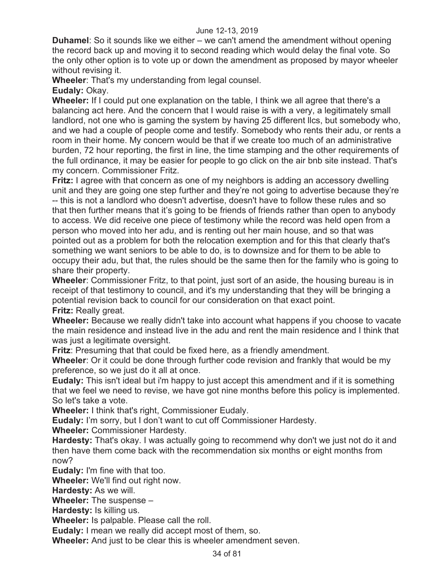**Duhamel**: So it sounds like we either – we can't amend the amendment without opening the record back up and moving it to second reading which would delay the final vote. So the only other option is to vote up or down the amendment as proposed by mayor wheeler without revising it.

**Wheeler**: That's my understanding from legal counsel.

**Eudaly:** Okay.

**Wheeler:** If I could put one explanation on the table, I think we all agree that there's a balancing act here. And the concern that I would raise is with a very, a legitimately small landlord, not one who is gaming the system by having 25 different llcs, but somebody who, and we had a couple of people come and testify. Somebody who rents their adu, or rents a room in their home. My concern would be that if we create too much of an administrative burden, 72 hour reporting, the first in line, the time stamping and the other requirements of the full ordinance, it may be easier for people to go click on the air bnb site instead. That's my concern. Commissioner Fritz.

**Fritz:** I agree with that concern as one of my neighbors is adding an accessory dwelling unit and they are going one step further and they're not going to advertise because they're -- this is not a landlord who doesn't advertise, doesn't have to follow these rules and so that then further means that it's going to be friends of friends rather than open to anybody to access. We did receive one piece of testimony while the record was held open from a person who moved into her adu, and is renting out her main house, and so that was pointed out as a problem for both the relocation exemption and for this that clearly that's something we want seniors to be able to do, is to downsize and for them to be able to occupy their adu, but that, the rules should be the same then for the family who is going to share their property.

**Wheeler**: Commissioner Fritz, to that point, just sort of an aside, the housing bureau is in receipt of that testimony to council, and it's my understanding that they will be bringing a potential revision back to council for our consideration on that exact point.

**Fritz:** Really great.

**Wheeler:** Because we really didn't take into account what happens if you choose to vacate the main residence and instead live in the adu and rent the main residence and I think that was just a legitimate oversight.

**Fritz**: Presuming that that could be fixed here, as a friendly amendment.

**Wheeler**: Or it could be done through further code revision and frankly that would be my preference, so we just do it all at once.

**Eudaly:** This isn't ideal but i'm happy to just accept this amendment and if it is something that we feel we need to revise, we have got nine months before this policy is implemented. So let's take a vote.

**Wheeler:** I think that's right, Commissioner Eudaly.

**Eudaly:** I'm sorry, but I don't want to cut off Commissioner Hardesty.

**Wheeler:** Commissioner Hardesty.

**Hardesty:** That's okay. I was actually going to recommend why don't we just not do it and then have them come back with the recommendation six months or eight months from now?

**Eudaly:** I'm fine with that too.

**Wheeler:** We'll find out right now.

**Hardesty:** As we will.

**Wheeler:** The suspense –

**Hardesty:** Is killing us.

**Wheeler:** Is palpable. Please call the roll.

**Eudaly:** I mean we really did accept most of them, so.

**Wheeler:** And just to be clear this is wheeler amendment seven.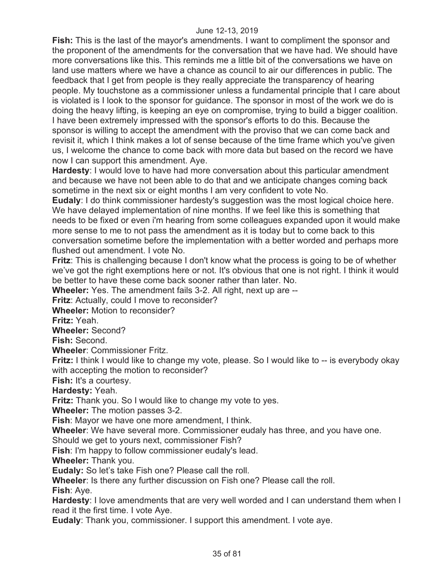**Fish:** This is the last of the mayor's amendments. I want to compliment the sponsor and the proponent of the amendments for the conversation that we have had. We should have more conversations like this. This reminds me a little bit of the conversations we have on land use matters where we have a chance as council to air our differences in public. The feedback that I get from people is they really appreciate the transparency of hearing people. My touchstone as a commissioner unless a fundamental principle that I care about is violated is I look to the sponsor for guidance. The sponsor in most of the work we do is doing the heavy lifting, is keeping an eye on compromise, trying to build a bigger coalition. I have been extremely impressed with the sponsor's efforts to do this. Because the sponsor is willing to accept the amendment with the proviso that we can come back and revisit it, which I think makes a lot of sense because of the time frame which you've given us, I welcome the chance to come back with more data but based on the record we have now I can support this amendment. Aye.

**Hardesty**: I would love to have had more conversation about this particular amendment and because we have not been able to do that and we anticipate changes coming back sometime in the next six or eight months I am very confident to vote No.

**Eudaly**: I do think commissioner hardesty's suggestion was the most logical choice here. We have delayed implementation of nine months. If we feel like this is something that needs to be fixed or even i'm hearing from some colleagues expanded upon it would make more sense to me to not pass the amendment as it is today but to come back to this conversation sometime before the implementation with a better worded and perhaps more flushed out amendment. I vote No.

**Fritz**: This is challenging because I don't know what the process is going to be of whether we've got the right exemptions here or not. It's obvious that one is not right. I think it would be better to have these come back sooner rather than later. No.

**Wheeler:** Yes. The amendment fails 3-2. All right, next up are --

**Fritz**: Actually, could I move to reconsider?

**Wheeler:** Motion to reconsider?

**Fritz:** Yeah.

**Wheeler:** Second?

**Fish:** Second.

**Wheeler**: Commissioner Fritz.

**Fritz:** I think I would like to change my vote, please. So I would like to -- is everybody okay with accepting the motion to reconsider?

**Fish:** It's a courtesy.

**Hardesty:** Yeah.

**Fritz:** Thank you. So I would like to change my vote to yes.

**Wheeler:** The motion passes 3-2.

**Fish**: Mayor we have one more amendment, I think.

**Wheeler**: We have several more. Commissioner eudaly has three, and you have one.

Should we get to yours next, commissioner Fish?

**Fish**: I'm happy to follow commissioner eudaly's lead.

**Wheeler:** Thank you.

**Eudaly:** So let's take Fish one? Please call the roll.

**Wheeler**: Is there any further discussion on Fish one? Please call the roll.

**Fish**: Aye.

**Hardesty**: I love amendments that are very well worded and I can understand them when I read it the first time. I vote Aye.

**Eudaly**: Thank you, commissioner. I support this amendment. I vote aye.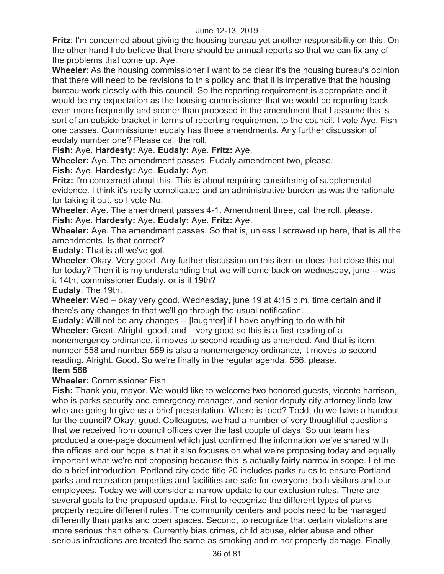**Fritz**: I'm concerned about giving the housing bureau yet another responsibility on this. On the other hand I do believe that there should be annual reports so that we can fix any of the problems that come up. Aye.

**Wheeler:** As the housing commissioner I want to be clear it's the housing bureau's opinion that there will need to be revisions to this policy and that it is imperative that the housing bureau work closely with this council. So the reporting requirement is appropriate and it would be my expectation as the housing commissioner that we would be reporting back even more frequently and sooner than proposed in the amendment that I assume this is sort of an outside bracket in terms of reporting requirement to the council. I vote Aye. Fish one passes. Commissioner eudaly has three amendments. Any further discussion of eudaly number one? Please call the roll.

**Fish:** Aye. **Hardesty:** Aye. **Eudaly:** Aye. **Fritz:** Aye.

**Wheeler:** Aye. The amendment passes. Eudaly amendment two, please.

**Fish:** Aye. **Hardesty:** Aye. **Eudaly:** Aye.

**Fritz:** I'm concerned about this. This is about requiring considering of supplemental evidence. I think it's really complicated and an administrative burden as was the rationale for taking it out, so I vote No.

**Wheeler**: Aye. The amendment passes 4-1. Amendment three, call the roll, please. **Fish:** Aye. **Hardesty:** Aye. **Eudaly:** Aye. **Fritz:** Aye.

**Wheeler:** Aye. The amendment passes. So that is, unless I screwed up here, that is all the amendments. Is that correct?

**Eudaly:** That is all we've got.

**Wheeler**: Okay. Very good. Any further discussion on this item or does that close this out for today? Then it is my understanding that we will come back on wednesday, june -- was it 14th, commissioner Eudaly, or is it 19th?

**Eudaly**: The 19th.

**Wheeler**: Wed – okay very good. Wednesday, june 19 at 4:15 p.m. time certain and if there's any changes to that we'll go through the usual notification.

**Eudaly:** Will not be any changes -- [laughter] if I have anything to do with hit. **Wheeler:** Great. Alright, good, and – very good so this is a first reading of a nonemergency ordinance, it moves to second reading as amended. And that is item number 558 and number 559 is also a nonemergency ordinance, it moves to second reading. Alright. Good. So we're finally in the regular agenda. 566, please.

## **Item 566**

**Wheeler:** Commissioner Fish.

**Fish:** Thank you, mayor. We would like to welcome two honored guests, vicente harrison, who is parks security and emergency manager, and senior deputy city attorney linda law who are going to give us a brief presentation. Where is todd? Todd, do we have a handout for the council? Okay, good. Colleagues, we had a number of very thoughtful questions that we received from council offices over the last couple of days. So our team has produced a one-page document which just confirmed the information we've shared with the offices and our hope is that it also focuses on what we're proposing today and equally important what we're not proposing because this is actually fairly narrow in scope. Let me do a brief introduction. Portland city code title 20 includes parks rules to ensure Portland parks and recreation properties and facilities are safe for everyone, both visitors and our employees. Today we will consider a narrow update to our exclusion rules. There are several goals to the proposed update. First to recognize the different types of parks property require different rules. The community centers and pools need to be managed differently than parks and open spaces. Second, to recognize that certain violations are more serious than others. Currently bias crimes, child abuse, elder abuse and other serious infractions are treated the same as smoking and minor property damage. Finally,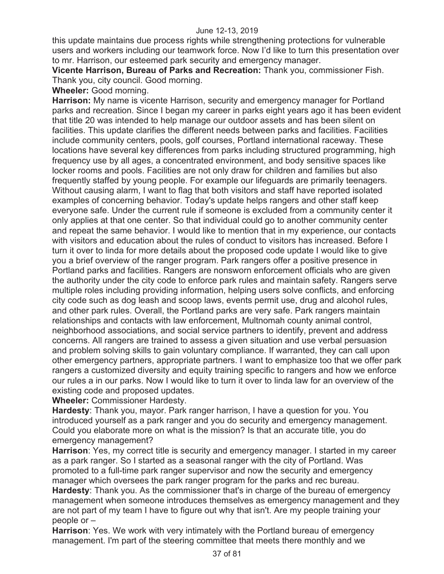this update maintains due process rights while strengthening protections for vulnerable users and workers including our teamwork force. Now I'd like to turn this presentation over to mr. Harrison, our esteemed park security and emergency manager.

**Vicente Harrison, Bureau of Parks and Recreation:** Thank you, commissioner Fish. Thank you, city council. Good morning.

**Wheeler:** Good morning.

**Harrison:** My name is vicente Harrison, security and emergency manager for Portland parks and recreation. Since I began my career in parks eight years ago it has been evident that title 20 was intended to help manage our outdoor assets and has been silent on facilities. This update clarifies the different needs between parks and facilities. Facilities include community centers, pools, golf courses, Portland international raceway. These locations have several key differences from parks including structured programming, high frequency use by all ages, a concentrated environment, and body sensitive spaces like locker rooms and pools. Facilities are not only draw for children and families but also frequently staffed by young people. For example our lifeguards are primarily teenagers. Without causing alarm, I want to flag that both visitors and staff have reported isolated examples of concerning behavior. Today's update helps rangers and other staff keep everyone safe. Under the current rule if someone is excluded from a community center it only applies at that one center. So that individual could go to another community center and repeat the same behavior. I would like to mention that in my experience, our contacts with visitors and education about the rules of conduct to visitors has increased. Before I turn it over to linda for more details about the proposed code update I would like to give you a brief overview of the ranger program. Park rangers offer a positive presence in Portland parks and facilities. Rangers are nonsworn enforcement officials who are given the authority under the city code to enforce park rules and maintain safety. Rangers serve multiple roles including providing information, helping users solve conflicts, and enforcing city code such as dog leash and scoop laws, events permit use, drug and alcohol rules, and other park rules. Overall, the Portland parks are very safe. Park rangers maintain relationships and contacts with law enforcement, Multnomah county animal control, neighborhood associations, and social service partners to identify, prevent and address concerns. All rangers are trained to assess a given situation and use verbal persuasion and problem solving skills to gain voluntary compliance. If warranted, they can call upon other emergency partners, appropriate partners. I want to emphasize too that we offer park rangers a customized diversity and equity training specific to rangers and how we enforce our rules a in our parks. Now I would like to turn it over to linda law for an overview of the existing code and proposed updates.

**Wheeler:** Commissioner Hardesty.

**Hardesty**: Thank you, mayor. Park ranger harrison, I have a question for you. You introduced yourself as a park ranger and you do security and emergency management. Could you elaborate more on what is the mission? Is that an accurate title, you do emergency management?

**Harrison**: Yes, my correct title is security and emergency manager. I started in my career as a park ranger. So I started as a seasonal ranger with the city of Portland. Was promoted to a full-time park ranger supervisor and now the security and emergency manager which oversees the park ranger program for the parks and rec bureau. **Hardesty**: Thank you. As the commissioner that's in charge of the bureau of emergency management when someone introduces themselves as emergency management and they are not part of my team I have to figure out why that isn't. Are my people training your people or –

**Harrison**: Yes. We work with very intimately with the Portland bureau of emergency management. I'm part of the steering committee that meets there monthly and we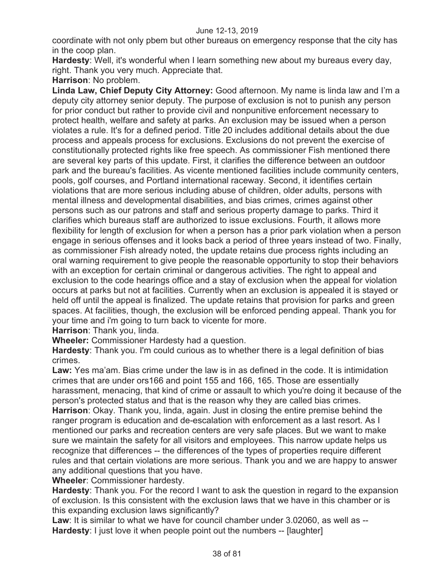coordinate with not only pbem but other bureaus on emergency response that the city has in the coop plan.

**Hardesty**: Well, it's wonderful when I learn something new about my bureaus every day, right. Thank you very much. Appreciate that.

**Harrison**: No problem.

**Linda Law, Chief Deputy City Attorney:** Good afternoon. My name is linda law and I'm a deputy city attorney senior deputy. The purpose of exclusion is not to punish any person for prior conduct but rather to provide civil and nonpunitive enforcement necessary to protect health, welfare and safety at parks. An exclusion may be issued when a person violates a rule. It's for a defined period. Title 20 includes additional details about the due process and appeals process for exclusions. Exclusions do not prevent the exercise of constitutionally protected rights like free speech. As commissioner Fish mentioned there are several key parts of this update. First, it clarifies the difference between an outdoor park and the bureau's facilities. As vicente mentioned facilities include community centers, pools, golf courses, and Portland international raceway. Second, it identifies certain violations that are more serious including abuse of children, older adults, persons with mental illness and developmental disabilities, and bias crimes, crimes against other persons such as our patrons and staff and serious property damage to parks. Third it clarifies which bureaus staff are authorized to issue exclusions. Fourth, it allows more flexibility for length of exclusion for when a person has a prior park violation when a person engage in serious offenses and it looks back a period of three years instead of two. Finally, as commissioner Fish already noted, the update retains due process rights including an oral warning requirement to give people the reasonable opportunity to stop their behaviors with an exception for certain criminal or dangerous activities. The right to appeal and exclusion to the code hearings office and a stay of exclusion when the appeal for violation occurs at parks but not at facilities. Currently when an exclusion is appealed it is stayed or held off until the appeal is finalized. The update retains that provision for parks and green spaces. At facilities, though, the exclusion will be enforced pending appeal. Thank you for your time and i'm going to turn back to vicente for more.

**Harrison**: Thank you, linda.

**Wheeler:** Commissioner Hardesty had a question.

**Hardesty**: Thank you. I'm could curious as to whether there is a legal definition of bias crimes.

**Law:** Yes ma'am. Bias crime under the law is in as defined in the code. It is intimidation crimes that are under ors166 and point 155 and 166, 165. Those are essentially harassment, menacing, that kind of crime or assault to which you're doing it because of the person's protected status and that is the reason why they are called bias crimes.

**Harrison**: Okay. Thank you, linda, again. Just in closing the entire premise behind the ranger program is education and de-escalation with enforcement as a last resort. As I mentioned our parks and recreation centers are very safe places. But we want to make sure we maintain the safety for all visitors and employees. This narrow update helps us recognize that differences -- the differences of the types of properties require different rules and that certain violations are more serious. Thank you and we are happy to answer any additional questions that you have.

**Wheeler**: Commissioner hardesty.

**Hardesty**: Thank you. For the record I want to ask the question in regard to the expansion of exclusion. Is this consistent with the exclusion laws that we have in this chamber or is this expanding exclusion laws significantly?

**Law**: It is similar to what we have for council chamber under 3.02060, as well as -- **Hardesty**: I just love it when people point out the numbers -- [laughter]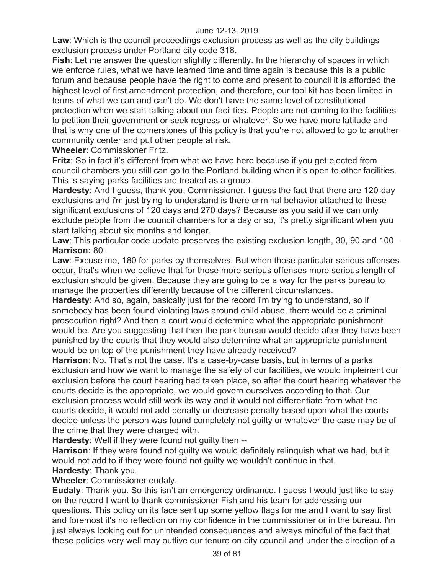**Law**: Which is the council proceedings exclusion process as well as the city buildings exclusion process under Portland city code 318.

**Fish**: Let me answer the question slightly differently. In the hierarchy of spaces in which we enforce rules, what we have learned time and time again is because this is a public forum and because people have the right to come and present to council it is afforded the highest level of first amendment protection, and therefore, our tool kit has been limited in terms of what we can and can't do. We don't have the same level of constitutional protection when we start talking about our facilities. People are not coming to the facilities to petition their government or seek regress or whatever. So we have more latitude and that is why one of the cornerstones of this policy is that you're not allowed to go to another community center and put other people at risk.

**Wheeler**: Commissioner Fritz.

**Fritz**: So in fact it's different from what we have here because if you get ejected from council chambers you still can go to the Portland building when it's open to other facilities. This is saying parks facilities are treated as a group.

**Hardesty**: And I guess, thank you, Commissioner. I guess the fact that there are 120-day exclusions and i'm just trying to understand is there criminal behavior attached to these significant exclusions of 120 days and 270 days? Because as you said if we can only exclude people from the council chambers for a day or so, it's pretty significant when you start talking about six months and longer.

**Law**: This particular code update preserves the existing exclusion length, 30, 90 and 100 – **Harrison:** 80 –

**Law**: Excuse me, 180 for parks by themselves. But when those particular serious offenses occur, that's when we believe that for those more serious offenses more serious length of exclusion should be given. Because they are going to be a way for the parks bureau to manage the properties differently because of the different circumstances.

**Hardesty**: And so, again, basically just for the record i'm trying to understand, so if somebody has been found violating laws around child abuse, there would be a criminal prosecution right? And then a court would determine what the appropriate punishment would be. Are you suggesting that then the park bureau would decide after they have been punished by the courts that they would also determine what an appropriate punishment would be on top of the punishment they have already received?

**Harrison**: No. That's not the case. It's a case-by-case basis, but in terms of a parks exclusion and how we want to manage the safety of our facilities, we would implement our exclusion before the court hearing had taken place, so after the court hearing whatever the courts decide is the appropriate, we would govern ourselves according to that. Our exclusion process would still work its way and it would not differentiate from what the courts decide, it would not add penalty or decrease penalty based upon what the courts decide unless the person was found completely not guilty or whatever the case may be of the crime that they were charged with.

**Hardesty**: Well if they were found not guilty then --

**Harrison**: If they were found not guilty we would definitely relinquish what we had, but it would not add to if they were found not guilty we wouldn't continue in that. **Hardesty**: Thank you.

**Wheeler**: Commissioner eudaly.

**Eudaly**: Thank you. So this isn't an emergency ordinance. I guess I would just like to say on the record I want to thank commissioner Fish and his team for addressing our questions. This policy on its face sent up some yellow flags for me and I want to say first and foremost it's no reflection on my confidence in the commissioner or in the bureau. I'm just always looking out for unintended consequences and always mindful of the fact that these policies very well may outlive our tenure on city council and under the direction of a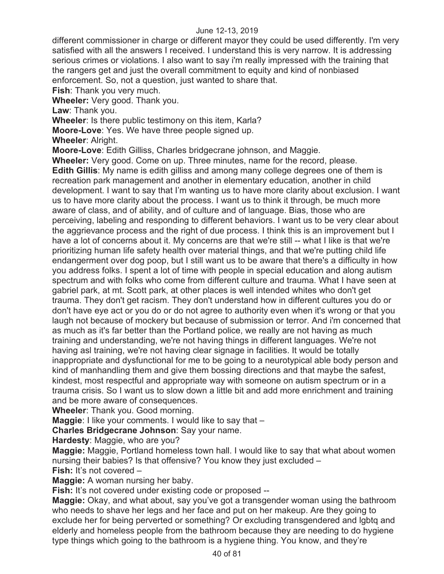different commissioner in charge or different mayor they could be used differently. I'm very satisfied with all the answers I received. I understand this is very narrow. It is addressing serious crimes or violations. I also want to say i'm really impressed with the training that the rangers get and just the overall commitment to equity and kind of nonbiased enforcement. So, not a question, just wanted to share that.

**Fish**: Thank you very much.

**Wheeler:** Very good. Thank you.

**Law**: Thank you.

**Wheeler**: Is there public testimony on this item, Karla?

**Moore-Love**: Yes. We have three people signed up.

**Wheeler**: Alright.

**Moore-Love**: Edith Gilliss, Charles bridgecrane johnson, and Maggie.

**Wheeler:** Very good. Come on up. Three minutes, name for the record, please. **Edith Gillis**: My name is edith gilliss and among many college degrees one of them is recreation park management and another in elementary education, another in child development. I want to say that I'm wanting us to have more clarity about exclusion. I want us to have more clarity about the process. I want us to think it through, be much more aware of class, and of ability, and of culture and of language. Bias, those who are perceiving, labeling and responding to different behaviors. I want us to be very clear about the aggrievance process and the right of due process. I think this is an improvement but I have a lot of concerns about it. My concerns are that we're still -- what I like is that we're prioritizing human life safety health over material things, and that we're putting child life endangerment over dog poop, but I still want us to be aware that there's a difficulty in how you address folks. I spent a lot of time with people in special education and along autism spectrum and with folks who come from different culture and trauma. What I have seen at gabriel park, at mt. Scott park, at other places is well intended whites who don't get trauma. They don't get racism. They don't understand how in different cultures you do or don't have eye act or you do or do not agree to authority even when it's wrong or that you laugh not because of mockery but because of submission or terror. And i'm concerned that as much as it's far better than the Portland police, we really are not having as much training and understanding, we're not having things in different languages. We're not having asl training, we're not having clear signage in facilities. It would be totally inappropriate and dysfunctional for me to be going to a neurotypical able body person and kind of manhandling them and give them bossing directions and that maybe the safest, kindest, most respectful and appropriate way with someone on autism spectrum or in a trauma crisis. So I want us to slow down a little bit and add more enrichment and training and be more aware of consequences.

**Wheeler**: Thank you. Good morning.

**Maggie:** I like your comments. I would like to say that –

**Charles Bridgecrane Johnson**: Say your name.

**Hardesty**: Maggie, who are you?

**Maggie:** Maggie, Portland homeless town hall. I would like to say that what about women nursing their babies? Is that offensive? You know they just excluded –

**Fish:** It's not covered –

**Maggie:** A woman nursing her baby.

**Fish:** It's not covered under existing code or proposed --

**Maggie:** Okay, and what about, say you've got a transgender woman using the bathroom who needs to shave her legs and her face and put on her makeup. Are they going to exclude her for being perverted or something? Or excluding transgendered and lgbtq and elderly and homeless people from the bathroom because they are needing to do hygiene type things which going to the bathroom is a hygiene thing. You know, and they're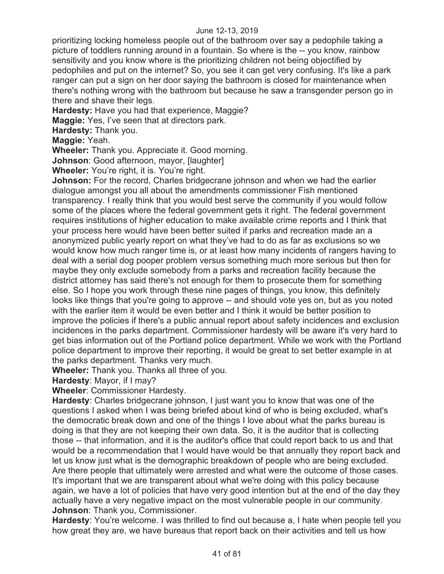prioritizing locking homeless people out of the bathroom over say a pedophile taking a picture of toddlers running around in a fountain. So where is the -- you know, rainbow sensitivity and you know where is the prioritizing children not being objectified by pedophiles and put on the internet? So, you see it can get very confusing. It's like a park ranger can put a sign on her door saying the bathroom is closed for maintenance when there's nothing wrong with the bathroom but because he saw a transgender person go in there and shave their legs.

**Hardesty:** Have you had that experience, Maggie?

**Maggie:** Yes, I've seen that at directors park.

**Hardesty:** Thank you.

**Maggie:** Yeah.

**Wheeler:** Thank you. Appreciate it. Good morning.

**Johnson**: Good afternoon, mayor, [laughter]

**Wheeler:** You're right, it is. You're right.

**Johnson:** For the record, Charles bridgecrane johnson and when we had the earlier dialogue amongst you all about the amendments commissioner Fish mentioned transparency. I really think that you would best serve the community if you would follow some of the places where the federal government gets it right. The federal government requires institutions of higher education to make available crime reports and I think that your process here would have been better suited if parks and recreation made an a anonymized public yearly report on what they've had to do as far as exclusions so we would know how much ranger time is, or at least how many incidents of rangers having to deal with a serial dog pooper problem versus something much more serious but then for maybe they only exclude somebody from a parks and recreation facility because the district attorney has said there's not enough for them to prosecute them for something else. So I hope you work through these nine pages of things, you know, this definitely looks like things that you're going to approve -- and should vote yes on, but as you noted with the earlier item it would be even better and I think it would be better position to improve the policies if there's a public annual report about safety incidences and exclusion incidences in the parks department. Commissioner hardesty will be aware it's very hard to get bias information out of the Portland police department. While we work with the Portland police department to improve their reporting, it would be great to set better example in at the parks department. Thanks very much.

**Wheeler:** Thank you. Thanks all three of you.

**Hardesty**: Mayor, if I may?

**Wheeler**: Commissioner Hardesty.

**Hardesty**: Charles bridgecrane johnson, I just want you to know that was one of the questions I asked when I was being briefed about kind of who is being excluded, what's the democratic break down and one of the things I love about what the parks bureau is doing is that they are not keeping their own data. So, it is the auditor that is collecting those -- that information, and it is the auditor's office that could report back to us and that would be a recommendation that I would have would be that annually they report back and let us know just what is the demographic breakdown of people who are being excluded. Are there people that ultimately were arrested and what were the outcome of those cases. It's important that we are transparent about what we're doing with this policy because again, we have a lot of policies that have very good intention but at the end of the day they actually have a very negative impact on the most vulnerable people in our community. **Johnson**: Thank you, Commissioner.

**Hardesty**: You're welcome. I was thrilled to find out because a, I hate when people tell you how great they are, we have bureaus that report back on their activities and tell us how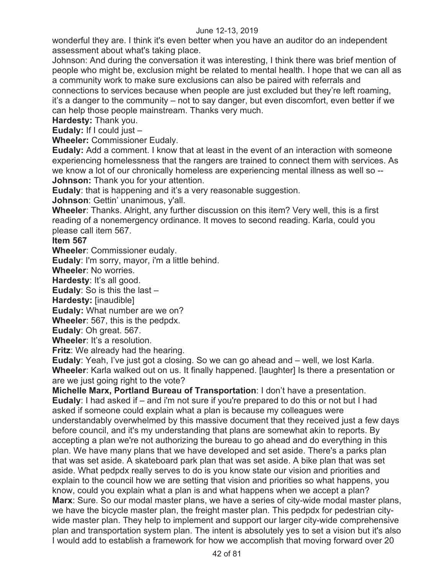wonderful they are. I think it's even better when you have an auditor do an independent assessment about what's taking place.

Johnson: And during the conversation it was interesting, I think there was brief mention of people who might be, exclusion might be related to mental health. I hope that we can all as a community work to make sure exclusions can also be paired with referrals and connections to services because when people are just excluded but they're left roaming, it's a danger to the community – not to say danger, but even discomfort, even better if we can help those people mainstream. Thanks very much.

**Hardesty:** Thank you.

**Eudaly:** If I could just –

**Wheeler:** Commissioner Eudaly.

**Eudaly:** Add a comment. I know that at least in the event of an interaction with someone experiencing homelessness that the rangers are trained to connect them with services. As we know a lot of our chronically homeless are experiencing mental illness as well so -- **Johnson:** Thank you for your attention.

**Eudaly**: that is happening and it's a very reasonable suggestion.

**Johnson**: Gettin' unanimous, y'all.

**Wheeler**: Thanks. Alright, any further discussion on this item? Very well, this is a first reading of a nonemergency ordinance. It moves to second reading. Karla, could you please call item 567.

**Item 567** 

**Wheeler**: Commissioner eudaly.

**Eudaly**: I'm sorry, mayor, i'm a little behind.

**Wheeler**: No worries.

**Hardesty**: It's all good.

**Eudaly**: So is this the last –

**Hardesty:** [inaudible]

**Eudaly:** What number are we on?

**Wheeler**: 567, this is the pedpdx.

**Eudaly**: Oh great. 567.

**Wheeler**: It's a resolution.

**Fritz**: We already had the hearing.

**Eudaly**: Yeah, I've just got a closing. So we can go ahead and – well, we lost Karla. **Wheeler**: Karla walked out on us. It finally happened. [laughter] Is there a presentation or are we just going right to the vote?

**Michelle Marx, Portland Bureau of Transportation**: I don't have a presentation. **Eudaly**: I had asked if – and i'm not sure if you're prepared to do this or not but I had asked if someone could explain what a plan is because my colleagues were understandably overwhelmed by this massive document that they received just a few days before council, and it's my understanding that plans are somewhat akin to reports. By accepting a plan we're not authorizing the bureau to go ahead and do everything in this plan. We have many plans that we have developed and set aside. There's a parks plan that was set aside. A skateboard park plan that was set aside. A bike plan that was set aside. What pedpdx really serves to do is you know state our vision and priorities and explain to the council how we are setting that vision and priorities so what happens, you know, could you explain what a plan is and what happens when we accept a plan? **Marx**: Sure. So our modal master plans, we have a series of city-wide modal master plans, we have the bicycle master plan, the freight master plan. This pedpdx for pedestrian citywide master plan. They help to implement and support our larger city-wide comprehensive plan and transportation system plan. The intent is absolutely yes to set a vision but it's also I would add to establish a framework for how we accomplish that moving forward over 20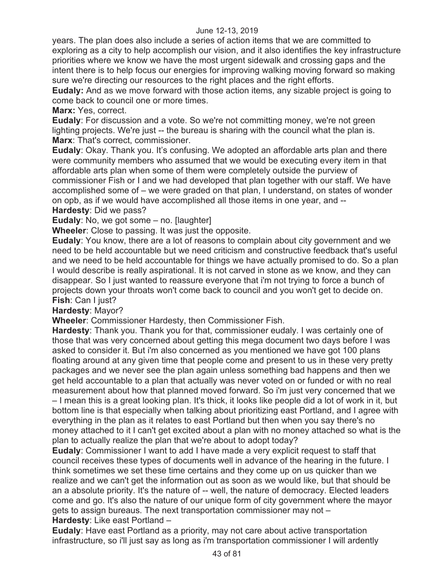years. The plan does also include a series of action items that we are committed to exploring as a city to help accomplish our vision, and it also identifies the key infrastructure priorities where we know we have the most urgent sidewalk and crossing gaps and the intent there is to help focus our energies for improving walking moving forward so making sure we're directing our resources to the right places and the right efforts.

**Eudaly:** And as we move forward with those action items, any sizable project is going to come back to council one or more times.

**Marx:** Yes, correct.

**Eudaly**: For discussion and a vote. So we're not committing money, we're not green lighting projects. We're just -- the bureau is sharing with the council what the plan is. **Marx**: That's correct, commissioner.

**Eudaly**: Okay. Thank you. It's confusing. We adopted an affordable arts plan and there were community members who assumed that we would be executing every item in that affordable arts plan when some of them were completely outside the purview of commissioner Fish or I and we had developed that plan together with our staff. We have accomplished some of – we were graded on that plan, I understand, on states of wonder on opb, as if we would have accomplished all those items in one year, and --

**Hardesty**: Did we pass?

**Eudaly:** No, we got some – no. [laughter]

**Wheeler**: Close to passing. It was just the opposite.

**Eudaly**: You know, there are a lot of reasons to complain about city government and we need to be held accountable but we need criticism and constructive feedback that's useful and we need to be held accountable for things we have actually promised to do. So a plan I would describe is really aspirational. It is not carved in stone as we know, and they can disappear. So I just wanted to reassure everyone that i'm not trying to force a bunch of projects down your throats won't come back to council and you won't get to decide on. **Fish**: Can I just?

# **Hardesty**: Mayor?

**Wheeler**: Commissioner Hardesty, then Commissioner Fish.

**Hardesty**: Thank you. Thank you for that, commissioner eudaly. I was certainly one of those that was very concerned about getting this mega document two days before I was asked to consider it. But i'm also concerned as you mentioned we have got 100 plans floating around at any given time that people come and present to us in these very pretty packages and we never see the plan again unless something bad happens and then we get held accountable to a plan that actually was never voted on or funded or with no real measurement about how that planned moved forward. So i'm just very concerned that we – I mean this is a great looking plan. It's thick, it looks like people did a lot of work in it, but bottom line is that especially when talking about prioritizing east Portland, and I agree with everything in the plan as it relates to east Portland but then when you say there's no money attached to it I can't get excited about a plan with no money attached so what is the plan to actually realize the plan that we're about to adopt today?

**Eudaly**: Commissioner I want to add I have made a very explicit request to staff that council receives these types of documents well in advance of the hearing in the future. I think sometimes we set these time certains and they come up on us quicker than we realize and we can't get the information out as soon as we would like, but that should be an a absolute priority. It's the nature of -- well, the nature of democracy. Elected leaders come and go. It's also the nature of our unique form of city government where the mayor gets to assign bureaus. The next transportation commissioner may not – **Hardesty**: Like east Portland –

**Eudaly**: Have east Portland as a priority, may not care about active transportation infrastructure, so i'll just say as long as i'm transportation commissioner I will ardently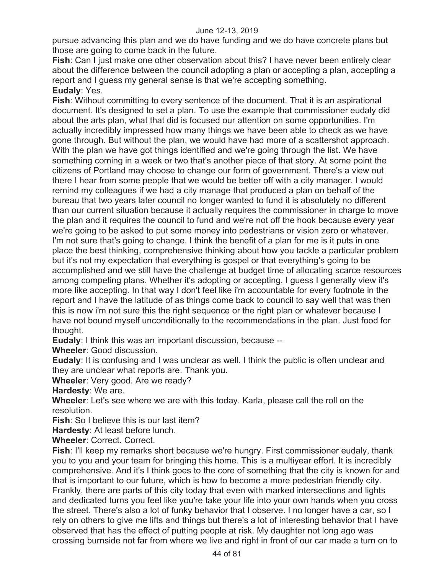pursue advancing this plan and we do have funding and we do have concrete plans but those are going to come back in the future.

**Fish**: Can I just make one other observation about this? I have never been entirely clear about the difference between the council adopting a plan or accepting a plan, accepting a report and I guess my general sense is that we're accepting something. **Eudaly**: Yes.

**Fish**: Without committing to every sentence of the document. That it is an aspirational document. It's designed to set a plan. To use the example that commissioner eudaly did about the arts plan, what that did is focused our attention on some opportunities. I'm actually incredibly impressed how many things we have been able to check as we have gone through. But without the plan, we would have had more of a scattershot approach. With the plan we have got things identified and we're going through the list. We have something coming in a week or two that's another piece of that story. At some point the citizens of Portland may choose to change our form of government. There's a view out there I hear from some people that we would be better off with a city manager. I would remind my colleagues if we had a city manage that produced a plan on behalf of the bureau that two years later council no longer wanted to fund it is absolutely no different than our current situation because it actually requires the commissioner in charge to move the plan and it requires the council to fund and we're not off the hook because every year we're going to be asked to put some money into pedestrians or vision zero or whatever. I'm not sure that's going to change. I think the benefit of a plan for me is it puts in one place the best thinking, comprehensive thinking about how you tackle a particular problem but it's not my expectation that everything is gospel or that everything's going to be accomplished and we still have the challenge at budget time of allocating scarce resources among competing plans. Whether it's adopting or accepting, I guess I generally view it's more like accepting. In that way I don't feel like i'm accountable for every footnote in the report and I have the latitude of as things come back to council to say well that was then this is now i'm not sure this the right sequence or the right plan or whatever because I have not bound myself unconditionally to the recommendations in the plan. Just food for thought.

**Eudaly**: I think this was an important discussion, because --

**Wheeler**: Good discussion.

**Eudaly**: It is confusing and I was unclear as well. I think the public is often unclear and they are unclear what reports are. Thank you.

**Wheeler**: Very good. Are we ready?

**Hardesty**: We are.

**Wheeler**: Let's see where we are with this today. Karla, please call the roll on the resolution.

**Fish**: So I believe this is our last item?

**Hardesty**: At least before lunch.

**Wheeler**: Correct. Correct.

**Fish**: I'll keep my remarks short because we're hungry. First commissioner eudaly, thank you to you and your team for bringing this home. This is a multiyear effort. It is incredibly comprehensive. And it's I think goes to the core of something that the city is known for and that is important to our future, which is how to become a more pedestrian friendly city. Frankly, there are parts of this city today that even with marked intersections and lights and dedicated turns you feel like you're take your life into your own hands when you cross the street. There's also a lot of funky behavior that I observe. I no longer have a car, so I rely on others to give me lifts and things but there's a lot of interesting behavior that I have observed that has the effect of putting people at risk. My daughter not long ago was crossing burnside not far from where we live and right in front of our car made a turn on to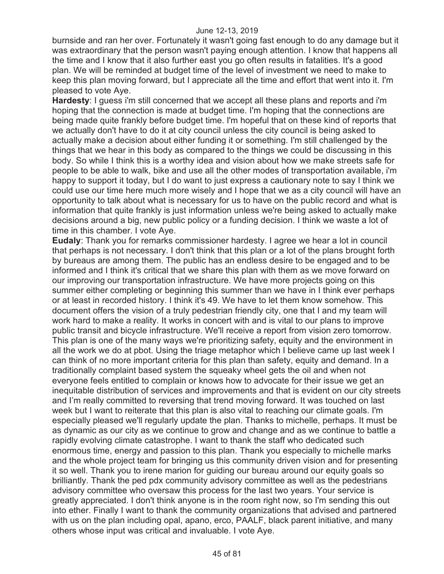burnside and ran her over. Fortunately it wasn't going fast enough to do any damage but it was extraordinary that the person wasn't paying enough attention. I know that happens all the time and I know that it also further east you go often results in fatalities. It's a good plan. We will be reminded at budget time of the level of investment we need to make to keep this plan moving forward, but I appreciate all the time and effort that went into it. I'm pleased to vote Aye.

**Hardesty**: I guess i'm still concerned that we accept all these plans and reports and i'm hoping that the connection is made at budget time. I'm hoping that the connections are being made quite frankly before budget time. I'm hopeful that on these kind of reports that we actually don't have to do it at city council unless the city council is being asked to actually make a decision about either funding it or something. I'm still challenged by the things that we hear in this body as compared to the things we could be discussing in this body. So while I think this is a worthy idea and vision about how we make streets safe for people to be able to walk, bike and use all the other modes of transportation available, i'm happy to support it today, but I do want to just express a cautionary note to say I think we could use our time here much more wisely and I hope that we as a city council will have an opportunity to talk about what is necessary for us to have on the public record and what is information that quite frankly is just information unless we're being asked to actually make decisions around a big, new public policy or a funding decision. I think we waste a lot of time in this chamber. I vote Aye.

**Eudaly**: Thank you for remarks commissioner hardesty. I agree we hear a lot in council that perhaps is not necessary. I don't think that this plan or a lot of the plans brought forth by bureaus are among them. The public has an endless desire to be engaged and to be informed and I think it's critical that we share this plan with them as we move forward on our improving our transportation infrastructure. We have more projects going on this summer either completing or beginning this summer than we have in I think ever perhaps or at least in recorded history. I think it's 49. We have to let them know somehow. This document offers the vision of a truly pedestrian friendly city, one that I and my team will work hard to make a reality. It works in concert with and is vital to our plans to improve public transit and bicycle infrastructure. We'll receive a report from vision zero tomorrow. This plan is one of the many ways we're prioritizing safety, equity and the environment in all the work we do at pbot. Using the triage metaphor which I believe came up last week I can think of no more important criteria for this plan than safety, equity and demand. In a traditionally complaint based system the squeaky wheel gets the oil and when not everyone feels entitled to complain or knows how to advocate for their issue we get an inequitable distribution of services and improvements and that is evident on our city streets and I'm really committed to reversing that trend moving forward. It was touched on last week but I want to reiterate that this plan is also vital to reaching our climate goals. I'm especially pleased we'll regularly update the plan. Thanks to michelle, perhaps. It must be as dynamic as our city as we continue to grow and change and as we continue to battle a rapidly evolving climate catastrophe. I want to thank the staff who dedicated such enormous time, energy and passion to this plan. Thank you especially to michelle marks and the whole project team for bringing us this community driven vision and for presenting it so well. Thank you to irene marion for guiding our bureau around our equity goals so brilliantly. Thank the ped pdx community advisory committee as well as the pedestrians advisory committee who oversaw this process for the last two years. Your service is greatly appreciated. I don't think anyone is in the room right now, so I'm sending this out into ether. Finally I want to thank the community organizations that advised and partnered with us on the plan including opal, apano, erco, PAALF, black parent initiative, and many others whose input was critical and invaluable. I vote Aye.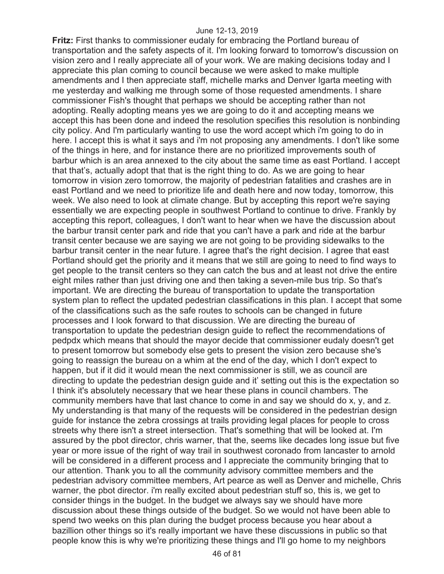**Fritz:** First thanks to commissioner eudaly for embracing the Portland bureau of transportation and the safety aspects of it. I'm looking forward to tomorrow's discussion on vision zero and I really appreciate all of your work. We are making decisions today and I appreciate this plan coming to council because we were asked to make multiple amendments and I then appreciate staff, michelle marks and Denver Igarta meeting with me yesterday and walking me through some of those requested amendments. I share commissioner Fish's thought that perhaps we should be accepting rather than not adopting. Really adopting means yes we are going to do it and accepting means we accept this has been done and indeed the resolution specifies this resolution is nonbinding city policy. And I'm particularly wanting to use the word accept which i'm going to do in here. I accept this is what it says and i'm not proposing any amendments. I don't like some of the things in here, and for instance there are no prioritized improvements south of barbur which is an area annexed to the city about the same time as east Portland. I accept that that's, actually adopt that that is the right thing to do. As we are going to hear tomorrow in vision zero tomorrow, the majority of pedestrian fatalities and crashes are in east Portland and we need to prioritize life and death here and now today, tomorrow, this week. We also need to look at climate change. But by accepting this report we're saying essentially we are expecting people in southwest Portland to continue to drive. Frankly by accepting this report, colleagues, I don't want to hear when we have the discussion about the barbur transit center park and ride that you can't have a park and ride at the barbur transit center because we are saying we are not going to be providing sidewalks to the barbur transit center in the near future. I agree that's the right decision. I agree that east Portland should get the priority and it means that we still are going to need to find ways to get people to the transit centers so they can catch the bus and at least not drive the entire eight miles rather than just driving one and then taking a seven-mile bus trip. So that's important. We are directing the bureau of transportation to update the transportation system plan to reflect the updated pedestrian classifications in this plan. I accept that some of the classifications such as the safe routes to schools can be changed in future processes and I look forward to that discussion. We are directing the bureau of transportation to update the pedestrian design guide to reflect the recommendations of pedpdx which means that should the mayor decide that commissioner eudaly doesn't get to present tomorrow but somebody else gets to present the vision zero because she's going to reassign the bureau on a whim at the end of the day, which I don't expect to happen, but if it did it would mean the next commissioner is still, we as council are directing to update the pedestrian design guide and it' setting out this is the expectation so I think it's absolutely necessary that we hear these plans in council chambers. The community members have that last chance to come in and say we should do x, y, and z. My understanding is that many of the requests will be considered in the pedestrian design guide for instance the zebra crossings at trails providing legal places for people to cross streets why there isn't a street intersection. That's something that will be looked at. I'm assured by the pbot director, chris warner, that the, seems like decades long issue but five year or more issue of the right of way trail in southwest coronado from lancaster to arnold will be considered in a different process and I appreciate the community bringing that to our attention. Thank you to all the community advisory committee members and the pedestrian advisory committee members, Art pearce as well as Denver and michelle, Chris warner, the pbot director. i'm really excited about pedestrian stuff so, this is, we get to consider things in the budget. In the budget we always say we should have more discussion about these things outside of the budget. So we would not have been able to spend two weeks on this plan during the budget process because you hear about a bazillion other things so it's really important we have these discussions in public so that people know this is why we're prioritizing these things and I'll go home to my neighbors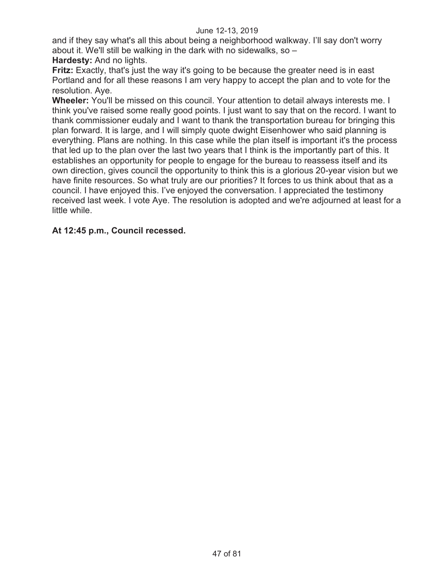and if they say what's all this about being a neighborhood walkway. I'll say don't worry about it. We'll still be walking in the dark with no sidewalks, so –

# **Hardesty:** And no lights.

**Fritz:** Exactly, that's just the way it's going to be because the greater need is in east Portland and for all these reasons I am very happy to accept the plan and to vote for the resolution. Aye.

**Wheeler:** You'll be missed on this council. Your attention to detail always interests me. I think you've raised some really good points. I just want to say that on the record. I want to thank commissioner eudaly and I want to thank the transportation bureau for bringing this plan forward. It is large, and I will simply quote dwight Eisenhower who said planning is everything. Plans are nothing. In this case while the plan itself is important it's the process that led up to the plan over the last two years that I think is the importantly part of this. It establishes an opportunity for people to engage for the bureau to reassess itself and its own direction, gives council the opportunity to think this is a glorious 20-year vision but we have finite resources. So what truly are our priorities? It forces to us think about that as a council. I have enjoyed this. I've enjoyed the conversation. I appreciated the testimony received last week. I vote Aye. The resolution is adopted and we're adjourned at least for a little while.

# **At 12:45 p.m., Council recessed.**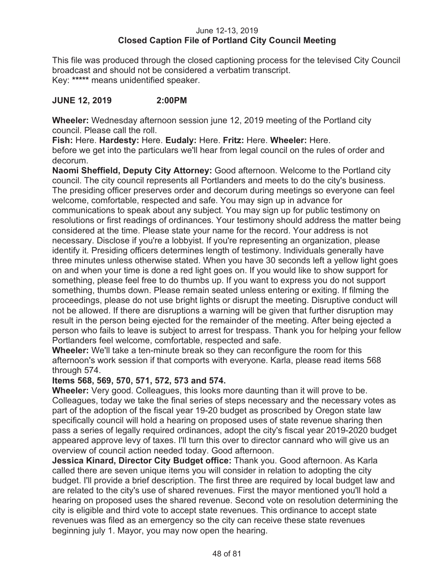## June 12-13, 2019 **Closed Caption File of Portland City Council Meeting**

This file was produced through the closed captioning process for the televised City Council broadcast and should not be considered a verbatim transcript. Key: **\*\*\*\*\*** means unidentified speaker.

# **JUNE 12, 2019 2:00PM**

**Wheeler:** Wednesday afternoon session june 12, 2019 meeting of the Portland city council. Please call the roll.

**Fish:** Here. **Hardesty:** Here. **Eudaly:** Here. **Fritz:** Here. **Wheeler:** Here. before we get into the particulars we'll hear from legal council on the rules of order and decorum.

**Naomi Sheffield, Deputy City Attorney:** Good afternoon. Welcome to the Portland city council. The city council represents all Portlanders and meets to do the city's business. The presiding officer preserves order and decorum during meetings so everyone can feel welcome, comfortable, respected and safe. You may sign up in advance for communications to speak about any subject. You may sign up for public testimony on resolutions or first readings of ordinances. Your testimony should address the matter being considered at the time. Please state your name for the record. Your address is not necessary. Disclose if you're a lobbyist. If you're representing an organization, please identify it. Presiding officers determines length of testimony. Individuals generally have three minutes unless otherwise stated. When you have 30 seconds left a yellow light goes on and when your time is done a red light goes on. If you would like to show support for something, please feel free to do thumbs up. If you want to express you do not support something, thumbs down. Please remain seated unless entering or exiting. If filming the proceedings, please do not use bright lights or disrupt the meeting. Disruptive conduct will not be allowed. If there are disruptions a warning will be given that further disruption may result in the person being ejected for the remainder of the meeting. After being ejected a person who fails to leave is subject to arrest for trespass. Thank you for helping your fellow Portlanders feel welcome, comfortable, respected and safe.

**Wheeler:** We'll take a ten-minute break so they can reconfigure the room for this afternoon's work session if that comports with everyone. Karla, please read items 568 through 574.

# **Items 568, 569, 570, 571, 572, 573 and 574.**

**Wheeler:** Very good. Colleagues, this looks more daunting than it will prove to be. Colleagues, today we take the final series of steps necessary and the necessary votes as part of the adoption of the fiscal year 19-20 budget as proscribed by Oregon state law specifically council will hold a hearing on proposed uses of state revenue sharing then pass a series of legally required ordinances, adopt the city's fiscal year 2019-2020 budget appeared approve levy of taxes. I'll turn this over to director cannard who will give us an overview of council action needed today. Good afternoon.

**Jessica Kinard, Director City Budget office:** Thank you. Good afternoon. As Karla called there are seven unique items you will consider in relation to adopting the city budget. I'll provide a brief description. The first three are required by local budget law and are related to the city's use of shared revenues. First the mayor mentioned you'll hold a hearing on proposed uses the shared revenue. Second vote on resolution determining the city is eligible and third vote to accept state revenues. This ordinance to accept state revenues was filed as an emergency so the city can receive these state revenues beginning july 1. Mayor, you may now open the hearing.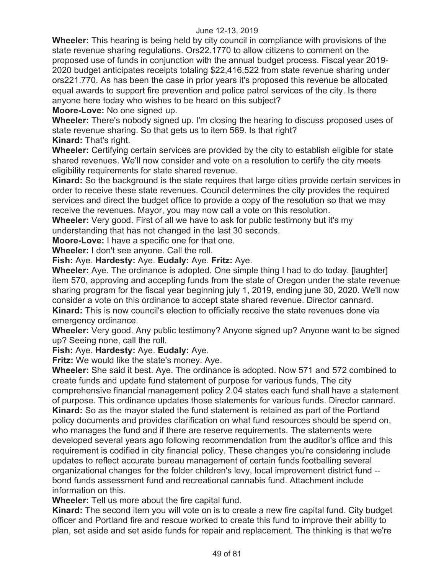**Wheeler:** This hearing is being held by city council in compliance with provisions of the state revenue sharing regulations. Ors22.1770 to allow citizens to comment on the proposed use of funds in conjunction with the annual budget process. Fiscal year 2019- 2020 budget anticipates receipts totaling \$22,416,522 from state revenue sharing under ors221.770. As has been the case in prior years it's proposed this revenue be allocated equal awards to support fire prevention and police patrol services of the city. Is there anyone here today who wishes to be heard on this subject?

**Moore-Love:** No one signed up.

**Wheeler:** There's nobody signed up. I'm closing the hearing to discuss proposed uses of state revenue sharing. So that gets us to item 569. Is that right?

**Kinard:** That's right.

**Wheeler:** Certifying certain services are provided by the city to establish eligible for state shared revenues. We'll now consider and vote on a resolution to certify the city meets eligibility requirements for state shared revenue.

**Kinard:** So the background is the state requires that large cities provide certain services in order to receive these state revenues. Council determines the city provides the required services and direct the budget office to provide a copy of the resolution so that we may receive the revenues. Mayor, you may now call a vote on this resolution.

**Wheeler:** Very good. First of all we have to ask for public testimony but it's my understanding that has not changed in the last 30 seconds.

**Moore-Love:** I have a specific one for that one.

**Wheeler:** I don't see anyone. Call the roll.

**Fish:** Aye. **Hardesty:** Aye. **Eudaly:** Aye. **Fritz:** Aye.

**Wheeler:** Aye. The ordinance is adopted. One simple thing I had to do today. [laughter] item 570, approving and accepting funds from the state of Oregon under the state revenue sharing program for the fiscal year beginning july 1, 2019, ending june 30, 2020. We'll now consider a vote on this ordinance to accept state shared revenue. Director cannard. **Kinard:** This is now council's election to officially receive the state revenues done via emergency ordinance.

**Wheeler:** Very good. Any public testimony? Anyone signed up? Anyone want to be signed up? Seeing none, call the roll.

**Fish:** Aye. **Hardesty:** Aye. **Eudaly:** Aye.

**Fritz:** We would like the state's money. Aye.

**Wheeler:** She said it best. Aye. The ordinance is adopted. Now 571 and 572 combined to create funds and update fund statement of purpose for various funds. The city comprehensive financial management policy 2.04 states each fund shall have a statement of purpose. This ordinance updates those statements for various funds. Director cannard. **Kinard:** So as the mayor stated the fund statement is retained as part of the Portland policy documents and provides clarification on what fund resources should be spend on, who manages the fund and if there are reserve requirements. The statements were developed several years ago following recommendation from the auditor's office and this requirement is codified in city financial policy. These changes you're considering include updates to reflect accurate bureau management of certain funds footballing several organizational changes for the folder children's levy, local improvement district fund - bond funds assessment fund and recreational cannabis fund. Attachment include information on this.

**Wheeler:** Tell us more about the fire capital fund.

**Kinard:** The second item you will vote on is to create a new fire capital fund. City budget officer and Portland fire and rescue worked to create this fund to improve their ability to plan, set aside and set aside funds for repair and replacement. The thinking is that we're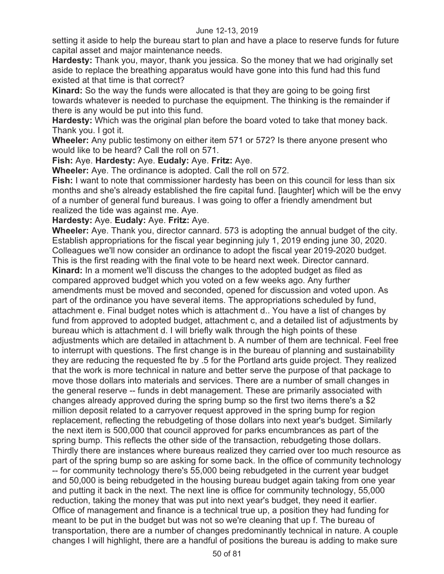setting it aside to help the bureau start to plan and have a place to reserve funds for future capital asset and major maintenance needs.

**Hardesty:** Thank you, mayor, thank you jessica. So the money that we had originally set aside to replace the breathing apparatus would have gone into this fund had this fund existed at that time is that correct?

**Kinard:** So the way the funds were allocated is that they are going to be going first towards whatever is needed to purchase the equipment. The thinking is the remainder if there is any would be put into this fund.

**Hardesty:** Which was the original plan before the board voted to take that money back. Thank you. I got it.

**Wheeler:** Any public testimony on either item 571 or 572? Is there anyone present who would like to be heard? Call the roll on 571.

**Fish:** Aye. **Hardesty:** Aye. **Eudaly:** Aye. **Fritz:** Aye.

**Wheeler:** Aye. The ordinance is adopted. Call the roll on 572.

**Fish:** I want to note that commissioner hardesty has been on this council for less than six months and she's already established the fire capital fund. [laughter] which will be the envy of a number of general fund bureaus. I was going to offer a friendly amendment but realized the tide was against me. Aye.

**Hardesty:** Aye. **Eudaly:** Aye. **Fritz:** Aye.

**Wheeler:** Aye. Thank you, director cannard. 573 is adopting the annual budget of the city. Establish appropriations for the fiscal year beginning july 1, 2019 ending june 30, 2020. Colleagues we'll now consider an ordinance to adopt the fiscal year 2019-2020 budget. This is the first reading with the final vote to be heard next week. Director cannard. **Kinard:** In a moment we'll discuss the changes to the adopted budget as filed as compared approved budget which you voted on a few weeks ago. Any further amendments must be moved and seconded, opened for discussion and voted upon. As part of the ordinance you have several items. The appropriations scheduled by fund, attachment e. Final budget notes which is attachment d.. You have a list of changes by fund from approved to adopted budget, attachment c, and a detailed list of adjustments by bureau which is attachment d. I will briefly walk through the high points of these adjustments which are detailed in attachment b. A number of them are technical. Feel free to interrupt with questions. The first change is in the bureau of planning and sustainability they are reducing the requested fte by .5 for the Portland arts guide project. They realized that the work is more technical in nature and better serve the purpose of that package to move those dollars into materials and services. There are a number of small changes in the general reserve -- funds in debt management. These are primarily associated with changes already approved during the spring bump so the first two items there's a \$2 million deposit related to a carryover request approved in the spring bump for region replacement, reflecting the rebudgeting of those dollars into next year's budget. Similarly the next item is 500,000 that council approved for parks encumbrances as part of the spring bump. This reflects the other side of the transaction, rebudgeting those dollars. Thirdly there are instances where bureaus realized they carried over too much resource as part of the spring bump so are asking for some back. In the office of community technology -- for community technology there's 55,000 being rebudgeted in the current year budget and 50,000 is being rebudgeted in the housing bureau budget again taking from one year and putting it back in the next. The next line is office for community technology, 55,000 reduction, taking the money that was put into next year's budget, they need it earlier. Office of management and finance is a technical true up, a position they had funding for meant to be put in the budget but was not so we're cleaning that up f. The bureau of transportation, there are a number of changes predominantly technical in nature. A couple changes I will highlight, there are a handful of positions the bureau is adding to make sure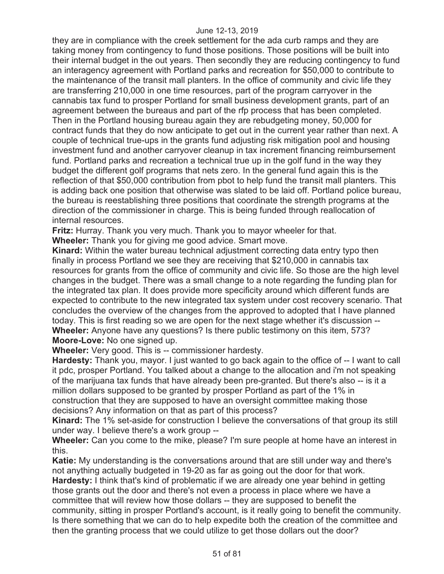they are in compliance with the creek settlement for the ada curb ramps and they are taking money from contingency to fund those positions. Those positions will be built into their internal budget in the out years. Then secondly they are reducing contingency to fund an interagency agreement with Portland parks and recreation for \$50,000 to contribute to the maintenance of the transit mall planters. In the office of community and civic life they are transferring 210,000 in one time resources, part of the program carryover in the cannabis tax fund to prosper Portland for small business development grants, part of an agreement between the bureaus and part of the rfp process that has been completed. Then in the Portland housing bureau again they are rebudgeting money, 50,000 for contract funds that they do now anticipate to get out in the current year rather than next. A couple of technical true-ups in the grants fund adjusting risk mitigation pool and housing investment fund and another carryover cleanup in tax increment financing reimbursement fund. Portland parks and recreation a technical true up in the golf fund in the way they budget the different golf programs that nets zero. In the general fund again this is the reflection of that \$50,000 contribution from pbot to help fund the transit mall planters. This is adding back one position that otherwise was slated to be laid off. Portland police bureau, the bureau is reestablishing three positions that coordinate the strength programs at the direction of the commissioner in charge. This is being funded through reallocation of internal resources.

**Fritz:** Hurray. Thank you very much. Thank you to mayor wheeler for that.

**Wheeler:** Thank you for giving me good advice. Smart move.

**Kinard:** Within the water bureau technical adjustment correcting data entry typo then finally in process Portland we see they are receiving that \$210,000 in cannabis tax resources for grants from the office of community and civic life. So those are the high level changes in the budget. There was a small change to a note regarding the funding plan for the integrated tax plan. It does provide more specificity around which different funds are expected to contribute to the new integrated tax system under cost recovery scenario. That concludes the overview of the changes from the approved to adopted that I have planned today. This is first reading so we are open for the next stage whether it's discussion -- **Wheeler:** Anyone have any questions? Is there public testimony on this item, 573? **Moore-Love:** No one signed up.

**Wheeler:** Very good. This is -- commissioner hardesty.

**Hardesty:** Thank you, mayor. I just wanted to go back again to the office of -- I want to call it pdc, prosper Portland. You talked about a change to the allocation and i'm not speaking of the marijuana tax funds that have already been pre-granted. But there's also -- is it a million dollars supposed to be granted by prosper Portland as part of the 1% in construction that they are supposed to have an oversight committee making those decisions? Any information on that as part of this process?

**Kinard:** The 1% set-aside for construction I believe the conversations of that group its still under way. I believe there's a work group --

**Wheeler:** Can you come to the mike, please? I'm sure people at home have an interest in this.

**Katie:** My understanding is the conversations around that are still under way and there's not anything actually budgeted in 19-20 as far as going out the door for that work. **Hardesty:** I think that's kind of problematic if we are already one year behind in getting those grants out the door and there's not even a process in place where we have a committee that will review how those dollars -- they are supposed to benefit the community, sitting in prosper Portland's account, is it really going to benefit the community. Is there something that we can do to help expedite both the creation of the committee and then the granting process that we could utilize to get those dollars out the door?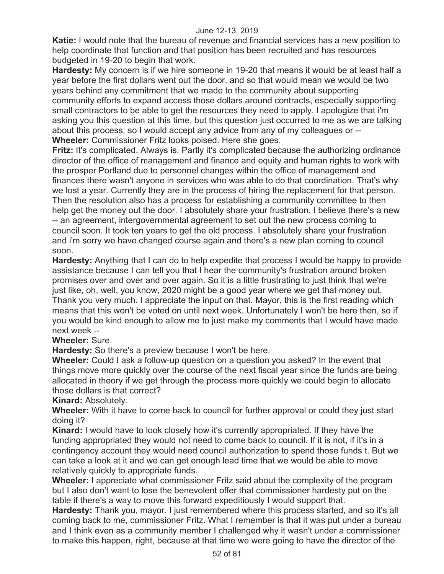**Katie:** I would note that the bureau of revenue and financial services has a new position to help coordinate that function and that position has been recruited and has resources budgeted in 19-20 to begin that work.

**Hardesty:** My concern is if we hire someone in 19-20 that means it would be at least half a year before the first dollars went out the door, and so that would mean we would be two years behind any commitment that we made to the community about supporting community efforts to expand access those dollars around contracts, especially supporting small contractors to be able to get the resources they need to apply. I apologize that i'm asking you this question at this time, but this question just occurred to me as we are talking about this process, so I would accept any advice from any of my colleagues or -- **Wheeler:** Commissioner Fritz looks poised. Here she goes.

**Fritz:** It's complicated. Always is. Partly it's complicated because the authorizing ordinance director of the office of management and finance and equity and human rights to work with the prosper Portland due to personnel changes within the office of management and finances there wasn't anyone in services who was able to do that coordination. That's why we lost a year. Currently they are in the process of hiring the replacement for that person. Then the resolution also has a process for establishing a community committee to then help get the money out the door. I absolutely share your frustration. I believe there's a new -- an agreement, intergovernmental agreement to set out the new process coming to council soon. It took ten years to get the old process. I absolutely share your frustration and i'm sorry we have changed course again and there's a new plan coming to council soon.

**Hardesty:** Anything that I can do to help expedite that process I would be happy to provide assistance because I can tell you that I hear the community's frustration around broken promises over and over and over again. So it is a little frustrating to just think that we're just like, oh, well, you know, 2020 might be a good year where we get that money out. Thank you very much. I appreciate the input on that. Mayor, this is the first reading which means that this won't be voted on until next week. Unfortunately I won't be here then, so if you would be kind enough to allow me to just make my comments that I would have made next week --

# **Wheeler:** Sure.

**Hardesty:** So there's a preview because I won't be here.

**Wheeler:** Could I ask a follow-up question on a question you asked? In the event that things move more quickly over the course of the next fiscal year since the funds are being allocated in theory if we get through the process more quickly we could begin to allocate those dollars is that correct?

# **Kinard:** Absolutely.

**Wheeler:** With it have to come back to council for further approval or could they just start doing it?

**Kinard:** I would have to look closely how it's currently appropriated. If they have the funding appropriated they would not need to come back to council. If it is not, if it's in a contingency account they would need council authorization to spend those funds t. But we can take a look at it and we can get enough lead time that we would be able to move relatively quickly to appropriate funds.

**Wheeler:** I appreciate what commissioner Fritz said about the complexity of the program but I also don't want to lose the benevolent offer that commissioner hardesty put on the table if there's a way to move this forward expeditiously I would support that.

**Hardesty:** Thank you, mayor. I just remembered where this process started, and so it's all coming back to me, commissioner Fritz. What I remember is that it was put under a bureau and I think even as a community member I challenged why it wasn't under a commissioner to make this happen, right, because at that time we were going to have the director of the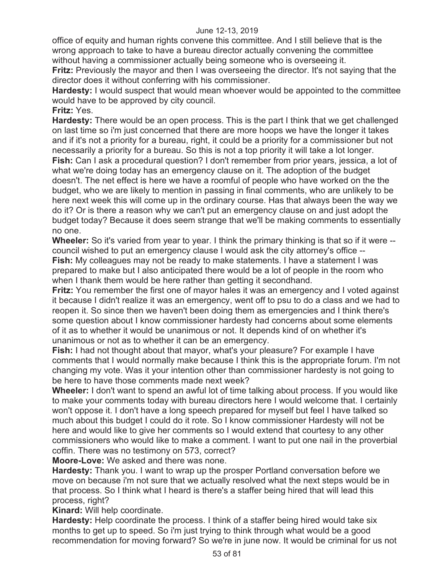office of equity and human rights convene this committee. And I still believe that is the wrong approach to take to have a bureau director actually convening the committee without having a commissioner actually being someone who is overseeing it.

**Fritz:** Previously the mayor and then I was overseeing the director. It's not saying that the director does it without conferring with his commissioner.

**Hardesty:** I would suspect that would mean whoever would be appointed to the committee would have to be approved by city council.

**Fritz:** Yes.

**Hardesty:** There would be an open process. This is the part I think that we get challenged on last time so i'm just concerned that there are more hoops we have the longer it takes and if it's not a priority for a bureau, right, it could be a priority for a commissioner but not necessarily a priority for a bureau. So this is not a top priority it will take a lot longer. **Fish:** Can I ask a procedural question? I don't remember from prior years, jessica, a lot of what we're doing today has an emergency clause on it. The adoption of the budget doesn't. The net effect is here we have a roomful of people who have worked on the the budget, who we are likely to mention in passing in final comments, who are unlikely to be here next week this will come up in the ordinary course. Has that always been the way we do it? Or is there a reason why we can't put an emergency clause on and just adopt the budget today? Because it does seem strange that we'll be making comments to essentially

no one.

**Wheeler:** So it's varied from year to year. I think the primary thinking is that so if it were -council wished to put an emergency clause I would ask the city attorney's office -- **Fish:** My colleagues may not be ready to make statements. I have a statement I was prepared to make but I also anticipated there would be a lot of people in the room who when I thank them would be here rather than getting it secondhand.

**Fritz:** You remember the first one of mayor hales it was an emergency and I voted against it because I didn't realize it was an emergency, went off to psu to do a class and we had to reopen it. So since then we haven't been doing them as emergencies and I think there's some question about I know commissioner hardesty had concerns about some elements of it as to whether it would be unanimous or not. It depends kind of on whether it's unanimous or not as to whether it can be an emergency.

**Fish:** I had not thought about that mayor, what's your pleasure? For example I have comments that I would normally make because I think this is the appropriate forum. I'm not changing my vote. Was it your intention other than commissioner hardesty is not going to be here to have those comments made next week?

**Wheeler:** I don't want to spend an awful lot of time talking about process. If you would like to make your comments today with bureau directors here I would welcome that. I certainly won't oppose it. I don't have a long speech prepared for myself but feel I have talked so much about this budget I could do it rote. So I know commissioner Hardesty will not be here and would like to give her comments so I would extend that courtesy to any other commissioners who would like to make a comment. I want to put one nail in the proverbial coffin. There was no testimony on 573, correct?

**Moore-Love:** We asked and there was none.

**Hardesty:** Thank you. I want to wrap up the prosper Portland conversation before we move on because i'm not sure that we actually resolved what the next steps would be in that process. So I think what I heard is there's a staffer being hired that will lead this process, right?

**Kinard:** Will help coordinate.

**Hardesty:** Help coordinate the process. I think of a staffer being hired would take six months to get up to speed. So i'm just trying to think through what would be a good recommendation for moving forward? So we're in june now. It would be criminal for us not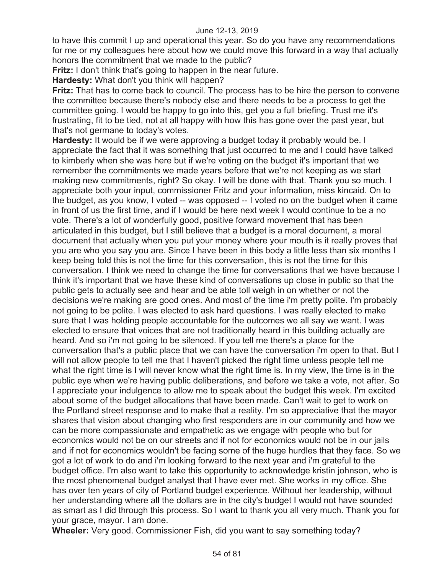to have this commit I up and operational this year. So do you have any recommendations for me or my colleagues here about how we could move this forward in a way that actually honors the commitment that we made to the public?

**Fritz:** I don't think that's going to happen in the near future.

**Hardesty:** What don't you think will happen?

**Fritz:** That has to come back to council. The process has to be hire the person to convene the committee because there's nobody else and there needs to be a process to get the committee going. I would be happy to go into this, get you a full briefing. Trust me it's frustrating, fit to be tied, not at all happy with how this has gone over the past year, but that's not germane to today's votes.

**Hardesty:** It would be if we were approving a budget today it probably would be. I appreciate the fact that it was something that just occurred to me and I could have talked to kimberly when she was here but if we're voting on the budget it's important that we remember the commitments we made years before that we're not keeping as we start making new commitments, right? So okay. I will be done with that. Thank you so much. I appreciate both your input, commissioner Fritz and your information, miss kincaid. On to the budget, as you know, I voted -- was opposed -- I voted no on the budget when it came in front of us the first time, and if I would be here next week I would continue to be a no vote. There's a lot of wonderfully good, positive forward movement that has been articulated in this budget, but I still believe that a budget is a moral document, a moral document that actually when you put your money where your mouth is it really proves that you are who you say you are. Since I have been in this body a little less than six months I keep being told this is not the time for this conversation, this is not the time for this conversation. I think we need to change the time for conversations that we have because I think it's important that we have these kind of conversations up close in public so that the public gets to actually see and hear and be able toll weigh in on whether or not the decisions we're making are good ones. And most of the time i'm pretty polite. I'm probably not going to be polite. I was elected to ask hard questions. I was really elected to make sure that I was holding people accountable for the outcomes we all say we want. I was elected to ensure that voices that are not traditionally heard in this building actually are heard. And so i'm not going to be silenced. If you tell me there's a place for the conversation that's a public place that we can have the conversation i'm open to that. But I will not allow people to tell me that I haven't picked the right time unless people tell me what the right time is I will never know what the right time is. In my view, the time is in the public eye when we're having public deliberations, and before we take a vote, not after. So I appreciate your indulgence to allow me to speak about the budget this week. I'm excited about some of the budget allocations that have been made. Can't wait to get to work on the Portland street response and to make that a reality. I'm so appreciative that the mayor shares that vision about changing who first responders are in our community and how we can be more compassionate and empathetic as we engage with people who but for economics would not be on our streets and if not for economics would not be in our jails and if not for economics wouldn't be facing some of the huge hurdles that they face. So we got a lot of work to do and i'm looking forward to the next year and i'm grateful to the budget office. I'm also want to take this opportunity to acknowledge kristin johnson, who is the most phenomenal budget analyst that I have ever met. She works in my office. She has over ten years of city of Portland budget experience. Without her leadership, without her understanding where all the dollars are in the city's budget I would not have sounded as smart as I did through this process. So I want to thank you all very much. Thank you for your grace, mayor. I am done.

**Wheeler:** Very good. Commissioner Fish, did you want to say something today?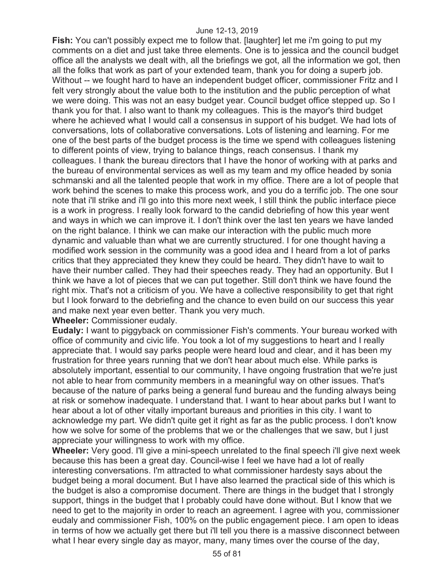**Fish:** You can't possibly expect me to follow that. [laughter] let me i'm going to put my comments on a diet and just take three elements. One is to jessica and the council budget office all the analysts we dealt with, all the briefings we got, all the information we got, then all the folks that work as part of your extended team, thank you for doing a superb job. Without -- we fought hard to have an independent budget officer, commissioner Fritz and I felt very strongly about the value both to the institution and the public perception of what we were doing. This was not an easy budget year. Council budget office stepped up. So I thank you for that. I also want to thank my colleagues. This is the mayor's third budget where he achieved what I would call a consensus in support of his budget. We had lots of conversations, lots of collaborative conversations. Lots of listening and learning. For me one of the best parts of the budget process is the time we spend with colleagues listening to different points of view, trying to balance things, reach consensus. I thank my colleagues. I thank the bureau directors that I have the honor of working with at parks and the bureau of environmental services as well as my team and my office headed by sonia schmanski and all the talented people that work in my office. There are a lot of people that work behind the scenes to make this process work, and you do a terrific job. The one sour note that i'll strike and i'll go into this more next week, I still think the public interface piece is a work in progress. I really look forward to the candid debriefing of how this year went and ways in which we can improve it. I don't think over the last ten years we have landed on the right balance. I think we can make our interaction with the public much more dynamic and valuable than what we are currently structured. I for one thought having a modified work session in the community was a good idea and I heard from a lot of parks critics that they appreciated they knew they could be heard. They didn't have to wait to have their number called. They had their speeches ready. They had an opportunity. But I think we have a lot of pieces that we can put together. Still don't think we have found the right mix. That's not a criticism of you. We have a collective responsibility to get that right but I look forward to the debriefing and the chance to even build on our success this year and make next year even better. Thank you very much. **Wheeler:** Commissioner eudaly.

**Eudaly:** I want to piggyback on commissioner Fish's comments. Your bureau worked with office of community and civic life. You took a lot of my suggestions to heart and I really appreciate that. I would say parks people were heard loud and clear, and it has been my frustration for three years running that we don't hear about much else. While parks is absolutely important, essential to our community, I have ongoing frustration that we're just not able to hear from community members in a meaningful way on other issues. That's because of the nature of parks being a general fund bureau and the funding always being at risk or somehow inadequate. I understand that. I want to hear about parks but I want to hear about a lot of other vitally important bureaus and priorities in this city. I want to acknowledge my part. We didn't quite get it right as far as the public process. I don't know how we solve for some of the problems that we or the challenges that we saw, but I just appreciate your willingness to work with my office.

**Wheeler:** Very good. I'll give a mini-speech unrelated to the final speech i'll give next week because this has been a great day. Council-wise I feel we have had a lot of really interesting conversations. I'm attracted to what commissioner hardesty says about the budget being a moral document. But I have also learned the practical side of this which is the budget is also a compromise document. There are things in the budget that I strongly support, things in the budget that I probably could have done without. But I know that we need to get to the majority in order to reach an agreement. I agree with you, commissioner eudaly and commissioner Fish, 100% on the public engagement piece. I am open to ideas in terms of how we actually get there but i'll tell you there is a massive disconnect between what I hear every single day as mayor, many, many times over the course of the day,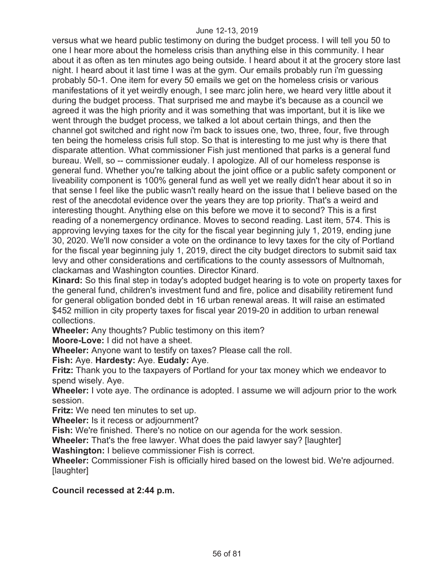versus what we heard public testimony on during the budget process. I will tell you 50 to one I hear more about the homeless crisis than anything else in this community. I hear about it as often as ten minutes ago being outside. I heard about it at the grocery store last night. I heard about it last time I was at the gym. Our emails probably run i'm guessing probably 50-1. One item for every 50 emails we get on the homeless crisis or various manifestations of it yet weirdly enough, I see marc jolin here, we heard very little about it during the budget process. That surprised me and maybe it's because as a council we agreed it was the high priority and it was something that was important, but it is like we went through the budget process, we talked a lot about certain things, and then the channel got switched and right now i'm back to issues one, two, three, four, five through ten being the homeless crisis full stop. So that is interesting to me just why is there that disparate attention. What commissioner Fish just mentioned that parks is a general fund bureau. Well, so -- commissioner eudaly. I apologize. All of our homeless response is general fund. Whether you're talking about the joint office or a public safety component or liveability component is 100% general fund as well yet we really didn't hear about it so in that sense I feel like the public wasn't really heard on the issue that I believe based on the rest of the anecdotal evidence over the years they are top priority. That's a weird and interesting thought. Anything else on this before we move it to second? This is a first reading of a nonemergency ordinance. Moves to second reading. Last item, 574. This is approving levying taxes for the city for the fiscal year beginning july 1, 2019, ending june 30, 2020. We'll now consider a vote on the ordinance to levy taxes for the city of Portland for the fiscal year beginning july 1, 2019, direct the city budget directors to submit said tax levy and other considerations and certifications to the county assessors of Multnomah, clackamas and Washington counties. Director Kinard.

**Kinard:** So this final step in today's adopted budget hearing is to vote on property taxes for the general fund, children's investment fund and fire, police and disability retirement fund for general obligation bonded debt in 16 urban renewal areas. It will raise an estimated \$452 million in city property taxes for fiscal year 2019-20 in addition to urban renewal collections.

**Wheeler:** Any thoughts? Public testimony on this item?

**Moore-Love:** I did not have a sheet.

**Wheeler:** Anyone want to testify on taxes? Please call the roll.

**Fish:** Aye. **Hardesty:** Aye. **Eudaly:** Aye.

**Fritz:** Thank you to the taxpayers of Portland for your tax money which we endeavor to spend wisely. Aye.

**Wheeler:** I vote aye. The ordinance is adopted. I assume we will adjourn prior to the work session.

**Fritz:** We need ten minutes to set up.

**Wheeler:** Is it recess or adjournment?

**Fish:** We're finished. There's no notice on our agenda for the work session.

**Wheeler:** That's the free lawyer. What does the paid lawyer say? [laughter]

**Washington:** I believe commissioner Fish is correct.

**Wheeler:** Commissioner Fish is officially hired based on the lowest bid. We're adjourned. [laughter]

## **Council recessed at 2:44 p.m.**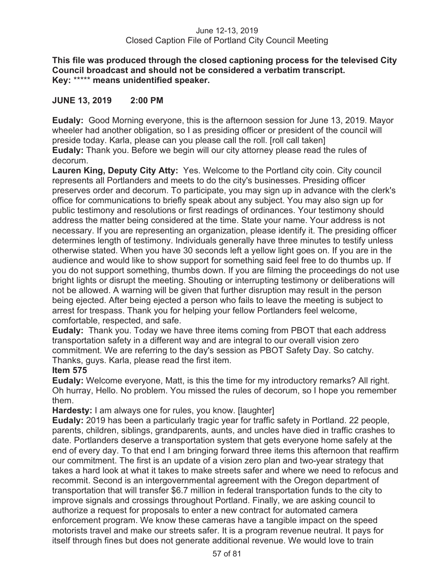## **This file was produced through the closed captioning process for the televised City Council broadcast and should not be considered a verbatim transcript. Key:** \*\*\*\*\* **means unidentified speaker.**

# **JUNE 13, 2019 2:00 PM**

**Eudaly:** Good Morning everyone, this is the afternoon session for June 13, 2019. Mayor wheeler had another obligation, so I as presiding officer or president of the council will preside today. Karla, please can you please call the roll. [roll call taken] **Eudaly:** Thank you. Before we begin will our city attorney please read the rules of decorum.

**Lauren King, Deputy City Atty:** Yes. Welcome to the Portland city coin. City council represents all Portlanders and meets to do the city's businesses. Presiding officer preserves order and decorum. To participate, you may sign up in advance with the clerk's office for communications to briefly speak about any subject. You may also sign up for public testimony and resolutions or first readings of ordinances. Your testimony should address the matter being considered at the time. State your name. Your address is not necessary. If you are representing an organization, please identify it. The presiding officer determines length of testimony. Individuals generally have three minutes to testify unless otherwise stated. When you have 30 seconds left a yellow light goes on. If you are in the audience and would like to show support for something said feel free to do thumbs up. If you do not support something, thumbs down. If you are filming the proceedings do not use bright lights or disrupt the meeting. Shouting or interrupting testimony or deliberations will not be allowed. A warning will be given that further disruption may result in the person being ejected. After being ejected a person who fails to leave the meeting is subject to arrest for trespass. Thank you for helping your fellow Portlanders feel welcome, comfortable, respected, and safe.

**Eudaly:** Thank you. Today we have three items coming from PBOT that each address transportation safety in a different way and are integral to our overall vision zero commitment. We are referring to the day's session as PBOT Safety Day. So catchy. Thanks, guys. Karla, please read the first item.

# **Item 575**

**Eudaly:** Welcome everyone, Matt, is this the time for my introductory remarks? All right. Oh hurray, Hello. No problem. You missed the rules of decorum, so I hope you remember them.

**Hardesty:** I am always one for rules, you know. [laughter]

**Eudaly:** 2019 has been a particularly tragic year for traffic safety in Portland. 22 people, parents, children, siblings, grandparents, aunts, and uncles have died in traffic crashes to date. Portlanders deserve a transportation system that gets everyone home safely at the end of every day. To that end I am bringing forward three items this afternoon that reaffirm our commitment. The first is an update of a vision zero plan and two-year strategy that takes a hard look at what it takes to make streets safer and where we need to refocus and recommit. Second is an intergovernmental agreement with the Oregon department of transportation that will transfer \$6.7 million in federal transportation funds to the city to improve signals and crossings throughout Portland. Finally, we are asking council to authorize a request for proposals to enter a new contract for automated camera enforcement program. We know these cameras have a tangible impact on the speed motorists travel and make our streets safer. It is a program revenue neutral. It pays for itself through fines but does not generate additional revenue. We would love to train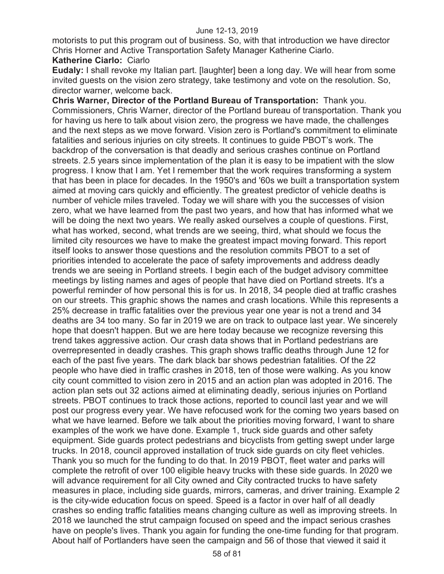motorists to put this program out of business. So, with that introduction we have director Chris Horner and Active Transportation Safety Manager Katherine Ciarlo.

## **Katherine Ciarlo:** Ciarlo

**Eudaly:** I shall revoke my Italian part. [laughter] been a long day. We will hear from some invited guests on the vision zero strategy, take testimony and vote on the resolution. So, director warner, welcome back.

**Chris Warner, Director of the Portland Bureau of Transportation:** Thank you. Commissioners, Chris Warner, director of the Portland bureau of transportation. Thank you for having us here to talk about vision zero, the progress we have made, the challenges and the next steps as we move forward. Vision zero is Portland's commitment to eliminate fatalities and serious injuries on city streets. It continues to guide PBOT's work. The backdrop of the conversation is that deadly and serious crashes continue on Portland streets. 2.5 years since implementation of the plan it is easy to be impatient with the slow progress. I know that I am. Yet I remember that the work requires transforming a system that has been in place for decades. In the 1950's and '60s we built a transportation system aimed at moving cars quickly and efficiently. The greatest predictor of vehicle deaths is number of vehicle miles traveled. Today we will share with you the successes of vision zero, what we have learned from the past two years, and how that has informed what we will be doing the next two years. We really asked ourselves a couple of questions. First, what has worked, second, what trends are we seeing, third, what should we focus the limited city resources we have to make the greatest impact moving forward. This report itself looks to answer those questions and the resolution commits PBOT to a set of priorities intended to accelerate the pace of safety improvements and address deadly trends we are seeing in Portland streets. I begin each of the budget advisory committee meetings by listing names and ages of people that have died on Portland streets. It's a powerful reminder of how personal this is for us. In 2018, 34 people died at traffic crashes on our streets. This graphic shows the names and crash locations. While this represents a 25% decrease in traffic fatalities over the previous year one year is not a trend and 34 deaths are 34 too many. So far in 2019 we are on track to outpace last year. We sincerely hope that doesn't happen. But we are here today because we recognize reversing this trend takes aggressive action. Our crash data shows that in Portland pedestrians are overrepresented in deadly crashes. This graph shows traffic deaths through June 12 for each of the past five years. The dark black bar shows pedestrian fatalities. Of the 22 people who have died in traffic crashes in 2018, ten of those were walking. As you know city count committed to vision zero in 2015 and an action plan was adopted in 2016. The action plan sets out 32 actions aimed at eliminating deadly, serious injuries on Portland streets. PBOT continues to track those actions, reported to council last year and we will post our progress every year. We have refocused work for the coming two years based on what we have learned. Before we talk about the priorities moving forward, I want to share examples of the work we have done. Example 1, truck side guards and other safety equipment. Side guards protect pedestrians and bicyclists from getting swept under large trucks. In 2018, council approved installation of truck side guards on city fleet vehicles. Thank you so much for the funding to do that. In 2019 PBOT, fleet water and parks will complete the retrofit of over 100 eligible heavy trucks with these side guards. In 2020 we will advance requirement for all City owned and City contracted trucks to have safety measures in place, including side guards, mirrors, cameras, and driver training. Example 2 is the city-wide education focus on speed. Speed is a factor in over half of all deadly crashes so ending traffic fatalities means changing culture as well as improving streets. In 2018 we launched the strut campaign focused on speed and the impact serious crashes have on people's lives. Thank you again for funding the one-time funding for that program. About half of Portlanders have seen the campaign and 56 of those that viewed it said it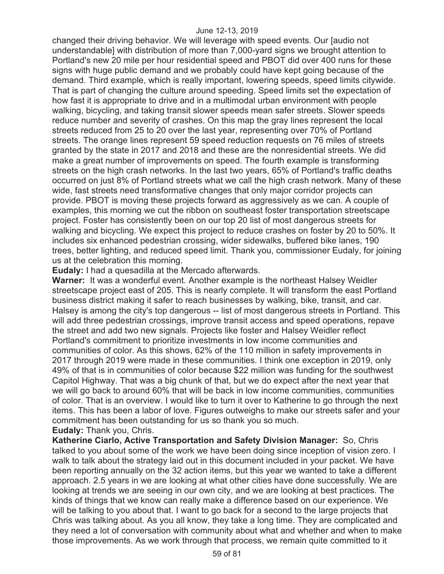changed their driving behavior. We will leverage with speed events. Our [audio not understandable] with distribution of more than 7,000-yard signs we brought attention to Portland's new 20 mile per hour residential speed and PBOT did over 400 runs for these signs with huge public demand and we probably could have kept going because of the demand. Third example, which is really important, lowering speeds, speed limits citywide. That is part of changing the culture around speeding. Speed limits set the expectation of how fast it is appropriate to drive and in a multimodal urban environment with people walking, bicycling, and taking transit slower speeds mean safer streets. Slower speeds reduce number and severity of crashes. On this map the gray lines represent the local streets reduced from 25 to 20 over the last year, representing over 70% of Portland streets. The orange lines represent 59 speed reduction requests on 76 miles of streets granted by the state in 2017 and 2018 and these are the nonresidential streets. We did make a great number of improvements on speed. The fourth example is transforming streets on the high crash networks. In the last two years, 65% of Portland's traffic deaths occurred on just 8% of Portland streets what we call the high crash network. Many of these wide, fast streets need transformative changes that only major corridor projects can provide. PBOT is moving these projects forward as aggressively as we can. A couple of examples, this morning we cut the ribbon on southeast foster transportation streetscape project. Foster has consistently been on our top 20 list of most dangerous streets for walking and bicycling. We expect this project to reduce crashes on foster by 20 to 50%. It includes six enhanced pedestrian crossing, wider sidewalks, buffered bike lanes, 190 trees, better lighting, and reduced speed limit. Thank you, commissioner Eudaly, for joining us at the celebration this morning.

**Eudaly:** I had a quesadilla at the Mercado afterwards.

**Warner:** It was a wonderful event. Another example is the northeast Halsey Weidler streetscape project east of 205. This is nearly complete. It will transform the east Portland business district making it safer to reach businesses by walking, bike, transit, and car. Halsey is among the city's top dangerous -- list of most dangerous streets in Portland. This will add three pedestrian crossings, improve transit access and speed operations, repave the street and add two new signals. Projects like foster and Halsey Weidler reflect Portland's commitment to prioritize investments in low income communities and communities of color. As this shows, 62% of the 110 million in safety improvements in 2017 through 2019 were made in these communities. I think one exception in 2019, only 49% of that is in communities of color because \$22 million was funding for the southwest Capitol Highway. That was a big chunk of that, but we do expect after the next year that we will go back to around 60% that will be back in low income communities, communities of color. That is an overview. I would like to turn it over to Katherine to go through the next items. This has been a labor of love. Figures outweighs to make our streets safer and your commitment has been outstanding for us so thank you so much. **Eudaly:** Thank you, Chris.

**Katherine Ciarlo, Active Transportation and Safety Division Manager:** So, Chris talked to you about some of the work we have been doing since inception of vision zero. I walk to talk about the strategy laid out in this document included in your packet. We have been reporting annually on the 32 action items, but this year we wanted to take a different approach. 2.5 years in we are looking at what other cities have done successfully. We are looking at trends we are seeing in our own city, and we are looking at best practices. The kinds of things that we know can really make a difference based on our experience. We will be talking to you about that. I want to go back for a second to the large projects that Chris was talking about. As you all know, they take a long time. They are complicated and they need a lot of conversation with community about what and whether and when to make those improvements. As we work through that process, we remain quite committed to it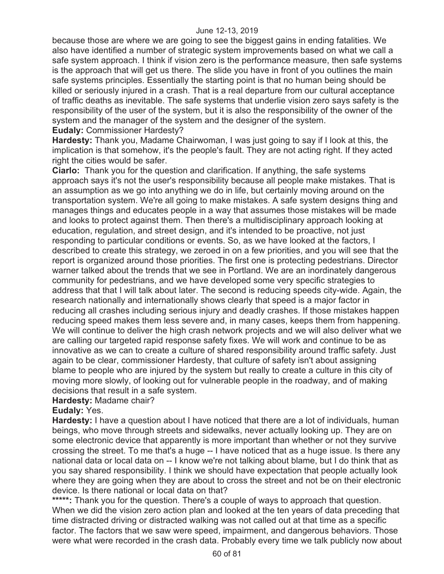because those are where we are going to see the biggest gains in ending fatalities. We also have identified a number of strategic system improvements based on what we call a safe system approach. I think if vision zero is the performance measure, then safe systems is the approach that will get us there. The slide you have in front of you outlines the main safe systems principles. Essentially the starting point is that no human being should be killed or seriously injured in a crash. That is a real departure from our cultural acceptance of traffic deaths as inevitable. The safe systems that underlie vision zero says safety is the responsibility of the user of the system, but it is also the responsibility of the owner of the system and the manager of the system and the designer of the system. **Eudaly:** Commissioner Hardesty?

**Hardesty:** Thank you, Madame Chairwoman, I was just going to say if I look at this, the implication is that somehow, it's the people's fault. They are not acting right. If they acted right the cities would be safer.

**Ciarlo:** Thank you for the question and clarification. If anything, the safe systems approach says it's not the user's responsibility because all people make mistakes. That is an assumption as we go into anything we do in life, but certainly moving around on the transportation system. We're all going to make mistakes. A safe system designs thing and manages things and educates people in a way that assumes those mistakes will be made and looks to protect against them. Then there's a multidisciplinary approach looking at education, regulation, and street design, and it's intended to be proactive, not just responding to particular conditions or events. So, as we have looked at the factors, I described to create this strategy, we zeroed in on a few priorities, and you will see that the report is organized around those priorities. The first one is protecting pedestrians. Director warner talked about the trends that we see in Portland. We are an inordinately dangerous community for pedestrians, and we have developed some very specific strategies to address that that I will talk about later. The second is reducing speeds city-wide. Again, the research nationally and internationally shows clearly that speed is a major factor in reducing all crashes including serious injury and deadly crashes. If those mistakes happen reducing speed makes them less severe and, in many cases, keeps them from happening. We will continue to deliver the high crash network projects and we will also deliver what we are calling our targeted rapid response safety fixes. We will work and continue to be as innovative as we can to create a culture of shared responsibility around traffic safety. Just again to be clear, commissioner Hardesty, that culture of safety isn't about assigning blame to people who are injured by the system but really to create a culture in this city of moving more slowly, of looking out for vulnerable people in the roadway, and of making decisions that result in a safe system.

# **Hardesty:** Madame chair?

## **Eudaly:** Yes.

**Hardesty:** I have a question about I have noticed that there are a lot of individuals, human beings, who move through streets and sidewalks, never actually looking up. They are on some electronic device that apparently is more important than whether or not they survive crossing the street. To me that's a huge -- I have noticed that as a huge issue. Is there any national data or local data on -- I know we're not talking about blame, but I do think that as you say shared responsibility. I think we should have expectation that people actually look where they are going when they are about to cross the street and not be on their electronic device. Is there national or local data on that?

\*\*\*\*\*: Thank you for the question. There's a couple of ways to approach that question. When we did the vision zero action plan and looked at the ten years of data preceding that time distracted driving or distracted walking was not called out at that time as a specific factor. The factors that we saw were speed, impairment, and dangerous behaviors. Those were what were recorded in the crash data. Probably every time we talk publicly now about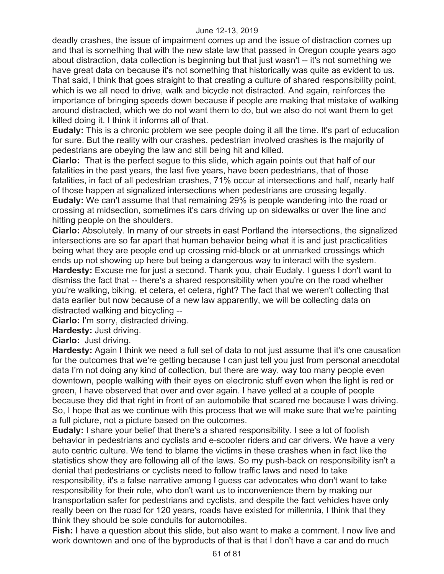deadly crashes, the issue of impairment comes up and the issue of distraction comes up and that is something that with the new state law that passed in Oregon couple years ago about distraction, data collection is beginning but that just wasn't -- it's not something we have great data on because it's not something that historically was quite as evident to us. That said, I think that goes straight to that creating a culture of shared responsibility point, which is we all need to drive, walk and bicycle not distracted. And again, reinforces the importance of bringing speeds down because if people are making that mistake of walking around distracted, which we do not want them to do, but we also do not want them to get killed doing it. I think it informs all of that.

**Eudaly:** This is a chronic problem we see people doing it all the time. It's part of education for sure. But the reality with our crashes, pedestrian involved crashes is the majority of pedestrians are obeying the law and still being hit and killed.

**Ciarlo:** That is the perfect segue to this slide, which again points out that half of our fatalities in the past years, the last five years, have been pedestrians, that of those fatalities, in fact of all pedestrian crashes, 71% occur at intersections and half, nearly half of those happen at signalized intersections when pedestrians are crossing legally. **Eudaly:** We can't assume that that remaining 29% is people wandering into the road or crossing at midsection, sometimes it's cars driving up on sidewalks or over the line and

hitting people on the shoulders.

**Ciarlo:** Absolutely. In many of our streets in east Portland the intersections, the signalized intersections are so far apart that human behavior being what it is and just practicalities being what they are people end up crossing mid-block or at unmarked crossings which ends up not showing up here but being a dangerous way to interact with the system. **Hardesty:** Excuse me for just a second. Thank you, chair Eudaly. I guess I don't want to dismiss the fact that -- there's a shared responsibility when you're on the road whether you're walking, biking, et cetera, et cetera, right? The fact that we weren't collecting that data earlier but now because of a new law apparently, we will be collecting data on distracted walking and bicycling --

**Ciarlo:** I'm sorry, distracted driving.

**Hardesty:** Just driving.

**Ciarlo:** Just driving.

**Hardesty:** Again I think we need a full set of data to not just assume that it's one causation for the outcomes that we're getting because I can just tell you just from personal anecdotal data I'm not doing any kind of collection, but there are way, way too many people even downtown, people walking with their eyes on electronic stuff even when the light is red or green, I have observed that over and over again. I have yelled at a couple of people because they did that right in front of an automobile that scared me because I was driving. So, I hope that as we continue with this process that we will make sure that we're painting a full picture, not a picture based on the outcomes.

**Eudaly:** I share your belief that there's a shared responsibility. I see a lot of foolish behavior in pedestrians and cyclists and e-scooter riders and car drivers. We have a very auto centric culture. We tend to blame the victims in these crashes when in fact like the statistics show they are following all of the laws. So my push-back on responsibility isn't a denial that pedestrians or cyclists need to follow traffic laws and need to take responsibility, it's a false narrative among I guess car advocates who don't want to take responsibility for their role, who don't want us to inconvenience them by making our transportation safer for pedestrians and cyclists, and despite the fact vehicles have only really been on the road for 120 years, roads have existed for millennia, I think that they think they should be sole conduits for automobiles.

**Fish:** I have a question about this slide, but also want to make a comment. I now live and work downtown and one of the byproducts of that is that I don't have a car and do much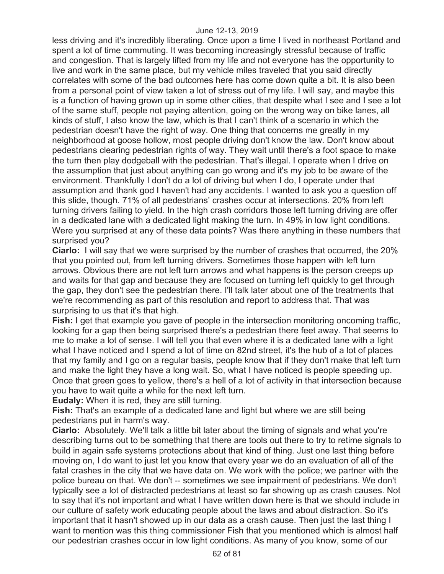less driving and it's incredibly liberating. Once upon a time I lived in northeast Portland and spent a lot of time commuting. It was becoming increasingly stressful because of traffic and congestion. That is largely lifted from my life and not everyone has the opportunity to live and work in the same place, but my vehicle miles traveled that you said directly correlates with some of the bad outcomes here has come down quite a bit. It is also been from a personal point of view taken a lot of stress out of my life. I will say, and maybe this is a function of having grown up in some other cities, that despite what I see and I see a lot of the same stuff, people not paying attention, going on the wrong way on bike lanes, all kinds of stuff, I also know the law, which is that I can't think of a scenario in which the pedestrian doesn't have the right of way. One thing that concerns me greatly in my neighborhood at goose hollow, most people driving don't know the law. Don't know about pedestrians clearing pedestrian rights of way. They wait until there's a foot space to make the turn then play dodgeball with the pedestrian. That's illegal. I operate when I drive on the assumption that just about anything can go wrong and it's my job to be aware of the environment. Thankfully I don't do a lot of driving but when I do, I operate under that assumption and thank god I haven't had any accidents. I wanted to ask you a question off this slide, though. 71% of all pedestrians' crashes occur at intersections. 20% from left turning drivers failing to yield. In the high crash corridors those left turning driving are offer in a dedicated lane with a dedicated light making the turn. In 49% in low light conditions. Were you surprised at any of these data points? Was there anything in these numbers that surprised you?

**Ciarlo:** I will say that we were surprised by the number of crashes that occurred, the 20% that you pointed out, from left turning drivers. Sometimes those happen with left turn arrows. Obvious there are not left turn arrows and what happens is the person creeps up and waits for that gap and because they are focused on turning left quickly to get through the gap, they don't see the pedestrian there. I'll talk later about one of the treatments that we're recommending as part of this resolution and report to address that. That was surprising to us that it's that high.

**Fish:** I get that example you gave of people in the intersection monitoring oncoming traffic, looking for a gap then being surprised there's a pedestrian there feet away. That seems to me to make a lot of sense. I will tell you that even where it is a dedicated lane with a light what I have noticed and I spend a lot of time on 82nd street, it's the hub of a lot of places that my family and I go on a regular basis, people know that if they don't make that left turn and make the light they have a long wait. So, what I have noticed is people speeding up. Once that green goes to yellow, there's a hell of a lot of activity in that intersection because you have to wait quite a while for the next left turn.

**Eudaly:** When it is red, they are still turning.

**Fish:** That's an example of a dedicated lane and light but where we are still being pedestrians put in harm's way.

**Ciarlo:** Absolutely. We'll talk a little bit later about the timing of signals and what you're describing turns out to be something that there are tools out there to try to retime signals to build in again safe systems protections about that kind of thing. Just one last thing before moving on, I do want to just let you know that every year we do an evaluation of all of the fatal crashes in the city that we have data on. We work with the police; we partner with the police bureau on that. We don't -- sometimes we see impairment of pedestrians. We don't typically see a lot of distracted pedestrians at least so far showing up as crash causes. Not to say that it's not important and what I have written down here is that we should include in our culture of safety work educating people about the laws and about distraction. So it's important that it hasn't showed up in our data as a crash cause. Then just the last thing I want to mention was this thing commissioner Fish that you mentioned which is almost half our pedestrian crashes occur in low light conditions. As many of you know, some of our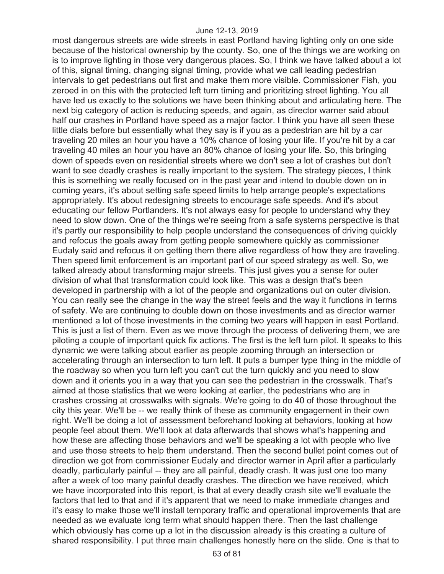most dangerous streets are wide streets in east Portland having lighting only on one side because of the historical ownership by the county. So, one of the things we are working on is to improve lighting in those very dangerous places. So, I think we have talked about a lot of this, signal timing, changing signal timing, provide what we call leading pedestrian intervals to get pedestrians out first and make them more visible. Commissioner Fish, you zeroed in on this with the protected left turn timing and prioritizing street lighting. You all have led us exactly to the solutions we have been thinking about and articulating here. The next big category of action is reducing speeds, and again, as director warner said about half our crashes in Portland have speed as a major factor. I think you have all seen these little dials before but essentially what they say is if you as a pedestrian are hit by a car traveling 20 miles an hour you have a 10% chance of losing your life. If you're hit by a car traveling 40 miles an hour you have an 80% chance of losing your life. So, this bringing down of speeds even on residential streets where we don't see a lot of crashes but don't want to see deadly crashes is really important to the system. The strategy pieces, I think this is something we really focused on in the past year and intend to double down on in coming years, it's about setting safe speed limits to help arrange people's expectations appropriately. It's about redesigning streets to encourage safe speeds. And it's about educating our fellow Portlanders. It's not always easy for people to understand why they need to slow down. One of the things we're seeing from a safe systems perspective is that it's partly our responsibility to help people understand the consequences of driving quickly and refocus the goals away from getting people somewhere quickly as commissioner Eudaly said and refocus it on getting them there alive regardless of how they are traveling. Then speed limit enforcement is an important part of our speed strategy as well. So, we talked already about transforming major streets. This just gives you a sense for outer division of what that transformation could look like. This was a design that's been developed in partnership with a lot of the people and organizations out on outer division. You can really see the change in the way the street feels and the way it functions in terms of safety. We are continuing to double down on those investments and as director warner mentioned a lot of those investments in the coming two years will happen in east Portland. This is just a list of them. Even as we move through the process of delivering them, we are piloting a couple of important quick fix actions. The first is the left turn pilot. It speaks to this dynamic we were talking about earlier as people zooming through an intersection or accelerating through an intersection to turn left. It puts a bumper type thing in the middle of the roadway so when you turn left you can't cut the turn quickly and you need to slow down and it orients you in a way that you can see the pedestrian in the crosswalk. That's aimed at those statistics that we were looking at earlier, the pedestrians who are in crashes crossing at crosswalks with signals. We're going to do 40 of those throughout the city this year. We'll be -- we really think of these as community engagement in their own right. We'll be doing a lot of assessment beforehand looking at behaviors, looking at how people feel about them. We'll look at data afterwards that shows what's happening and how these are affecting those behaviors and we'll be speaking a lot with people who live and use those streets to help them understand. Then the second bullet point comes out of direction we got from commissioner Eudaly and director warner in April after a particularly deadly, particularly painful -- they are all painful, deadly crash. It was just one too many after a week of too many painful deadly crashes. The direction we have received, which we have incorporated into this report, is that at every deadly crash site we'll evaluate the factors that led to that and if it's apparent that we need to make immediate changes and it's easy to make those we'll install temporary traffic and operational improvements that are needed as we evaluate long term what should happen there. Then the last challenge which obviously has come up a lot in the discussion already is this creating a culture of shared responsibility. I put three main challenges honestly here on the slide. One is that to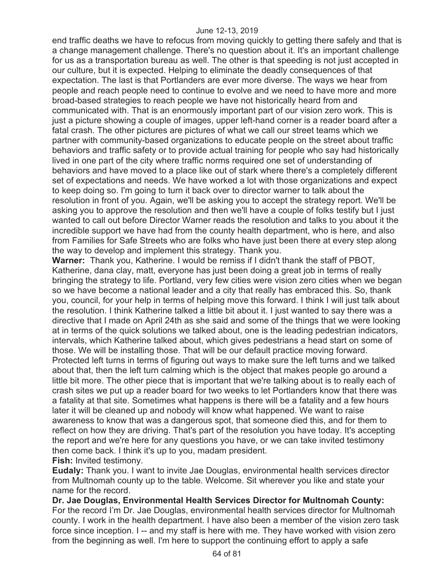end traffic deaths we have to refocus from moving quickly to getting there safely and that is a change management challenge. There's no question about it. It's an important challenge for us as a transportation bureau as well. The other is that speeding is not just accepted in our culture, but it is expected. Helping to eliminate the deadly consequences of that expectation. The last is that Portlanders are ever more diverse. The ways we hear from people and reach people need to continue to evolve and we need to have more and more broad-based strategies to reach people we have not historically heard from and communicated with. That is an enormously important part of our vision zero work. This is just a picture showing a couple of images, upper left-hand corner is a reader board after a fatal crash. The other pictures are pictures of what we call our street teams which we partner with community-based organizations to educate people on the street about traffic behaviors and traffic safety or to provide actual training for people who say had historically lived in one part of the city where traffic norms required one set of understanding of behaviors and have moved to a place like out of stark where there's a completely different set of expectations and needs. We have worked a lot with those organizations and expect to keep doing so. I'm going to turn it back over to director warner to talk about the resolution in front of you. Again, we'll be asking you to accept the strategy report. We'll be asking you to approve the resolution and then we'll have a couple of folks testify but I just wanted to call out before Director Warner reads the resolution and talks to you about it the incredible support we have had from the county health department, who is here, and also from Families for Safe Streets who are folks who have just been there at every step along the way to develop and implement this strategy. Thank you.

**Warner:** Thank you, Katherine. I would be remiss if I didn't thank the staff of PBOT, Katherine, dana clay, matt, everyone has just been doing a great job in terms of really bringing the strategy to life. Portland, very few cities were vision zero cities when we began so we have become a national leader and a city that really has embraced this. So, thank you, council, for your help in terms of helping move this forward. I think I will just talk about the resolution. I think Katherine talked a little bit about it. I just wanted to say there was a directive that I made on April 24th as she said and some of the things that we were looking at in terms of the quick solutions we talked about, one is the leading pedestrian indicators, intervals, which Katherine talked about, which gives pedestrians a head start on some of those. We will be installing those. That will be our default practice moving forward. Protected left turns in terms of figuring out ways to make sure the left turns and we talked about that, then the left turn calming which is the object that makes people go around a little bit more. The other piece that is important that we're talking about is to really each of crash sites we put up a reader board for two weeks to let Portlanders know that there was a fatality at that site. Sometimes what happens is there will be a fatality and a few hours later it will be cleaned up and nobody will know what happened. We want to raise awareness to know that was a dangerous spot, that someone died this, and for them to reflect on how they are driving. That's part of the resolution you have today. It's accepting the report and we're here for any questions you have, or we can take invited testimony then come back. I think it's up to you, madam president.

**Fish:** Invited testimony.

**Eudaly:** Thank you. I want to invite Jae Douglas, environmental health services director from Multnomah county up to the table. Welcome. Sit wherever you like and state your name for the record.

**Dr. Jae Douglas, Environmental Health Services Director for Multnomah County:**  For the record I'm Dr. Jae Douglas, environmental health services director for Multnomah county. I work in the health department. I have also been a member of the vision zero task force since inception. I -- and my staff is here with me. They have worked with vision zero from the beginning as well. I'm here to support the continuing effort to apply a safe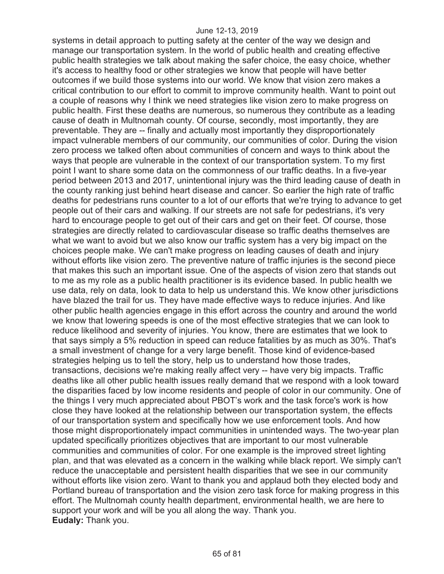systems in detail approach to putting safety at the center of the way we design and manage our transportation system. In the world of public health and creating effective public health strategies we talk about making the safer choice, the easy choice, whether it's access to healthy food or other strategies we know that people will have better outcomes if we build those systems into our world. We know that vision zero makes a critical contribution to our effort to commit to improve community health. Want to point out a couple of reasons why I think we need strategies like vision zero to make progress on public health. First these deaths are numerous, so numerous they contribute as a leading cause of death in Multnomah county. Of course, secondly, most importantly, they are preventable. They are -- finally and actually most importantly they disproportionately impact vulnerable members of our community, our communities of color. During the vision zero process we talked often about communities of concern and ways to think about the ways that people are vulnerable in the context of our transportation system. To my first point I want to share some data on the commonness of our traffic deaths. In a five-year period between 2013 and 2017, unintentional injury was the third leading cause of death in the county ranking just behind heart disease and cancer. So earlier the high rate of traffic deaths for pedestrians runs counter to a lot of our efforts that we're trying to advance to get people out of their cars and walking. If our streets are not safe for pedestrians, it's very hard to encourage people to get out of their cars and get on their feet. Of course, those strategies are directly related to cardiovascular disease so traffic deaths themselves are what we want to avoid but we also know our traffic system has a very big impact on the choices people make. We can't make progress on leading causes of death and injury without efforts like vision zero. The preventive nature of traffic injuries is the second piece that makes this such an important issue. One of the aspects of vision zero that stands out to me as my role as a public health practitioner is its evidence based. In public health we use data, rely on data, look to data to help us understand this. We know other jurisdictions have blazed the trail for us. They have made effective ways to reduce injuries. And like other public health agencies engage in this effort across the country and around the world we know that lowering speeds is one of the most effective strategies that we can look to reduce likelihood and severity of injuries. You know, there are estimates that we look to that says simply a 5% reduction in speed can reduce fatalities by as much as 30%. That's a small investment of change for a very large benefit. Those kind of evidence-based strategies helping us to tell the story, help us to understand how those trades, transactions, decisions we're making really affect very -- have very big impacts. Traffic deaths like all other public health issues really demand that we respond with a look toward the disparities faced by low income residents and people of color in our community. One of the things I very much appreciated about PBOT's work and the task force's work is how close they have looked at the relationship between our transportation system, the effects of our transportation system and specifically how we use enforcement tools. And how those might disproportionately impact communities in unintended ways. The two-year plan updated specifically prioritizes objectives that are important to our most vulnerable communities and communities of color. For one example is the improved street lighting plan, and that was elevated as a concern in the walking while black report. We simply can't reduce the unacceptable and persistent health disparities that we see in our community without efforts like vision zero. Want to thank you and applaud both they elected body and Portland bureau of transportation and the vision zero task force for making progress in this effort. The Multnomah county health department, environmental health, we are here to support your work and will be you all along the way. Thank you. **Eudaly:** Thank you.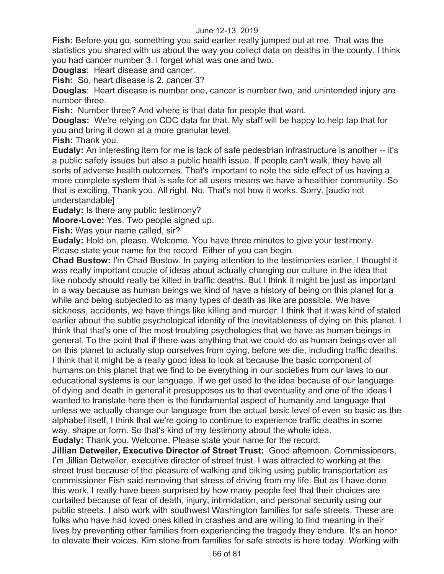**Fish:** Before you go, something you said earlier really jumped out at me. That was the statistics you shared with us about the way you collect data on deaths in the county. I think you had cancer number 3. I forget what was one and two.

**Douglas**: Heart disease and cancer.

**Fish:** So, heart disease is 2, cancer 3?

**Douglas**: Heart disease is number one, cancer is number two, and unintended injury are number three.

**Fish:** Number three? And where is that data for people that want.

**Douglas:** We're relying on CDC data for that. My staff will be happy to help tap that for you and bring it down at a more granular level.

**Fish:** Thank you.

**Eudaly:** An interesting item for me is lack of safe pedestrian infrastructure is another -- it's a public safety issues but also a public health issue. If people can't walk, they have all sorts of adverse health outcomes. That's important to note the side effect of us having a more complete system that is safe for all users means we have a healthier community. So that is exciting. Thank you. All right. No. That's not how it works. Sorry. [audio not understandable]

**Eudaly:** Is there any public testimony?

**Moore-Love:** Yes. Two people signed up.

**Fish:** Was your name called, sir?

**Eudaly:** Hold on, please. Welcome. You have three minutes to give your testimony. Please state your name for the record. Either of you can begin.

**Chad Bustow:** I'm Chad Bustow. In paying attention to the testimonies earlier, I thought it was really important couple of ideas about actually changing our culture in the idea that like nobody should really be killed in traffic deaths. But I think it might be just as important in a way because as human beings we kind of have a history of being on this planet for a while and being subjected to as many types of death as like are possible. We have sickness, accidents, we have things like killing and murder. I think that it was kind of stated earlier about the subtle psychological identity of the inevitableness of dying on this planet. I think that that's one of the most troubling psychologies that we have as human beings in general. To the point that if there was anything that we could do as human beings over all on this planet to actually stop ourselves from dying, before we die, including traffic deaths, I think that it might be a really good idea to look at because the basic component of humans on this planet that we find to be everything in our societies from our laws to our educational systems is our language. If we get used to the idea because of our language of dying and death in general it presupposes us to that eventuality and one of the ideas I wanted to translate here then is the fundamental aspect of humanity and language that unless we actually change our language from the actual basic level of even so basic as the alphabet itself, I think that we're going to continue to experience traffic deaths in some way, shape or form. So that's kind of my testimony about the whole idea. **Eudaly:** Thank you. Welcome. Please state your name for the record.

**Jillian Detweiler, Executive Director of Street Trust:** Good afternoon. Commissioners, I'm Jillian Detweiler, executive director of street trust. I was attracted to working at the street trust because of the pleasure of walking and biking using public transportation as commissioner Fish said removing that stress of driving from my life. But as I have done this work, I really have been surprised by how many people feel that their choices are curtailed because of fear of death, injury, intimidation, and personal security using our public streets. I also work with southwest Washington families for safe streets. These are folks who have had loved ones killed in crashes and are willing to find meaning in their lives by preventing other families from experiencing the tragedy they endure. It's an honor to elevate their voices. Kim stone from families for safe streets is here today. Working with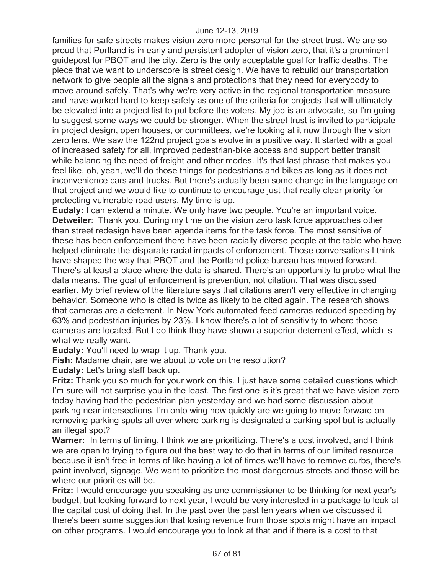families for safe streets makes vision zero more personal for the street trust. We are so proud that Portland is in early and persistent adopter of vision zero, that it's a prominent guidepost for PBOT and the city. Zero is the only acceptable goal for traffic deaths. The piece that we want to underscore is street design. We have to rebuild our transportation network to give people all the signals and protections that they need for everybody to move around safely. That's why we're very active in the regional transportation measure and have worked hard to keep safety as one of the criteria for projects that will ultimately be elevated into a project list to put before the voters. My job is an advocate, so I'm going to suggest some ways we could be stronger. When the street trust is invited to participate in project design, open houses, or committees, we're looking at it now through the vision zero lens. We saw the 122nd project goals evolve in a positive way. It started with a goal of increased safety for all, improved pedestrian-bike access and support better transit while balancing the need of freight and other modes. It's that last phrase that makes you feel like, oh, yeah, we'll do those things for pedestrians and bikes as long as it does not inconvenience cars and trucks. But there's actually been some change in the language on that project and we would like to continue to encourage just that really clear priority for protecting vulnerable road users. My time is up.

**Eudaly:** I can extend a minute. We only have two people. You're an important voice. **Detweiler**: Thank you. During my time on the vision zero task force approaches other than street redesign have been agenda items for the task force. The most sensitive of these has been enforcement there have been racially diverse people at the table who have helped eliminate the disparate racial impacts of enforcement. Those conversations I think have shaped the way that PBOT and the Portland police bureau has moved forward. There's at least a place where the data is shared. There's an opportunity to probe what the data means. The goal of enforcement is prevention, not citation. That was discussed earlier. My brief review of the literature says that citations aren't very effective in changing behavior. Someone who is cited is twice as likely to be cited again. The research shows that cameras are a deterrent. In New York automated feed cameras reduced speeding by 63% and pedestrian injuries by 23%. I know there's a lot of sensitivity to where those cameras are located. But I do think they have shown a superior deterrent effect, which is what we really want.

**Eudaly:** You'll need to wrap it up. Thank you.

**Fish:** Madame chair, are we about to vote on the resolution?

**Eudaly:** Let's bring staff back up.

**Fritz:** Thank you so much for your work on this. I just have some detailed questions which I'm sure will not surprise you in the least. The first one is it's great that we have vision zero today having had the pedestrian plan yesterday and we had some discussion about parking near intersections. I'm onto wing how quickly are we going to move forward on removing parking spots all over where parking is designated a parking spot but is actually an illegal spot?

**Warner:** In terms of timing, I think we are prioritizing. There's a cost involved, and I think we are open to trying to figure out the best way to do that in terms of our limited resource because it isn't free in terms of like having a lot of times we'll have to remove curbs, there's paint involved, signage. We want to prioritize the most dangerous streets and those will be where our priorities will be.

**Fritz:** I would encourage you speaking as one commissioner to be thinking for next year's budget, but looking forward to next year, I would be very interested in a package to look at the capital cost of doing that. In the past over the past ten years when we discussed it there's been some suggestion that losing revenue from those spots might have an impact on other programs. I would encourage you to look at that and if there is a cost to that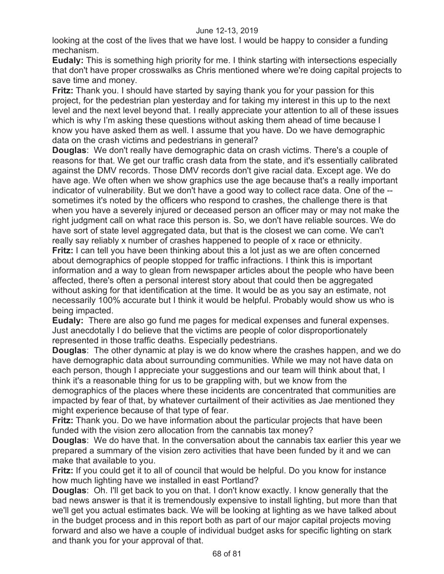looking at the cost of the lives that we have lost. I would be happy to consider a funding mechanism.

**Eudaly:** This is something high priority for me. I think starting with intersections especially that don't have proper crosswalks as Chris mentioned where we're doing capital projects to save time and money.

**Fritz:** Thank you. I should have started by saying thank you for your passion for this project, for the pedestrian plan yesterday and for taking my interest in this up to the next level and the next level beyond that. I really appreciate your attention to all of these issues which is why I'm asking these questions without asking them ahead of time because I know you have asked them as well. I assume that you have. Do we have demographic data on the crash victims and pedestrians in general?

**Douglas**: We don't really have demographic data on crash victims. There's a couple of reasons for that. We get our traffic crash data from the state, and it's essentially calibrated against the DMV records. Those DMV records don't give racial data. Except age. We do have age. We often when we show graphics use the age because that's a really important indicator of vulnerability. But we don't have a good way to collect race data. One of the - sometimes it's noted by the officers who respond to crashes, the challenge there is that when you have a severely injured or deceased person an officer may or may not make the right judgment call on what race this person is. So, we don't have reliable sources. We do have sort of state level aggregated data, but that is the closest we can come. We can't really say reliably x number of crashes happened to people of x race or ethnicity.

**Fritz:** I can tell you have been thinking about this a lot just as we are often concerned about demographics of people stopped for traffic infractions. I think this is important information and a way to glean from newspaper articles about the people who have been affected, there's often a personal interest story about that could then be aggregated without asking for that identification at the time. It would be as you say an estimate, not necessarily 100% accurate but I think it would be helpful. Probably would show us who is being impacted.

**Eudaly:** There are also go fund me pages for medical expenses and funeral expenses. Just anecdotally I do believe that the victims are people of color disproportionately represented in those traffic deaths. Especially pedestrians.

**Douglas**: The other dynamic at play is we do know where the crashes happen, and we do have demographic data about surrounding communities. While we may not have data on each person, though I appreciate your suggestions and our team will think about that, I think it's a reasonable thing for us to be grappling with, but we know from the demographics of the places where these incidents are concentrated that communities are impacted by fear of that, by whatever curtailment of their activities as Jae mentioned they

might experience because of that type of fear.

**Fritz:** Thank you. Do we have information about the particular projects that have been funded with the vision zero allocation from the cannabis tax money?

**Douglas**: We do have that. In the conversation about the cannabis tax earlier this year we prepared a summary of the vision zero activities that have been funded by it and we can make that available to you.

**Fritz:** If you could get it to all of council that would be helpful. Do you know for instance how much lighting have we installed in east Portland?

**Douglas**: Oh. I'll get back to you on that. I don't know exactly. I know generally that the bad news answer is that it is tremendously expensive to install lighting, but more than that we'll get you actual estimates back. We will be looking at lighting as we have talked about in the budget process and in this report both as part of our major capital projects moving forward and also we have a couple of individual budget asks for specific lighting on stark and thank you for your approval of that.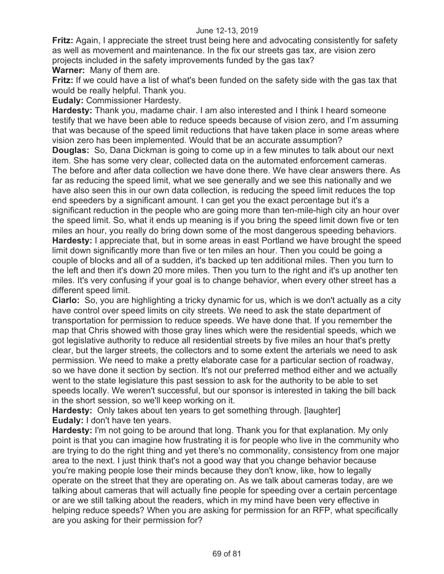**Fritz:** Again, I appreciate the street trust being here and advocating consistently for safety as well as movement and maintenance. In the fix our streets gas tax, are vision zero projects included in the safety improvements funded by the gas tax? **Warner:** Many of them are.

**Fritz:** If we could have a list of what's been funded on the safety side with the gas tax that would be really helpful. Thank you.

**Eudaly:** Commissioner Hardesty.

**Hardesty:** Thank you, madame chair. I am also interested and I think I heard someone testify that we have been able to reduce speeds because of vision zero, and I'm assuming that was because of the speed limit reductions that have taken place in some areas where vision zero has been implemented. Would that be an accurate assumption? **Douglas:** So, Dana Dickman is going to come up in a few minutes to talk about our next item. She has some very clear, collected data on the automated enforcement cameras. The before and after data collection we have done there. We have clear answers there. As far as reducing the speed limit, what we see generally and we see this nationally and we have also seen this in our own data collection, is reducing the speed limit reduces the top end speeders by a significant amount. I can get you the exact percentage but it's a significant reduction in the people who are going more than ten-mile-high city an hour over the speed limit. So, what it ends up meaning is if you bring the speed limit down five or ten miles an hour, you really do bring down some of the most dangerous speeding behaviors. **Hardesty:** I appreciate that, but in some areas in east Portland we have brought the speed limit down significantly more than five or ten miles an hour. Then you could be going a couple of blocks and all of a sudden, it's backed up ten additional miles. Then you turn to the left and then it's down 20 more miles. Then you turn to the right and it's up another ten miles. It's very confusing if your goal is to change behavior, when every other street has a different speed limit.

**Ciarlo:** So, you are highlighting a tricky dynamic for us, which is we don't actually as a city have control over speed limits on city streets. We need to ask the state department of transportation for permission to reduce speeds. We have done that. If you remember the map that Chris showed with those gray lines which were the residential speeds, which we got legislative authority to reduce all residential streets by five miles an hour that's pretty clear, but the larger streets, the collectors and to some extent the arterials we need to ask permission. We need to make a pretty elaborate case for a particular section of roadway, so we have done it section by section. It's not our preferred method either and we actually went to the state legislature this past session to ask for the authority to be able to set speeds locally. We weren't successful, but our sponsor is interested in taking the bill back in the short session, so we'll keep working on it.

**Hardesty:** Only takes about ten years to get something through. [laughter] **Eudaly:** I don't have ten years.

**Hardesty:** I'm not going to be around that long. Thank you for that explanation. My only point is that you can imagine how frustrating it is for people who live in the community who are trying to do the right thing and yet there's no commonality, consistency from one major area to the next. I just think that's not a good way that you change behavior because you're making people lose their minds because they don't know, like, how to legally operate on the street that they are operating on. As we talk about cameras today, are we talking about cameras that will actually fine people for speeding over a certain percentage or are we still talking about the readers, which in my mind have been very effective in helping reduce speeds? When you are asking for permission for an RFP, what specifically are you asking for their permission for?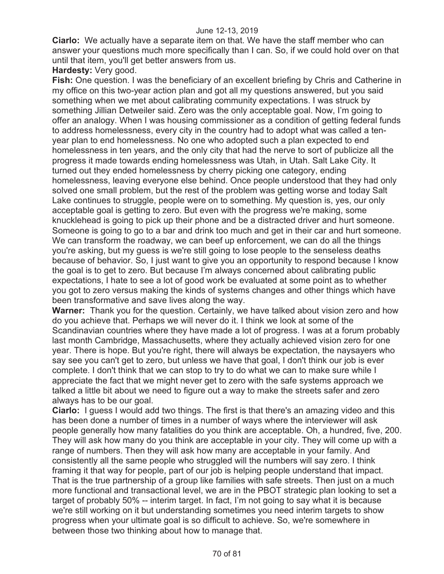**Ciarlo:** We actually have a separate item on that. We have the staff member who can answer your questions much more specifically than I can. So, if we could hold over on that until that item, you'll get better answers from us.

**Hardesty:** Very good.

**Fish:** One question. I was the beneficiary of an excellent briefing by Chris and Catherine in my office on this two-year action plan and got all my questions answered, but you said something when we met about calibrating community expectations. I was struck by something Jillian Detweiler said. Zero was the only acceptable goal. Now, I'm going to offer an analogy. When I was housing commissioner as a condition of getting federal funds to address homelessness, every city in the country had to adopt what was called a tenyear plan to end homelessness. No one who adopted such a plan expected to end homelessness in ten years, and the only city that had the nerve to sort of publicize all the progress it made towards ending homelessness was Utah, in Utah. Salt Lake City. It turned out they ended homelessness by cherry picking one category, ending homelessness, leaving everyone else behind. Once people understood that they had only solved one small problem, but the rest of the problem was getting worse and today Salt Lake continues to struggle, people were on to something. My question is, yes, our only acceptable goal is getting to zero. But even with the progress we're making, some knucklehead is going to pick up their phone and be a distracted driver and hurt someone. Someone is going to go to a bar and drink too much and get in their car and hurt someone. We can transform the roadway, we can beef up enforcement, we can do all the things you're asking, but my guess is we're still going to lose people to the senseless deaths because of behavior. So, I just want to give you an opportunity to respond because I know the goal is to get to zero. But because I'm always concerned about calibrating public expectations, I hate to see a lot of good work be evaluated at some point as to whether you got to zero versus making the kinds of systems changes and other things which have been transformative and save lives along the way.

**Warner:** Thank you for the question. Certainly, we have talked about vision zero and how do you achieve that. Perhaps we will never do it. I think we look at some of the Scandinavian countries where they have made a lot of progress. I was at a forum probably last month Cambridge, Massachusetts, where they actually achieved vision zero for one year. There is hope. But you're right, there will always be expectation, the naysayers who say see you can't get to zero, but unless we have that goal, I don't think our job is ever complete. I don't think that we can stop to try to do what we can to make sure while I appreciate the fact that we might never get to zero with the safe systems approach we talked a little bit about we need to figure out a way to make the streets safer and zero always has to be our goal.

**Ciarlo:** I guess I would add two things. The first is that there's an amazing video and this has been done a number of times in a number of ways where the interviewer will ask people generally how many fatalities do you think are acceptable. Oh, a hundred, five, 200. They will ask how many do you think are acceptable in your city. They will come up with a range of numbers. Then they will ask how many are acceptable in your family. And consistently all the same people who struggled will the numbers will say zero. I think framing it that way for people, part of our job is helping people understand that impact. That is the true partnership of a group like families with safe streets. Then just on a much more functional and transactional level, we are in the PBOT strategic plan looking to set a target of probably 50% -- interim target. In fact, I'm not going to say what it is because we're still working on it but understanding sometimes you need interim targets to show progress when your ultimate goal is so difficult to achieve. So, we're somewhere in between those two thinking about how to manage that.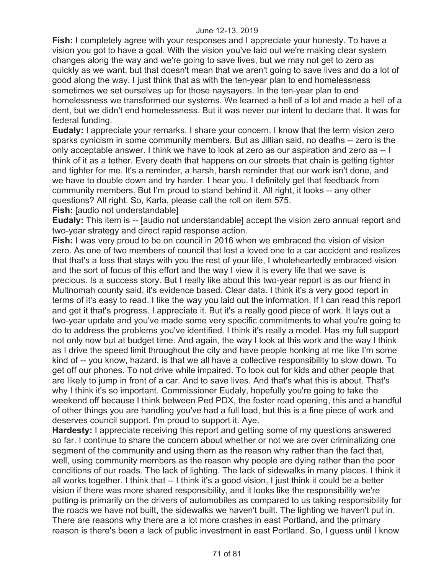**Fish:** I completely agree with your responses and I appreciate your honesty. To have a vision you got to have a goal. With the vision you've laid out we're making clear system changes along the way and we're going to save lives, but we may not get to zero as quickly as we want, but that doesn't mean that we aren't going to save lives and do a lot of good along the way. I just think that as with the ten-year plan to end homelessness sometimes we set ourselves up for those naysayers. In the ten-year plan to end homelessness we transformed our systems. We learned a hell of a lot and made a hell of a dent, but we didn't end homelessness. But it was never our intent to declare that. It was for federal funding.

**Eudaly:** I appreciate your remarks. I share your concern. I know that the term vision zero sparks cynicism in some community members. But as Jillian said, no deaths -- zero is the only acceptable answer. I think we have to look at zero as our aspiration and zero as -- I think of it as a tether. Every death that happens on our streets that chain is getting tighter and tighter for me. It's a reminder, a harsh, harsh reminder that our work isn't done, and we have to double down and try harder. I hear you. I definitely get that feedback from community members. But I'm proud to stand behind it. All right, it looks -- any other questions? All right. So, Karla, please call the roll on item 575.

**Fish:** [audio not understandable]

**Eudaly:** This item is -- [audio not understandable] accept the vision zero annual report and two-year strategy and direct rapid response action.

**Fish:** I was very proud to be on council in 2016 when we embraced the vision of vision zero. As one of two members of council that lost a loved one to a car accident and realizes that that's a loss that stays with you the rest of your life, I wholeheartedly embraced vision and the sort of focus of this effort and the way I view it is every life that we save is precious. Is a success story. But I really like about this two-year report is as our friend in Multnomah county said, it's evidence based. Clear data. I think it's a very good report in terms of it's easy to read. I like the way you laid out the information. If I can read this report and get it that's progress. I appreciate it. But it's a really good piece of work. It lays out a two-year update and you've made some very specific commitments to what you're going to do to address the problems you've identified. I think it's really a model. Has my full support not only now but at budget time. And again, the way I look at this work and the way I think as I drive the speed limit throughout the city and have people honking at me like I'm some kind of -- you know, hazard, is that we all have a collective responsibility to slow down. To get off our phones. To not drive while impaired. To look out for kids and other people that are likely to jump in front of a car. And to save lives. And that's what this is about. That's why I think it's so important. Commissioner Eudaly, hopefully you're going to take the weekend off because I think between Ped PDX, the foster road opening, this and a handful of other things you are handling you've had a full load, but this is a fine piece of work and deserves council support. I'm proud to support it. Aye.

**Hardesty:** I appreciate receiving this report and getting some of my questions answered so far. I continue to share the concern about whether or not we are over criminalizing one segment of the community and using them as the reason why rather than the fact that, well, using community members as the reason why people are dying rather than the poor conditions of our roads. The lack of lighting. The lack of sidewalks in many places. I think it all works together. I think that -- I think it's a good vision, I just think it could be a better vision if there was more shared responsibility, and it looks like the responsibility we're putting is primarily on the drivers of automobiles as compared to us taking responsibility for the roads we have not built, the sidewalks we haven't built. The lighting we haven't put in. There are reasons why there are a lot more crashes in east Portland, and the primary reason is there's been a lack of public investment in east Portland. So, I guess until I know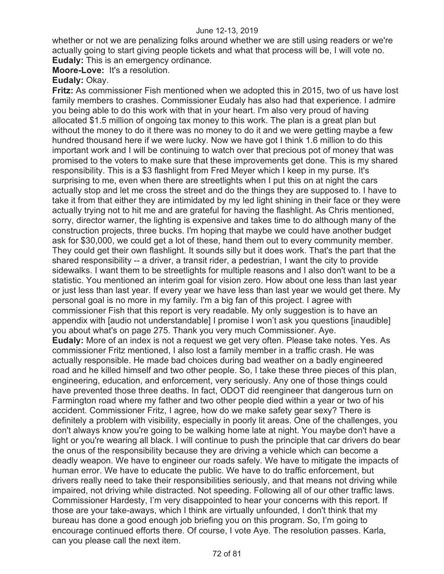whether or not we are penalizing folks around whether we are still using readers or we're actually going to start giving people tickets and what that process will be, I will vote no. **Eudaly:** This is an emergency ordinance.

**Moore-Love:** It's a resolution.

**Eudaly:** Okay.

**Fritz:** As commissioner Fish mentioned when we adopted this in 2015, two of us have lost family members to crashes. Commissioner Eudaly has also had that experience. I admire you being able to do this work with that in your heart. I'm also very proud of having allocated \$1.5 million of ongoing tax money to this work. The plan is a great plan but without the money to do it there was no money to do it and we were getting maybe a few hundred thousand here if we were lucky. Now we have got I think 1.6 million to do this important work and I will be continuing to watch over that precious pot of money that was promised to the voters to make sure that these improvements get done. This is my shared responsibility. This is a \$3 flashlight from Fred Meyer which I keep in my purse. It's surprising to me, even when there are streetlights when I put this on at night the cars actually stop and let me cross the street and do the things they are supposed to. I have to take it from that either they are intimidated by my led light shining in their face or they were actually trying not to hit me and are grateful for having the flashlight. As Chris mentioned, sorry, director warner, the lighting is expensive and takes time to do although many of the construction projects, three bucks. I'm hoping that maybe we could have another budget ask for \$30,000, we could get a lot of these, hand them out to every community member. They could get their own flashlight. It sounds silly but it does work. That's the part that the shared responsibility -- a driver, a transit rider, a pedestrian, I want the city to provide sidewalks. I want them to be streetlights for multiple reasons and I also don't want to be a statistic. You mentioned an interim goal for vision zero. How about one less than last year or just less than last year. If every year we have less than last year we would get there. My personal goal is no more in my family. I'm a big fan of this project. I agree with commissioner Fish that this report is very readable. My only suggestion is to have an appendix with [audio not understandable] I promise I won't ask you questions [inaudible] you about what's on page 275. Thank you very much Commissioner. Aye. **Eudaly:** More of an index is not a request we get very often. Please take notes. Yes. As commissioner Fritz mentioned, I also lost a family member in a traffic crash. He was actually responsible. He made bad choices during bad weather on a badly engineered road and he killed himself and two other people. So, I take these three pieces of this plan, engineering, education, and enforcement, very seriously. Any one of those things could have prevented those three deaths. In fact, ODOT did reengineer that dangerous turn on Farmington road where my father and two other people died within a year or two of his accident. Commissioner Fritz, I agree, how do we make safety gear sexy? There is definitely a problem with visibility, especially in poorly lit areas. One of the challenges, you don't always know you're going to be walking home late at night. You maybe don't have a light or you're wearing all black. I will continue to push the principle that car drivers do bear the onus of the responsibility because they are driving a vehicle which can become a deadly weapon. We have to engineer our roads safely. We have to mitigate the impacts of human error. We have to educate the public. We have to do traffic enforcement, but drivers really need to take their responsibilities seriously, and that means not driving while impaired, not driving while distracted. Not speeding. Following all of our other traffic laws. Commissioner Hardesty, I'm very disappointed to hear your concerns with this report. If those are your take-aways, which I think are virtually unfounded, I don't think that my bureau has done a good enough job briefing you on this program. So, I'm going to encourage continued efforts there. Of course, I vote Aye. The resolution passes. Karla, can you please call the next item.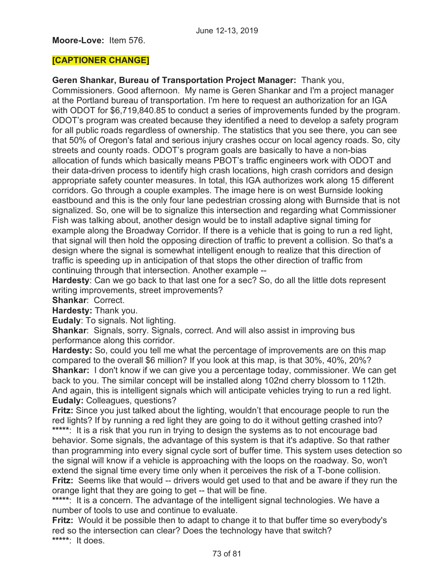### **Moore-Love:** Item 576.

### **[CAPTIONER CHANGE]**

**Geren Shankar, Bureau of Transportation Project Manager:** Thank you,

Commissioners. Good afternoon. My name is Geren Shankar and I'm a project manager at the Portland bureau of transportation. I'm here to request an authorization for an IGA with ODOT for \$6,719,840.85 to conduct a series of improvements funded by the program. ODOT's program was created because they identified a need to develop a safety program for all public roads regardless of ownership. The statistics that you see there, you can see that 50% of Oregon's fatal and serious injury crashes occur on local agency roads. So, city streets and county roads. ODOT's program goals are basically to have a non-bias allocation of funds which basically means PBOT's traffic engineers work with ODOT and their data-driven process to identify high crash locations, high crash corridors and design appropriate safety counter measures. In total, this IGA authorizes work along 15 different corridors. Go through a couple examples. The image here is on west Burnside looking eastbound and this is the only four lane pedestrian crossing along with Burnside that is not signalized. So, one will be to signalize this intersection and regarding what Commissioner Fish was talking about, another design would be to install adaptive signal timing for example along the Broadway Corridor. If there is a vehicle that is going to run a red light, that signal will then hold the opposing direction of traffic to prevent a collision. So that's a design where the signal is somewhat intelligent enough to realize that this direction of traffic is speeding up in anticipation of that stops the other direction of traffic from continuing through that intersection. Another example --

**Hardesty**: Can we go back to that last one for a sec? So, do all the little dots represent writing improvements, street improvements?

**Shankar**: Correct.

**Hardesty:** Thank you.

**Eudaly**: To signals. Not lighting.

**Shankar**: Signals, sorry. Signals, correct. And will also assist in improving bus performance along this corridor.

**Hardesty:** So, could you tell me what the percentage of improvements are on this map compared to the overall \$6 million? If you look at this map, is that 30%, 40%, 20%? **Shankar:** I don't know if we can give you a percentage today, commissioner. We can get back to you. The similar concept will be installed along 102nd cherry blossom to 112th. And again, this is intelligent signals which will anticipate vehicles trying to run a red light. **Eudaly:** Colleagues, questions?

**Fritz:** Since you just talked about the lighting, wouldn't that encourage people to run the red lights? If by running a red light they are going to do it without getting crashed into?

**\*\*\*\*\***: It is a risk that you run in trying to design the systems as to not encourage bad behavior. Some signals, the advantage of this system is that it's adaptive. So that rather than programming into every signal cycle sort of buffer time. This system uses detection so the signal will know if a vehicle is approaching with the loops on the roadway. So, won't extend the signal time every time only when it perceives the risk of a T-bone collision. **Fritz:** Seems like that would -- drivers would get used to that and be aware if they run the orange light that they are going to get -- that will be fine.

**\*\*\*\*\***: It is a concern. The advantage of the intelligent signal technologies. We have a number of tools to use and continue to evaluate.

**Fritz:** Would it be possible then to adapt to change it to that buffer time so everybody's red so the intersection can clear? Does the technology have that switch? **\*\*\*\*\***: It does.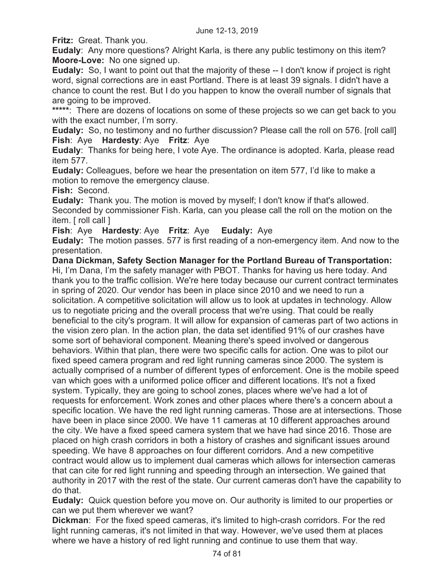**Fritz:** Great. Thank you.

**Eudaly**: Any more questions? Alright Karla, is there any public testimony on this item? **Moore-Love:** No one signed up.

**Eudaly:** So, I want to point out that the majority of these -- I don't know if project is right word, signal corrections are in east Portland. There is at least 39 signals. I didn't have a chance to count the rest. But I do you happen to know the overall number of signals that are going to be improved.

**\*\*\*\*\***: There are dozens of locations on some of these projects so we can get back to you with the exact number, I'm sorry.

**Eudaly:** So, no testimony and no further discussion? Please call the roll on 576. [roll call] **Fish**: Aye **Hardesty**: Aye **Fritz**: Aye

**Eudaly**: Thanks for being here, I vote Aye. The ordinance is adopted. Karla, please read item 577.

**Eudaly:** Colleagues, before we hear the presentation on item 577, I'd like to make a motion to remove the emergency clause.

**Fish:** Second.

**Eudaly:** Thank you. The motion is moved by myself; I don't know if that's allowed. Seconded by commissioner Fish. Karla, can you please call the roll on the motion on the item. [ roll call ]

**Fish**: Aye **Hardesty**: Aye **Fritz**: Aye **Eudaly:** Aye

**Eudaly:** The motion passes. 577 is first reading of a non-emergency item. And now to the presentation.

**Dana Dickman, Safety Section Manager for the Portland Bureau of Transportation:**  Hi, I'm Dana, I'm the safety manager with PBOT. Thanks for having us here today. And thank you to the traffic collision. We're here today because our current contract terminates in spring of 2020. Our vendor has been in place since 2010 and we need to run a solicitation. A competitive solicitation will allow us to look at updates in technology. Allow us to negotiate pricing and the overall process that we're using. That could be really beneficial to the city's program. It will allow for expansion of cameras part of two actions in the vision zero plan. In the action plan, the data set identified 91% of our crashes have some sort of behavioral component. Meaning there's speed involved or dangerous behaviors. Within that plan, there were two specific calls for action. One was to pilot our fixed speed camera program and red light running cameras since 2000. The system is actually comprised of a number of different types of enforcement. One is the mobile speed van which goes with a uniformed police officer and different locations. It's not a fixed system. Typically, they are going to school zones, places where we've had a lot of requests for enforcement. Work zones and other places where there's a concern about a specific location. We have the red light running cameras. Those are at intersections. Those have been in place since 2000. We have 11 cameras at 10 different approaches around the city. We have a fixed speed camera system that we have had since 2016. Those are placed on high crash corridors in both a history of crashes and significant issues around speeding. We have 8 approaches on four different corridors. And a new competitive contract would allow us to implement dual cameras which allows for intersection cameras that can cite for red light running and speeding through an intersection. We gained that authority in 2017 with the rest of the state. Our current cameras don't have the capability to do that.

**Eudaly:** Quick question before you move on. Our authority is limited to our properties or can we put them wherever we want?

**Dickman**: For the fixed speed cameras, it's limited to high-crash corridors. For the red light running cameras, it's not limited in that way. However, we've used them at places where we have a history of red light running and continue to use them that way.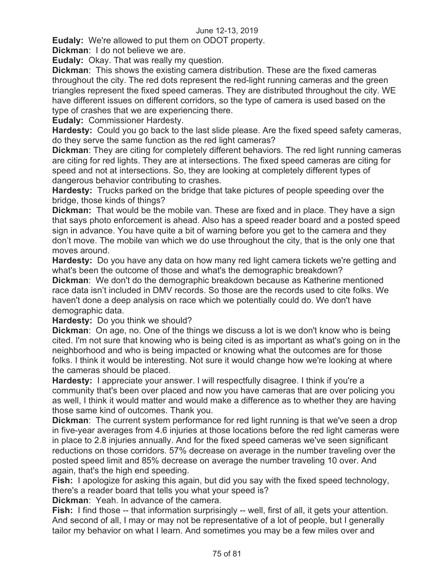**Eudaly:** We're allowed to put them on ODOT property.

**Dickman**: I do not believe we are.

**Eudaly:** Okay. That was really my question.

**Dickman**: This shows the existing camera distribution. These are the fixed cameras throughout the city. The red dots represent the red-light running cameras and the green triangles represent the fixed speed cameras. They are distributed throughout the city. WE have different issues on different corridors, so the type of camera is used based on the type of crashes that we are experiencing there.

**Eudaly:** Commissioner Hardesty.

**Hardesty:** Could you go back to the last slide please. Are the fixed speed safety cameras, do they serve the same function as the red light cameras?

**Dickman**: They are citing for completely different behaviors. The red light running cameras are citing for red lights. They are at intersections. The fixed speed cameras are citing for speed and not at intersections. So, they are looking at completely different types of dangerous behavior contributing to crashes.

**Hardesty:** Trucks parked on the bridge that take pictures of people speeding over the bridge, those kinds of things?

**Dickman:** That would be the mobile van. These are fixed and in place. They have a sign that says photo enforcement is ahead. Also has a speed reader board and a posted speed sign in advance. You have quite a bit of warning before you get to the camera and they don't move. The mobile van which we do use throughout the city, that is the only one that moves around.

**Hardesty:** Do you have any data on how many red light camera tickets we're getting and what's been the outcome of those and what's the demographic breakdown?

**Dickman**: We don't do the demographic breakdown because as Katherine mentioned race data isn't included in DMV records. So those are the records used to cite folks. We haven't done a deep analysis on race which we potentially could do. We don't have demographic data.

**Hardesty:** Do you think we should?

**Dickman**: On age, no. One of the things we discuss a lot is we don't know who is being cited. I'm not sure that knowing who is being cited is as important as what's going on in the neighborhood and who is being impacted or knowing what the outcomes are for those folks. I think it would be interesting. Not sure it would change how we're looking at where the cameras should be placed.

**Hardesty:** I appreciate your answer. I will respectfully disagree. I think if you're a community that's been over placed and now you have cameras that are over policing you as well, I think it would matter and would make a difference as to whether they are having those same kind of outcomes. Thank you.

**Dickman**: The current system performance for red light running is that we've seen a drop in five-year averages from 4.6 injuries at those locations before the red light cameras were in place to 2.8 injuries annually. And for the fixed speed cameras we've seen significant reductions on those corridors. 57% decrease on average in the number traveling over the posted speed limit and 85% decrease on average the number traveling 10 over. And again, that's the high end speeding.

**Fish:** I apologize for asking this again, but did you say with the fixed speed technology, there's a reader board that tells you what your speed is?

**Dickman**: Yeah. In advance of the camera.

**Fish:** I find those -- that information surprisingly -- well, first of all, it gets your attention. And second of all, I may or may not be representative of a lot of people, but I generally tailor my behavior on what I learn. And sometimes you may be a few miles over and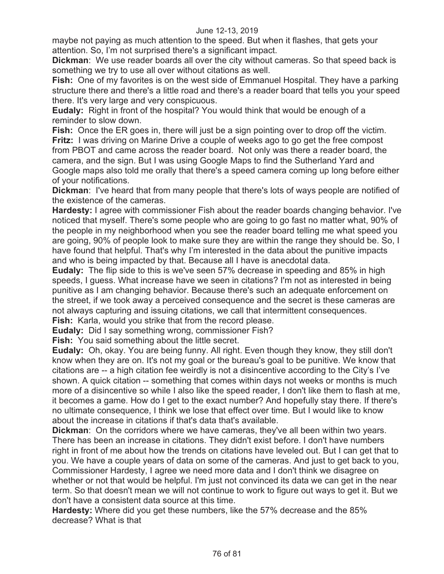maybe not paying as much attention to the speed. But when it flashes, that gets your attention. So, I'm not surprised there's a significant impact.

**Dickman**: We use reader boards all over the city without cameras. So that speed back is something we try to use all over without citations as well.

**Fish:** One of my favorites is on the west side of Emmanuel Hospital. They have a parking structure there and there's a little road and there's a reader board that tells you your speed there. It's very large and very conspicuous.

**Eudaly:** Right in front of the hospital? You would think that would be enough of a reminder to slow down.

**Fish:** Once the ER goes in, there will just be a sign pointing over to drop off the victim. **Fritz:** I was driving on Marine Drive a couple of weeks ago to go get the free compost from PBOT and came across the reader board. Not only was there a reader board, the camera, and the sign. But I was using Google Maps to find the Sutherland Yard and Google maps also told me orally that there's a speed camera coming up long before either of your notifications.

**Dickman**: I've heard that from many people that there's lots of ways people are notified of the existence of the cameras.

**Hardesty:** I agree with commissioner Fish about the reader boards changing behavior. I've noticed that myself. There's some people who are going to go fast no matter what, 90% of the people in my neighborhood when you see the reader board telling me what speed you are going, 90% of people look to make sure they are within the range they should be. So, I have found that helpful. That's why I'm interested in the data about the punitive impacts and who is being impacted by that. Because all I have is anecdotal data.

**Eudaly:** The flip side to this is we've seen 57% decrease in speeding and 85% in high speeds, I guess. What increase have we seen in citations? I'm not as interested in being punitive as I am changing behavior. Because there's such an adequate enforcement on the street, if we took away a perceived consequence and the secret is these cameras are not always capturing and issuing citations, we call that intermittent consequences.

**Fish:** Karla, would you strike that from the record please.

**Eudaly:** Did I say something wrong, commissioner Fish?

**Fish:** You said something about the little secret.

**Eudaly:** Oh, okay. You are being funny. All right. Even though they know, they still don't know when they are on. It's not my goal or the bureau's goal to be punitive. We know that citations are -- a high citation fee weirdly is not a disincentive according to the City's I've shown. A quick citation -- something that comes within days not weeks or months is much more of a disincentive so while I also like the speed reader, I don't like them to flash at me, it becomes a game. How do I get to the exact number? And hopefully stay there. If there's no ultimate consequence, I think we lose that effect over time. But I would like to know about the increase in citations if that's data that's available.

**Dickman**: On the corridors where we have cameras, they've all been within two years. There has been an increase in citations. They didn't exist before. I don't have numbers right in front of me about how the trends on citations have leveled out. But I can get that to you. We have a couple years of data on some of the cameras. And just to get back to you, Commissioner Hardesty, I agree we need more data and I don't think we disagree on whether or not that would be helpful. I'm just not convinced its data we can get in the near term. So that doesn't mean we will not continue to work to figure out ways to get it. But we don't have a consistent data source at this time.

**Hardesty:** Where did you get these numbers, like the 57% decrease and the 85% decrease? What is that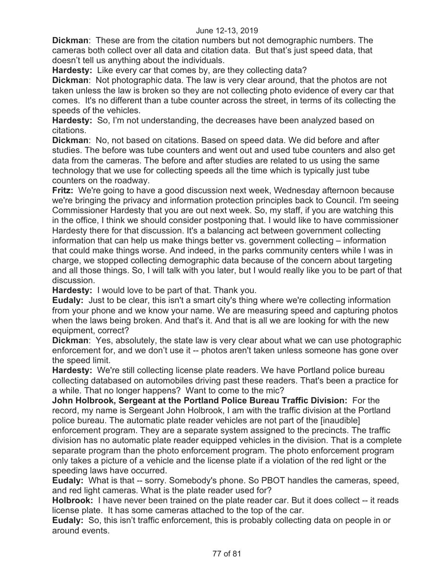**Dickman**: These are from the citation numbers but not demographic numbers. The cameras both collect over all data and citation data. But that's just speed data, that doesn't tell us anything about the individuals.

**Hardesty:** Like every car that comes by, are they collecting data?

**Dickman**: Not photographic data. The law is very clear around, that the photos are not taken unless the law is broken so they are not collecting photo evidence of every car that comes. It's no different than a tube counter across the street, in terms of its collecting the speeds of the vehicles.

**Hardesty:** So, I'm not understanding, the decreases have been analyzed based on citations.

**Dickman**: No, not based on citations. Based on speed data. We did before and after studies. The before was tube counters and went out and used tube counters and also get data from the cameras. The before and after studies are related to us using the same technology that we use for collecting speeds all the time which is typically just tube counters on the roadway.

**Fritz:** We're going to have a good discussion next week, Wednesday afternoon because we're bringing the privacy and information protection principles back to Council. I'm seeing Commissioner Hardesty that you are out next week. So, my staff, if you are watching this in the office, I think we should consider postponing that. I would like to have commissioner Hardesty there for that discussion. It's a balancing act between government collecting information that can help us make things better vs. government collecting – information that could make things worse. And indeed, in the parks community centers while I was in charge, we stopped collecting demographic data because of the concern about targeting and all those things. So, I will talk with you later, but I would really like you to be part of that discussion.

**Hardesty:** I would love to be part of that. Thank you.

**Eudaly:** Just to be clear, this isn't a smart city's thing where we're collecting information from your phone and we know your name. We are measuring speed and capturing photos when the laws being broken. And that's it. And that is all we are looking for with the new equipment, correct?

**Dickman**: Yes, absolutely, the state law is very clear about what we can use photographic enforcement for, and we don't use it -- photos aren't taken unless someone has gone over the speed limit.

**Hardesty:** We're still collecting license plate readers. We have Portland police bureau collecting databased on automobiles driving past these readers. That's been a practice for a while. That no longer happens? Want to come to the mic?

**John Holbrook, Sergeant at the Portland Police Bureau Traffic Division:** For the record, my name is Sergeant John Holbrook, I am with the traffic division at the Portland police bureau. The automatic plate reader vehicles are not part of the [inaudible] enforcement program. They are a separate system assigned to the precincts. The traffic division has no automatic plate reader equipped vehicles in the division. That is a complete separate program than the photo enforcement program. The photo enforcement program only takes a picture of a vehicle and the license plate if a violation of the red light or the speeding laws have occurred.

**Eudaly:** What is that -- sorry. Somebody's phone. So PBOT handles the cameras, speed, and red light cameras. What is the plate reader used for?

**Holbrook:** I have never been trained on the plate reader car. But it does collect -- it reads license plate. It has some cameras attached to the top of the car.

**Eudaly:** So, this isn't traffic enforcement, this is probably collecting data on people in or around events.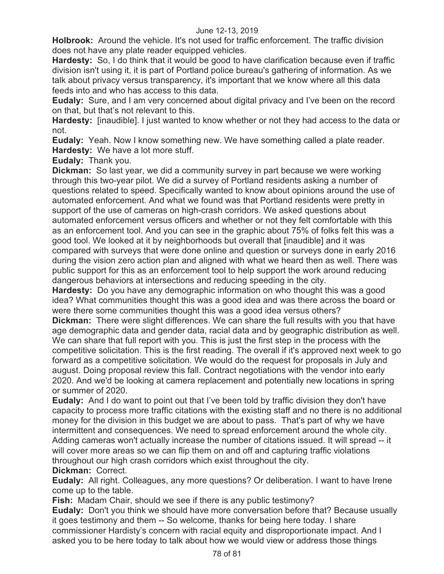**Holbrook:** Around the vehicle. It's not used for traffic enforcement. The traffic division does not have any plate reader equipped vehicles.

**Hardesty:** So, I do think that it would be good to have clarification because even if traffic division isn't using it, it is part of Portland police bureau's gathering of information. As we talk about privacy versus transparency, it's important that we know where all this data feeds into and who has access to this data.

**Eudaly:** Sure, and I am very concerned about digital privacy and I've been on the record on that, but that's not relevant to this.

**Hardesty:** [inaudible]. I just wanted to know whether or not they had access to the data or not.

**Eudaly:** Yeah. Now I know something new. We have something called a plate reader. **Hardesty:** We have a lot more stuff.

**Eudaly:** Thank you.

**Dickman:** So last year, we did a community survey in part because we were working through this two-year pilot. We did a survey of Portland residents asking a number of questions related to speed. Specifically wanted to know about opinions around the use of automated enforcement. And what we found was that Portland residents were pretty in support of the use of cameras on high-crash corridors. We asked questions about automated enforcement versus officers and whether or not they felt comfortable with this as an enforcement tool. And you can see in the graphic about 75% of folks felt this was a good tool. We looked at it by neighborhoods but overall that [inaudible] and it was compared with surveys that were done online and question or surveys done in early 2016 during the vision zero action plan and aligned with what we heard then as well. There was public support for this as an enforcement tool to help support the work around reducing dangerous behaviors at intersections and reducing speeding in the city.

**Hardesty:** Do you have any demographic information on who thought this was a good idea? What communities thought this was a good idea and was there across the board or were there some communities thought this was a good idea versus others?

**Dickman:** There were slight differences. We can share the full results with you that have age demographic data and gender data, racial data and by geographic distribution as well. We can share that full report with you. This is just the first step in the process with the competitive solicitation. This is the first reading. The overall if it's approved next week to go forward as a competitive solicitation. We would do the request for proposals in July and august. Doing proposal review this fall. Contract negotiations with the vendor into early 2020. And we'd be looking at camera replacement and potentially new locations in spring or summer of 2020.

**Eudaly:** And I do want to point out that I've been told by traffic division they don't have capacity to process more traffic citations with the existing staff and no there is no additional money for the division in this budget we are about to pass. That's part of why we have intermittent and consequences. We need to spread enforcement around the whole city. Adding cameras won't actually increase the number of citations issued. It will spread -- it will cover more areas so we can flip them on and off and capturing traffic violations throughout our high crash corridors which exist throughout the city.

**Dickman:** Correct.

**Eudaly:** All right. Colleagues, any more questions? Or deliberation. I want to have Irene come up to the table.

**Fish:** Madam Chair, should we see if there is any public testimony?

**Eudaly:** Don't you think we should have more conversation before that? Because usually it goes testimony and them -- So welcome, thanks for being here today. I share commissioner Hardisty's concern with racial equity and disproportionate impact. And I asked you to be here today to talk about how we would view or address those things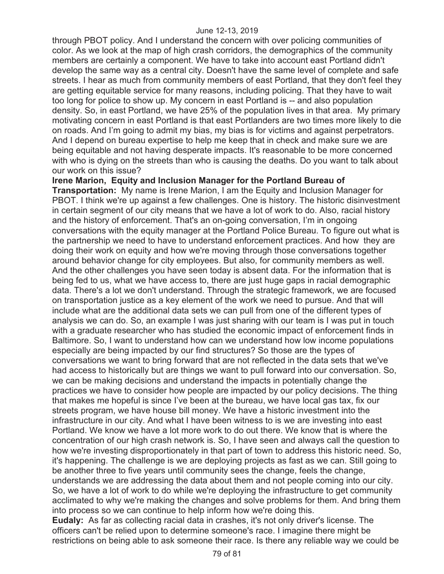through PBOT policy. And I understand the concern with over policing communities of color. As we look at the map of high crash corridors, the demographics of the community members are certainly a component. We have to take into account east Portland didn't develop the same way as a central city. Doesn't have the same level of complete and safe streets. I hear as much from community members of east Portland, that they don't feel they are getting equitable service for many reasons, including policing. That they have to wait too long for police to show up. My concern in east Portland is -- and also population density. So, in east Portland, we have 25% of the population lives in that area. My primary motivating concern in east Portland is that east Portlanders are two times more likely to die on roads. And I'm going to admit my bias, my bias is for victims and against perpetrators. And I depend on bureau expertise to help me keep that in check and make sure we are being equitable and not having desperate impacts. It's reasonable to be more concerned with who is dying on the streets than who is causing the deaths. Do you want to talk about our work on this issue?

**Irene Marion, Equity and Inclusion Manager for the Portland Bureau of** 

**Transportation:** My name is Irene Marion, I am the Equity and Inclusion Manager for PBOT. I think we're up against a few challenges. One is history. The historic disinvestment in certain segment of our city means that we have a lot of work to do. Also, racial history and the history of enforcement. That's an on-going conversation, I'm in ongoing conversations with the equity manager at the Portland Police Bureau. To figure out what is the partnership we need to have to understand enforcement practices. And how they are doing their work on equity and how we're moving through those conversations together around behavior change for city employees. But also, for community members as well. And the other challenges you have seen today is absent data. For the information that is being fed to us, what we have access to, there are just huge gaps in racial demographic data. There's a lot we don't understand. Through the strategic framework, we are focused on transportation justice as a key element of the work we need to pursue. And that will include what are the additional data sets we can pull from one of the different types of analysis we can do. So, an example I was just sharing with our team is I was put in touch with a graduate researcher who has studied the economic impact of enforcement finds in Baltimore. So, I want to understand how can we understand how low income populations especially are being impacted by our find structures? So those are the types of conversations we want to bring forward that are not reflected in the data sets that we've had access to historically but are things we want to pull forward into our conversation. So, we can be making decisions and understand the impacts in potentially change the practices we have to consider how people are impacted by our policy decisions. The thing that makes me hopeful is since I've been at the bureau, we have local gas tax, fix our streets program, we have house bill money. We have a historic investment into the infrastructure in our city. And what I have been witness to is we are investing into east Portland. We know we have a lot more work to do out there. We know that is where the concentration of our high crash network is. So, I have seen and always call the question to how we're investing disproportionately in that part of town to address this historic need. So, it's happening. The challenge is we are deploying projects as fast as we can. Still going to be another three to five years until community sees the change, feels the change, understands we are addressing the data about them and not people coming into our city. So, we have a lot of work to do while we're deploying the infrastructure to get community acclimated to why we're making the changes and solve problems for them. And bring them into process so we can continue to help inform how we're doing this.

**Eudaly:** As far as collecting racial data in crashes, it's not only driver's license. The officers can't be relied upon to determine someone's race. I imagine there might be restrictions on being able to ask someone their race. Is there any reliable way we could be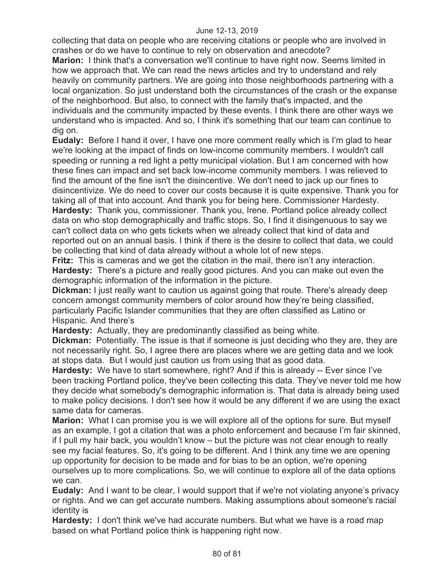#### June 12-13, 2019

collecting that data on people who are receiving citations or people who are involved in crashes or do we have to continue to rely on observation and anecdote?

**Marion:** I think that's a conversation we'll continue to have right now. Seems limited in how we approach that. We can read the news articles and try to understand and rely heavily on community partners. We are going into those neighborhoods partnering with a local organization. So just understand both the circumstances of the crash or the expanse of the neighborhood. But also, to connect with the family that's impacted, and the individuals and the community impacted by these events. I think there are other ways we understand who is impacted. And so, I think it's something that our team can continue to dig on.

**Eudaly:** Before I hand it over, I have one more comment really which is I'm glad to hear we're looking at the impact of finds on low-income community members. I wouldn't call speeding or running a red light a petty municipal violation. But I am concerned with how these fines can impact and set back low-income community members. I was relieved to find the amount of the fine isn't the disincentive. We don't need to jack up our fines to disincentivize. We do need to cover our costs because it is quite expensive. Thank you for taking all of that into account. And thank you for being here. Commissioner Hardesty. **Hardesty:** Thank you, commissioner. Thank you, Irene. Portland police already collect data on who stop demographically and traffic stops. So, I find it disingenuous to say we can't collect data on who gets tickets when we already collect that kind of data and reported out on an annual basis. I think if there is the desire to collect that data, we could be collecting that kind of data already without a whole lot of new steps.

**Fritz:** This is cameras and we get the citation in the mail, there isn't any interaction. **Hardesty:** There's a picture and really good pictures. And you can make out even the demographic information of the information in the picture.

**Dickman:** I just really want to caution us against going that route. There's already deep concern amongst community members of color around how they're being classified, particularly Pacific Islander communities that they are often classified as Latino or Hispanic. And there's

**Hardesty:** Actually, they are predominantly classified as being white.

**Dickman:** Potentially. The issue is that if someone is just deciding who they are, they are not necessarily right. So, I agree there are places where we are getting data and we look at stops data. But I would just caution us from using that as good data.

**Hardesty:** We have to start somewhere, right? And if this is already -- Ever since I've been tracking Portland police, they've been collecting this data. They've never told me how they decide what somebody's demographic information is. That data is already being used to make policy decisions. I don't see how it would be any different if we are using the exact same data for cameras.

**Marion:** What I can promise you is we will explore all of the options for sure. But myself as an example, I got a citation that was a photo enforcement and because I'm fair skinned, if I pull my hair back, you wouldn't know – but the picture was not clear enough to really see my facial features. So, it's going to be different. And I think any time we are opening up opportunity for decision to be made and for bias to be an option, we're opening ourselves up to more complications. So, we will continue to explore all of the data options we can.

**Eudaly:** And I want to be clear, I would support that if we're not violating anyone's privacy or rights. And we can get accurate numbers. Making assumptions about someone's racial identity is

**Hardesty:** I don't think we've had accurate numbers. But what we have is a road map based on what Portland police think is happening right now.